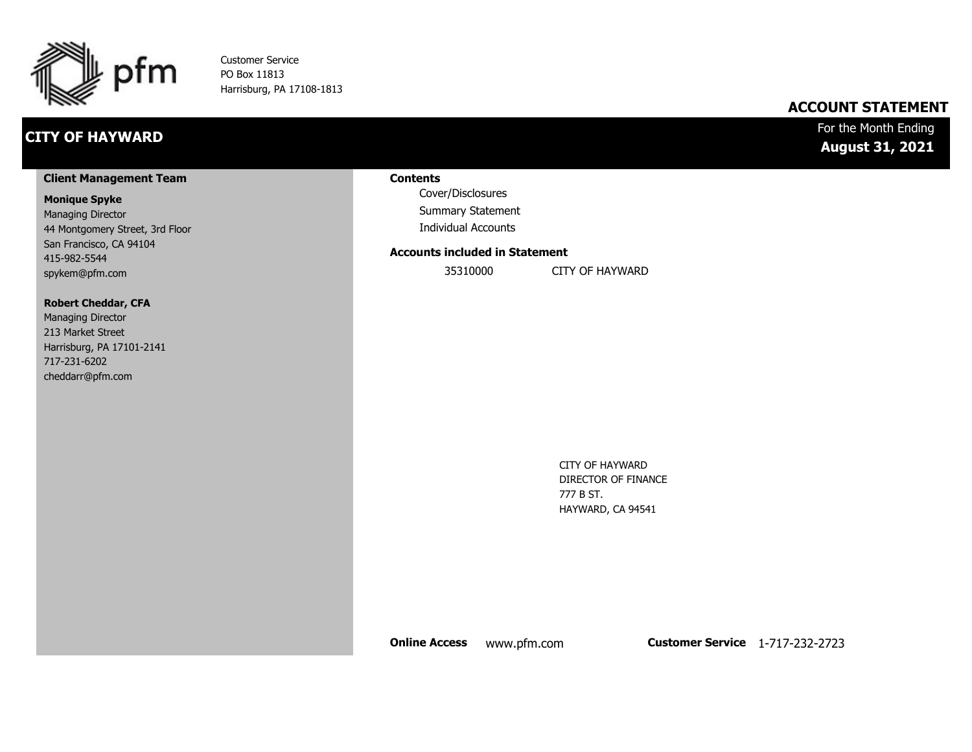

Customer Service PO Box 11813 Harrisburg, PA 17108-1813

# **CITY OF HAYWARD**

### **ACCOUNT STATEMENT**

### For the Month Ending **August 31, 2021**

#### **Client Management Team**

#### **Monique Spyke**

Managing Director 44 Montgomery Street, 3rd Floor San Francisco, CA 94104 415-982-5544 spykem@pfm.com

#### **Robert Cheddar, CFA**

| <b>Managing Director</b>  |
|---------------------------|
| 213 Market Street         |
| Harrisburg, PA 17101-2141 |
| 717-231-6202              |
| cheddarr@pfm.com          |

#### **Contents**

Cover/Disclosures Summary Statement Individual Accounts

#### **Accounts included in Statement**

35310000 CITY OF HAYWARD

CITY OF HAYWARD DIRECTOR OF FINANCE 777 B ST. HAYWARD, CA 94541

**Online Access** www.pfm.com **Customer Service** 1-717-232-2723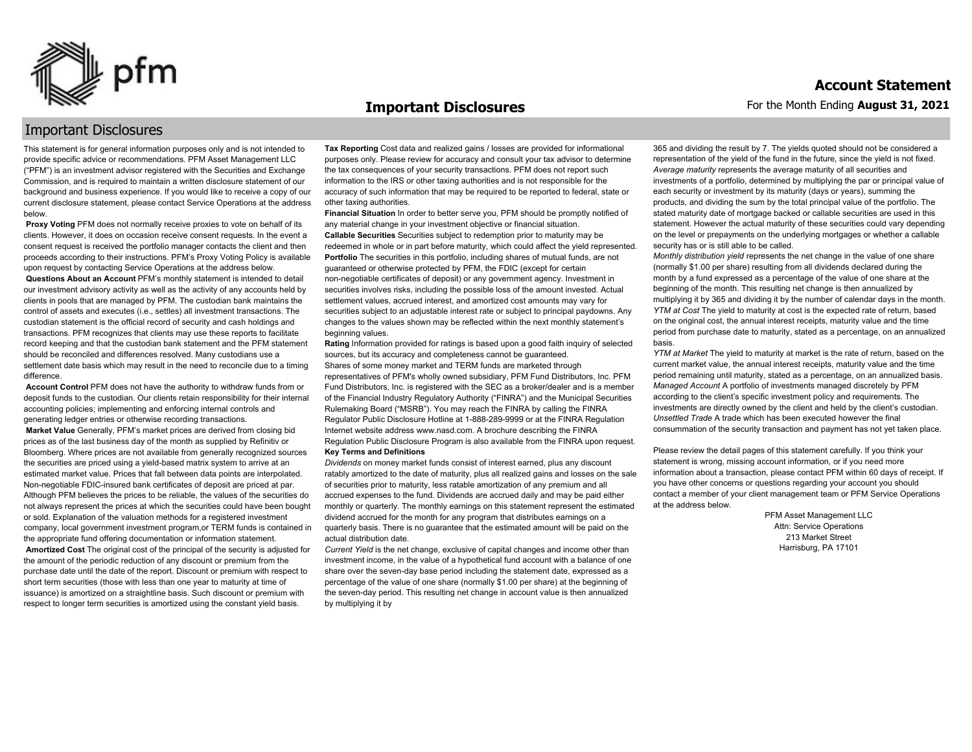

#### **Important Disclosures**

### Important Disclosures

This statement is for general information purposes only and is not intended to provide specific advice or recommendations. PFM Asset Management LLC ("PFM") is an investment advisor registered with the Securities and Exchange Commission, and is required to maintain a written disclosure statement of our background and business experience. If you would like to receive a copy of our current disclosure statement, please contact Service Operations at the address below.

**Proxy Voting** PFM does not normally receive proxies to vote on behalf of its clients. However, it does on occasion receive consent requests. In the event a consent request is received the portfolio manager contacts the client and then proceeds according to their instructions. PFM's Proxy Voting Policy is available upon request by contacting Service Operations at the address below. **Questions About an Account** PFM's monthly statement is intended to detail our investment advisory activity as well as the activity of any accounts held by clients in pools that are managed by PFM. The custodian bank maintains the control of assets and executes (i.e., settles) all investment transactions. The custodian statement is the official record of security and cash holdings and transactions. PFM recognizes that clients may use these reports to facilitate record keeping and that the custodian bank statement and the PFM statement should be reconciled and differences resolved. Many custodians use a settlement date basis which may result in the need to reconcile due to a timing

difference. **Account Control** PFM does not have the authority to withdraw funds from or deposit funds to the custodian. Our clients retain responsibility for their internal accounting policies; implementing and enforcing internal controls and

generating ledger entries or otherwise recording transactions. **Market Value** Generally, PFM's market prices are derived from closing bid prices as of the last business day of the month as supplied by Refinitiv or Bloomberg. Where prices are not available from generally recognized sources the securities are priced using a yield-based matrix system to arrive at an estimated market value. Prices that fall between data points are interpolated. Non-negotiable FDIC-insured bank certificates of deposit are priced at par. Although PFM believes the prices to be reliable, the values of the securities do not always represent the prices at which the securities could have been bought or sold. Explanation of the valuation methods for a registered investment company, local government investment program,or TERM funds is contained in the appropriate fund offering documentation or information statement. **Amortized Cost** The original cost of the principal of the security is adjusted for the amount of the periodic reduction of any discount or premium from the purchase date until the date of the report. Discount or premium with respect to short term securities (those with less than one year to maturity at time of issuance) is amortized on a straightline basis. Such discount or premium with respect to longer term securities is amortized using the constant yield basis.

**Tax Reporting** Cost data and realized gains / losses are provided for informational purposes only. Please review for accuracy and consult your tax advisor to determine the tax consequences of your security transactions. PFM does not report such information to the IRS or other taxing authorities and is not responsible for the accuracy of such information that may be required to be reported to federal, state or other taxing authorities.

**Financial Situation** In order to better serve you, PFM should be promptly notified of any material change in your investment objective or financial situation. **Callable Securities** Securities subject to redemption prior to maturity may be redeemed in whole or in part before maturity, which could affect the yield represented. Portfolio The securities in this portfolio, including shares of mutual funds, are not guaranteed or otherwise protected by PFM, the FDIC (except for certain non-negotiable certificates of deposit) or any government agency. Investment in securities involves risks, including the possible loss of the amount invested. Actual settlement values, accrued interest, and amortized cost amounts may vary for securities subject to an adjustable interest rate or subject to principal paydowns. Any changes to the values shown may be reflected within the next monthly statement's beginning values.

**Rating** Information provided for ratings is based upon a good faith inquiry of selected sources, but its accuracy and completeness cannot be guaranteed. Shares of some money market and TERM funds are marketed through representatives of PFM's wholly owned subsidiary, PFM Fund Distributors, Inc. PFM Fund Distributors, Inc. is registered with the SEC as a broker/dealer and is a member of the Financial Industry Regulatory Authority ("FINRA") and the Municipal Securities Rulemaking Board ("MSRB"). You may reach the FINRA by calling the FINRA Regulator Public Disclosure Hotline at 1-888-289-9999 or at the FINRA Regulation Internet website address www.nasd.com. A brochure describing the FINRA Regulation Public Disclosure Program is also available from the FINRA upon request. **Key Terms and Definitions**

*Dividends* on money market funds consist of interest earned, plus any discount ratably amortized to the date of maturity, plus all realized gains and losses on the sale of securities prior to maturity, less ratable amortization of any premium and all accrued expenses to the fund. Dividends are accrued daily and may be paid either monthly or quarterly. The monthly earnings on this statement represent the estimated dividend accrued for the month for any program that distributes earnings on a quarterly basis. There is no guarantee that the estimated amount will be paid on the actual distribution date.

*Current Yield* is the net change, exclusive of capital changes and income other than investment income, in the value of a hypothetical fund account with a balance of one share over the seven-day base period including the statement date, expressed as a percentage of the value of one share (normally \$1.00 per share) at the beginning of the seven-day period. This resulting net change in account value is then annualized by multiplying it by

365 and dividing the result by 7. The yields quoted should not be considered a representation of the yield of the fund in the future, since the yield is not fixed. *Average maturity* represents the average maturity of all securities and investments of a portfolio, determined by multiplying the par or principal value of each security or investment by its maturity (days or years), summing the products, and dividing the sum by the total principal value of the portfolio. The stated maturity date of mortgage backed or callable securities are used in this statement. However the actual maturity of these securities could vary depending on the level or prepayments on the underlying mortgages or whether a callable security has or is still able to be called.

*Monthly distribution yield* represents the net change in the value of one share (normally \$1.00 per share) resulting from all dividends declared during the month by a fund expressed as a percentage of the value of one share at the beginning of the month. This resulting net change is then annualized by multiplying it by 365 and dividing it by the number of calendar days in the month. *YTM at Cost* The yield to maturity at cost is the expected rate of return, based on the original cost, the annual interest receipts, maturity value and the time period from purchase date to maturity, stated as a percentage, on an annualized basis.

*YTM at Market* The yield to maturity at market is the rate of return, based on the current market value, the annual interest receipts, maturity value and the time period remaining until maturity, stated as a percentage, on an annualized basis. *Managed Account* A portfolio of investments managed discretely by PFM according to the client's specific investment policy and requirements. The investments are directly owned by the client and held by the client's custodian. *Unsettled Trade* A trade which has been executed however the final consummation of the security transaction and payment has not yet taken place.

Please review the detail pages of this statement carefully. If you think your statement is wrong, missing account information, or if you need more information about a transaction, please contact PFM within 60 days of receipt. If you have other concerns or questions regarding your account you should contact a member of your client management team or PFM Service Operations at the address below.

> PFM Asset Management LLC Attn: Service Operations 213 Market Street Harrisburg, PA 17101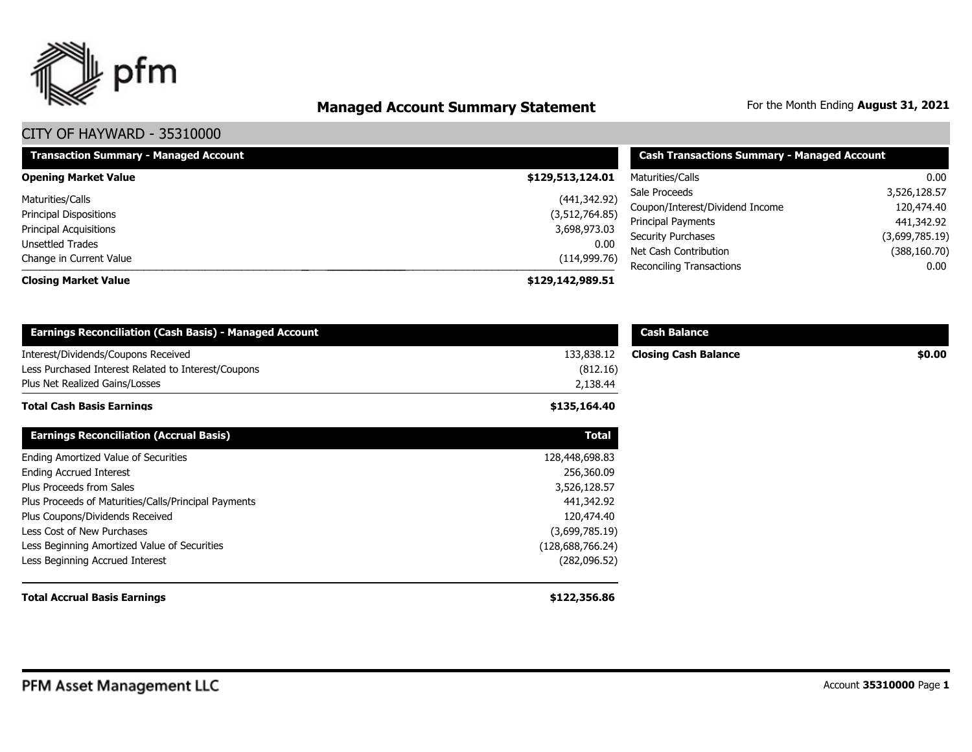

# **Managed Account Summary Statement** For the Month Ending August 31, 2021

| <b>Transaction Summary - Managed Account</b> | <b>Cash Transactions Summary - Managed Account</b> |                                 |                |
|----------------------------------------------|----------------------------------------------------|---------------------------------|----------------|
| <b>Opening Market Value</b>                  | \$129,513,124.01                                   | Maturities/Calls                | 0.00           |
| Maturities/Calls                             | (441, 342.92)                                      | Sale Proceeds                   | 3,526,128.57   |
| <b>Principal Dispositions</b>                | (3,512,764.85)                                     | Coupon/Interest/Dividend Income | 120,474.40     |
| <b>Principal Acquisitions</b>                | 3,698,973.03                                       | Principal Payments              | 441,342.92     |
| <b>Unsettled Trades</b>                      | 0.00                                               | <b>Security Purchases</b>       | (3,699,785.19) |
| Change in Current Value                      | (114, 999.76)                                      | Net Cash Contribution           | (388, 160.70)  |
|                                              |                                                    | Reconciling Transactions        | 0.00           |
| <b>Closing Market Value</b>                  | \$129,142,989.51                                   |                                 |                |

| <b>Earnings Reconciliation (Cash Basis) - Managed Account</b> |                  | <b>Cash Balance</b>         |        |
|---------------------------------------------------------------|------------------|-----------------------------|--------|
| Interest/Dividends/Coupons Received                           | 133,838.12       | <b>Closing Cash Balance</b> | \$0.00 |
| Less Purchased Interest Related to Interest/Coupons           | (812.16)         |                             |        |
| Plus Net Realized Gains/Losses                                | 2,138.44         |                             |        |
| <b>Total Cash Basis Earnings</b>                              | \$135,164.40     |                             |        |
| <b>Earnings Reconciliation (Accrual Basis)</b>                | <b>Total</b>     |                             |        |
| Ending Amortized Value of Securities                          | 128,448,698.83   |                             |        |
| <b>Ending Accrued Interest</b>                                | 256,360.09       |                             |        |
| Plus Proceeds from Sales                                      | 3,526,128.57     |                             |        |
| Plus Proceeds of Maturities/Calls/Principal Payments          | 441,342.92       |                             |        |
| Plus Coupons/Dividends Received                               | 120,474.40       |                             |        |
| Less Cost of New Purchases                                    | (3,699,785.19)   |                             |        |
| Less Beginning Amortized Value of Securities                  | (128,688,766.24) |                             |        |
| Less Beginning Accrued Interest                               | (282,096.52)     |                             |        |
| <b>Total Accrual Basis Earnings</b>                           | \$122,356.86     |                             |        |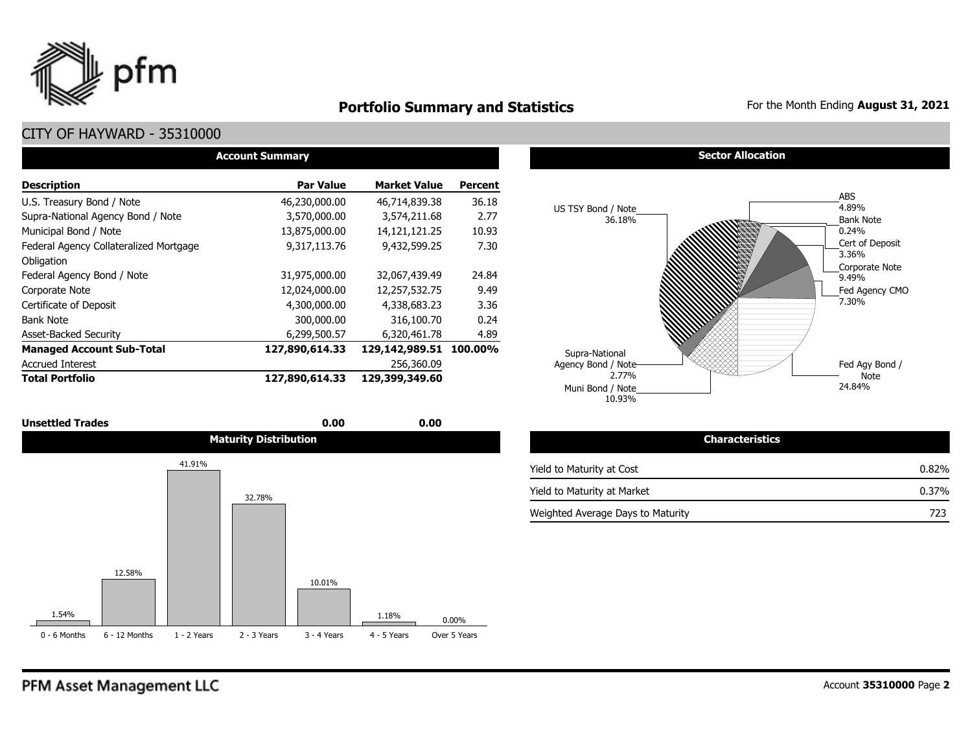

# **Portfolio Summary and Statistics** For the Month Ending August 31, 2021

### CITY OF HAYWARD - 35310000

| <b>Account Summary</b>                 |                  |                     |                |  |  |  |  |  |  |
|----------------------------------------|------------------|---------------------|----------------|--|--|--|--|--|--|
| <b>Description</b>                     | <b>Par Value</b> | <b>Market Value</b> | <b>Percent</b> |  |  |  |  |  |  |
| U.S. Treasury Bond / Note              | 46,230,000.00    | 46,714,839.38       | 36.18          |  |  |  |  |  |  |
| Supra-National Agency Bond / Note      | 3,570,000.00     | 3,574,211.68        | 2.77           |  |  |  |  |  |  |
| Municipal Bond / Note                  | 13,875,000.00    | 14, 121, 121. 25    | 10.93          |  |  |  |  |  |  |
| Federal Agency Collateralized Mortgage | 9,317,113.76     | 9,432,599.25        | 7.30           |  |  |  |  |  |  |
| Obligation                             |                  |                     |                |  |  |  |  |  |  |
| Federal Agency Bond / Note             | 31,975,000.00    | 32,067,439.49       | 24.84          |  |  |  |  |  |  |
| Corporate Note                         | 12,024,000.00    | 12,257,532.75       | 9.49           |  |  |  |  |  |  |
| Certificate of Deposit                 | 4,300,000.00     | 4,338,683.23        | 3.36           |  |  |  |  |  |  |
| <b>Bank Note</b>                       | 300,000.00       | 316,100.70          | 0.24           |  |  |  |  |  |  |
| <b>Asset-Backed Security</b>           | 6,299,500.57     | 6.320.461.78        | 4.89           |  |  |  |  |  |  |
| <b>Managed Account Sub-Total</b>       | 127,890,614.33   | 129,142,989.51      | 100.00%        |  |  |  |  |  |  |
| <b>Accrued Interest</b>                |                  | 256,360.09          |                |  |  |  |  |  |  |
| <b>Total Portfolio</b>                 | 127,890,614.33   | 129,399,349.60      |                |  |  |  |  |  |  |

| <b>Unsettled Trades</b> | 0.00<br>$  -$                | 0.00<br>$  -$ |                                       |
|-------------------------|------------------------------|---------------|---------------------------------------|
|                         | <b>Maturity Distribution</b> |               | Ch <sub>3</sub> .<br>terístics<br>ыаг |



#### **Sector Allocation**



| <b>Characteristics</b>            |          |
|-----------------------------------|----------|
| Yield to Maturity at Cost         | 0.82%    |
| Yield to Maturity at Market       | $0.37\%$ |
| Weighted Average Days to Maturity | 723      |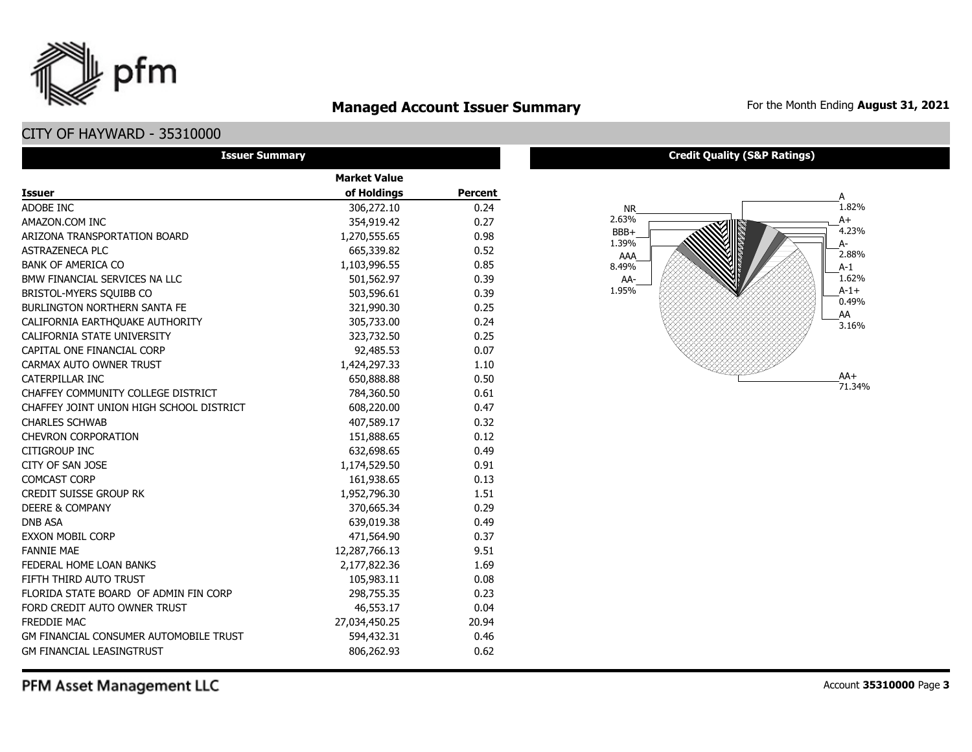

# **Managed Account Issuer Summary** For the Month Ending August 31, 2021

## CITY OF HAYWARD - 35310000

| <b>Issuer Summary</b>                         |                     |                |
|-----------------------------------------------|---------------------|----------------|
|                                               | <b>Market Value</b> |                |
| <b>Issuer</b>                                 | of Holdings         | <b>Percent</b> |
| ADOBE INC                                     | 306,272.10          | 0.24           |
| AMAZON.COM INC                                | 354,919.42          | 0.27           |
| ARIZONA TRANSPORTATION BOARD                  | 1,270,555.65        | 0.98           |
| <b>ASTRAZENECA PLC</b>                        | 665,339.82          | 0.52           |
| <b>BANK OF AMERICA CO</b>                     | 1,103,996.55        | 0.85           |
| BMW FINANCIAL SERVICES NA LLC                 | 501,562.97          | 0.39           |
| BRISTOL-MYERS SQUIBB CO                       | 503,596.61          | 0.39           |
| <b>BURLINGTON NORTHERN SANTA FE</b>           | 321,990.30          | 0.25           |
| CALIFORNIA EARTHQUAKE AUTHORITY               | 305,733.00          | 0.24           |
| CALIFORNIA STATE UNIVERSITY                   | 323,732.50          | 0.25           |
| CAPITAL ONE FINANCIAL CORP                    | 92,485.53           | 0.07           |
| CARMAX AUTO OWNER TRUST                       | 1,424,297.33        | 1.10           |
| <b>CATERPILLAR INC</b>                        | 650,888.88          | 0.50           |
| CHAFFEY COMMUNITY COLLEGE DISTRICT            | 784,360.50          | 0.61           |
| CHAFFEY JOINT UNION HIGH SCHOOL DISTRICT      | 608,220.00          | 0.47           |
| <b>CHARLES SCHWAB</b>                         | 407,589.17          | 0.32           |
| <b>CHEVRON CORPORATION</b>                    | 151,888.65          | 0.12           |
| <b>CITIGROUP INC</b>                          | 632,698.65          | 0.49           |
| CITY OF SAN JOSE                              | 1,174,529.50        | 0.91           |
| <b>COMCAST CORP</b>                           | 161,938.65          | 0.13           |
| <b>CREDIT SUISSE GROUP RK</b>                 | 1,952,796.30        | 1.51           |
| <b>DEERE &amp; COMPANY</b>                    | 370,665.34          | 0.29           |
| <b>DNB ASA</b>                                | 639,019.38          | 0.49           |
| <b>EXXON MOBIL CORP</b>                       | 471,564.90          | 0.37           |
| <b>FANNIE MAE</b>                             | 12,287,766.13       | 9.51           |
| FEDERAL HOME LOAN BANKS                       | 2,177,822.36        | 1.69           |
| FIFTH THIRD AUTO TRUST                        | 105,983.11          | 0.08           |
| FLORIDA STATE BOARD OF ADMIN FIN CORP         | 298,755.35          | 0.23           |
| FORD CREDIT AUTO OWNER TRUST                  | 46,553.17           | 0.04           |
| <b>FREDDIE MAC</b>                            | 27,034,450.25       | 20.94          |
| <b>GM FINANCIAL CONSUMER AUTOMOBILE TRUST</b> | 594,432.31          | 0.46           |
| <b>GM FINANCIAL LEASINGTRUST</b>              | 806,262.93          | 0.62           |

#### **Credit Quality (S&P Ratings)**



PFM Asset Management LLC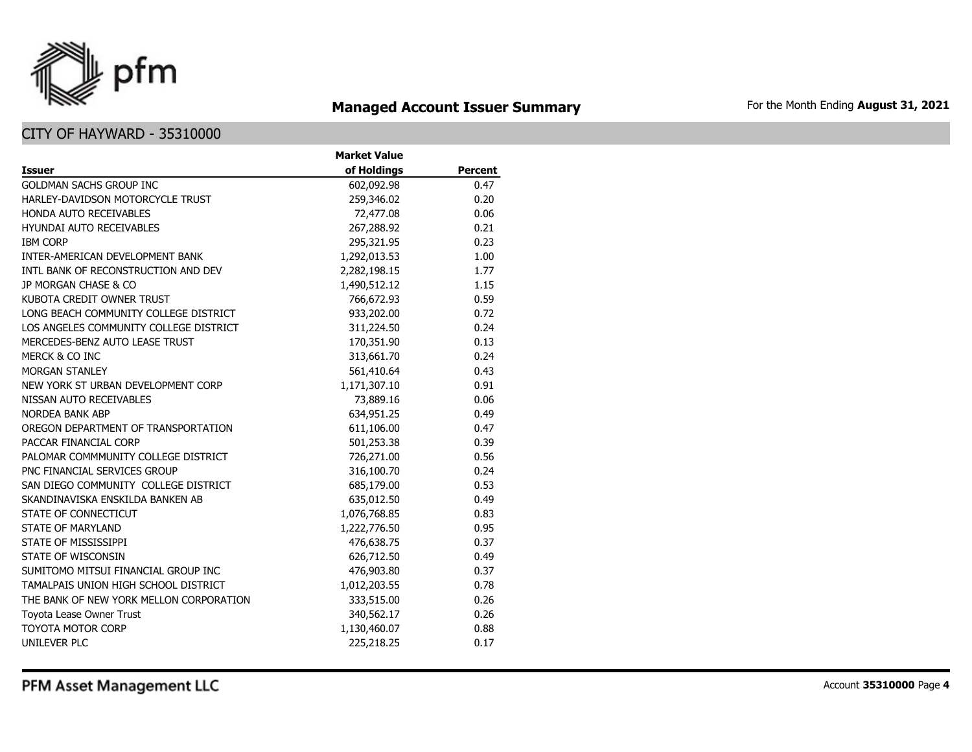

# **Managed Account Issuer Summary** For the Month Ending August 31, 2021

|                                         | <b>Market Value</b> |                |
|-----------------------------------------|---------------------|----------------|
| <b>Issuer</b>                           | of Holdings         | <b>Percent</b> |
| <b>GOLDMAN SACHS GROUP INC</b>          | 602,092.98          | 0.47           |
| HARLEY-DAVIDSON MOTORCYCLE TRUST        | 259,346.02          | 0.20           |
| <b>HONDA AUTO RECEIVABLES</b>           | 72,477.08           | 0.06           |
| <b>HYUNDAI AUTO RECEIVABLES</b>         | 267,288.92          | 0.21           |
| <b>IBM CORP</b>                         | 295,321.95          | 0.23           |
| INTER-AMERICAN DEVELOPMENT BANK         | 1,292,013.53        | 1.00           |
| INTL BANK OF RECONSTRUCTION AND DEV     | 2,282,198.15        | 1.77           |
| JP MORGAN CHASE & CO                    | 1,490,512.12        | 1.15           |
| KUBOTA CREDIT OWNER TRUST               | 766,672.93          | 0.59           |
| LONG BEACH COMMUNITY COLLEGE DISTRICT   | 933,202.00          | 0.72           |
| LOS ANGELES COMMUNITY COLLEGE DISTRICT  | 311,224.50          | 0.24           |
| MERCEDES-BENZ AUTO LEASE TRUST          | 170,351.90          | 0.13           |
| MERCK & CO INC                          | 313,661.70          | 0.24           |
| MORGAN STANLEY                          | 561,410.64          | 0.43           |
| NEW YORK ST URBAN DEVELOPMENT CORP      | 1,171,307.10        | 0.91           |
| NISSAN AUTO RECEIVABLES                 | 73,889.16           | 0.06           |
| <b>NORDEA BANK ABP</b>                  | 634,951.25          | 0.49           |
| OREGON DEPARTMENT OF TRANSPORTATION     | 611,106.00          | 0.47           |
| PACCAR FINANCIAL CORP                   | 501,253.38          | 0.39           |
| PALOMAR COMMMUNITY COLLEGE DISTRICT     | 726,271.00          | 0.56           |
| PNC FINANCIAL SERVICES GROUP            | 316,100.70          | 0.24           |
| SAN DIEGO COMMUNITY COLLEGE DISTRICT    | 685,179.00          | 0.53           |
| SKANDINAVISKA ENSKILDA BANKEN AB        | 635,012.50          | 0.49           |
| STATE OF CONNECTICUT                    | 1,076,768.85        | 0.83           |
| <b>STATE OF MARYLAND</b>                | 1,222,776.50        | 0.95           |
| STATE OF MISSISSIPPI                    | 476,638.75          | 0.37           |
| STATE OF WISCONSIN                      | 626,712.50          | 0.49           |
| SUMITOMO MITSUI FINANCIAL GROUP INC     | 476,903.80          | 0.37           |
| TAMALPAIS UNION HIGH SCHOOL DISTRICT    | 1,012,203.55        | 0.78           |
| THE BANK OF NEW YORK MELLON CORPORATION | 333,515.00          | 0.26           |
| Toyota Lease Owner Trust                | 340,562.17          | 0.26           |
| <b>TOYOTA MOTOR CORP</b>                | 1,130,460.07        | 0.88           |
| <b>UNILEVER PLC</b>                     | 225,218.25          | 0.17           |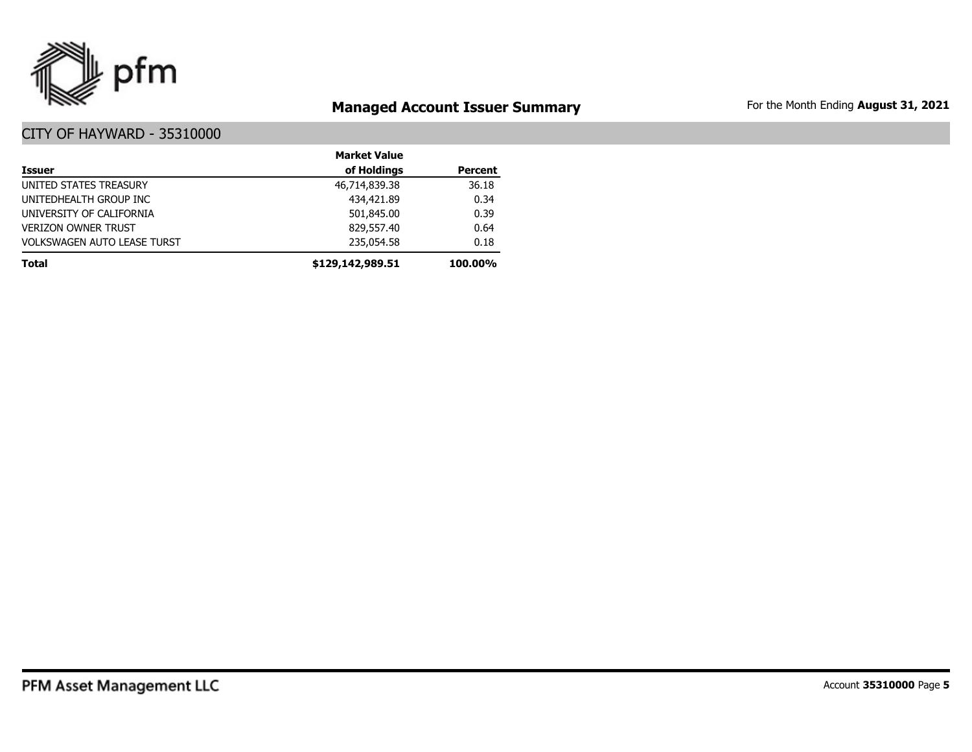

# **Managed Account Issuer Summary** For the Month Ending August 31, 2021

|                                    | <b>Market Value</b> |                |
|------------------------------------|---------------------|----------------|
| <b>Issuer</b>                      | of Holdings         | <b>Percent</b> |
| UNITED STATES TREASURY             | 46,714,839.38       | 36.18          |
| UNITEDHEALTH GROUP INC             | 434,421.89          | 0.34           |
| UNIVERSITY OF CALIFORNIA           | 501,845.00          | 0.39           |
| <b>VERIZON OWNER TRUST</b>         | 829,557.40          | 0.64           |
| <b>VOLKSWAGEN AUTO LEASE TURST</b> | 235,054.58          | 0.18           |
| <b>Total</b>                       | \$129,142,989.51    | 100.00%        |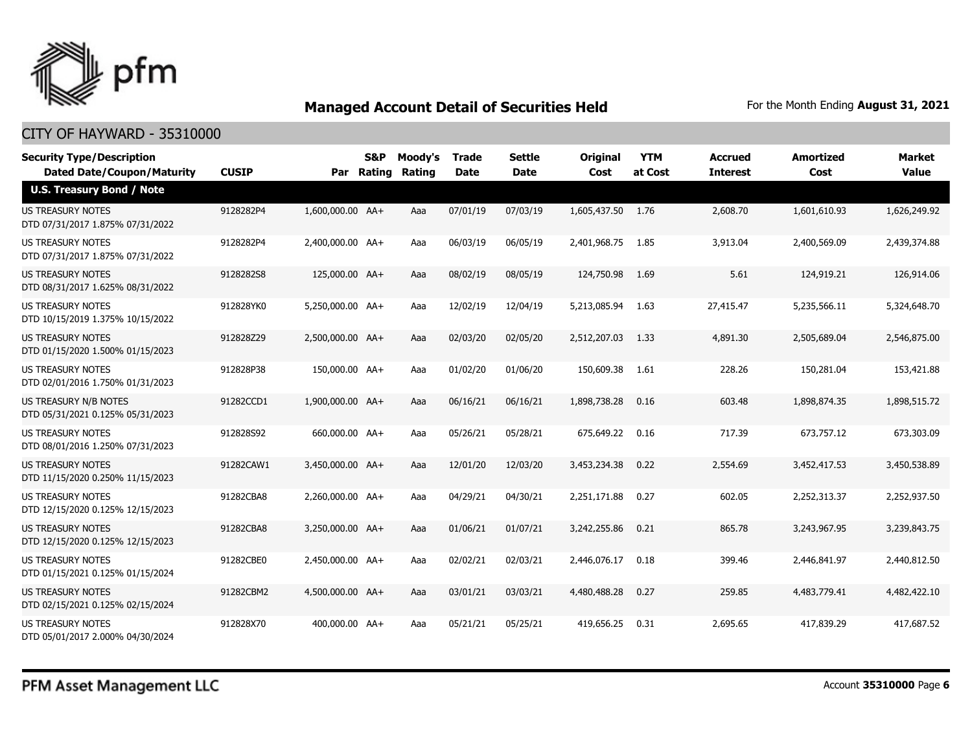

| <b>Security Type/Description</b><br><b>Dated Date/Coupon/Maturity</b> | <b>CUSIP</b> |                  | S&P<br>Par Rating | Moody's<br><b>Rating</b> | <b>Trade</b><br><b>Date</b> | Settle<br><b>Date</b> | <b>Original</b><br>Cost | <b>YTM</b><br>at Cost | <b>Accrued</b><br><b>Interest</b> | <b>Amortized</b><br>Cost | Market<br><b>Value</b> |
|-----------------------------------------------------------------------|--------------|------------------|-------------------|--------------------------|-----------------------------|-----------------------|-------------------------|-----------------------|-----------------------------------|--------------------------|------------------------|
| <b>U.S. Treasury Bond / Note</b>                                      |              |                  |                   |                          |                             |                       |                         |                       |                                   |                          |                        |
| <b>US TREASURY NOTES</b><br>DTD 07/31/2017 1.875% 07/31/2022          | 9128282P4    | 1,600,000.00 AA+ |                   | Aaa                      | 07/01/19                    | 07/03/19              | 1,605,437.50            | 1.76                  | 2,608.70                          | 1,601,610.93             | 1,626,249.92           |
| <b>US TREASURY NOTES</b><br>DTD 07/31/2017 1.875% 07/31/2022          | 9128282P4    | 2,400,000.00 AA+ |                   | Aaa                      | 06/03/19                    | 06/05/19              | 2,401,968.75            | 1.85                  | 3,913.04                          | 2,400,569.09             | 2,439,374.88           |
| <b>US TREASURY NOTES</b><br>DTD 08/31/2017 1.625% 08/31/2022          | 9128282S8    | 125,000.00 AA+   |                   | Aaa                      | 08/02/19                    | 08/05/19              | 124,750.98              | 1.69                  | 5.61                              | 124,919.21               | 126,914.06             |
| <b>US TREASURY NOTES</b><br>DTD 10/15/2019 1.375% 10/15/2022          | 912828YK0    | 5,250,000.00 AA+ |                   | Aaa                      | 12/02/19                    | 12/04/19              | 5,213,085.94            | 1.63                  | 27,415.47                         | 5,235,566.11             | 5,324,648.70           |
| <b>US TREASURY NOTES</b><br>DTD 01/15/2020 1.500% 01/15/2023          | 912828Z29    | 2,500,000.00 AA+ |                   | Aaa                      | 02/03/20                    | 02/05/20              | 2,512,207.03            | 1.33                  | 4,891.30                          | 2,505,689.04             | 2,546,875.00           |
| <b>US TREASURY NOTES</b><br>DTD 02/01/2016 1.750% 01/31/2023          | 912828P38    | 150,000.00 AA+   |                   | Aaa                      | 01/02/20                    | 01/06/20              | 150,609.38              | 1.61                  | 228.26                            | 150,281.04               | 153,421.88             |
| <b>US TREASURY N/B NOTES</b><br>DTD 05/31/2021 0.125% 05/31/2023      | 91282CCD1    | 1,900,000.00 AA+ |                   | Aaa                      | 06/16/21                    | 06/16/21              | 1,898,738.28            | 0.16                  | 603.48                            | 1,898,874.35             | 1,898,515.72           |
| <b>US TREASURY NOTES</b><br>DTD 08/01/2016 1.250% 07/31/2023          | 912828S92    | 660,000.00 AA+   |                   | Aaa                      | 05/26/21                    | 05/28/21              | 675,649.22              | 0.16                  | 717.39                            | 673,757.12               | 673,303.09             |
| US TREASURY NOTES<br>DTD 11/15/2020 0.250% 11/15/2023                 | 91282CAW1    | 3,450,000.00 AA+ |                   | Aaa                      | 12/01/20                    | 12/03/20              | 3,453,234.38            | 0.22                  | 2,554.69                          | 3,452,417.53             | 3,450,538.89           |
| <b>US TREASURY NOTES</b><br>DTD 12/15/2020 0.125% 12/15/2023          | 91282CBA8    | 2.260.000.00 AA+ |                   | Aaa                      | 04/29/21                    | 04/30/21              | 2,251,171.88            | 0.27                  | 602.05                            | 2,252,313.37             | 2,252,937.50           |
| <b>US TREASURY NOTES</b><br>DTD 12/15/2020 0.125% 12/15/2023          | 91282CBA8    | 3,250,000.00 AA+ |                   | Aaa                      | 01/06/21                    | 01/07/21              | 3,242,255.86            | 0.21                  | 865.78                            | 3,243,967.95             | 3,239,843.75           |
| <b>US TREASURY NOTES</b><br>DTD 01/15/2021 0.125% 01/15/2024          | 91282CBE0    | 2,450,000.00 AA+ |                   | Aaa                      | 02/02/21                    | 02/03/21              | 2,446,076.17            | 0.18                  | 399.46                            | 2,446,841.97             | 2,440,812.50           |
| <b>US TREASURY NOTES</b><br>DTD 02/15/2021 0.125% 02/15/2024          | 91282CBM2    | 4,500,000.00 AA+ |                   | Aaa                      | 03/01/21                    | 03/03/21              | 4,480,488.28            | 0.27                  | 259.85                            | 4,483,779.41             | 4,482,422.10           |
| <b>US TREASURY NOTES</b><br>DTD 05/01/2017 2.000% 04/30/2024          | 912828X70    | 400,000.00 AA+   |                   | Aaa                      | 05/21/21                    | 05/25/21              | 419,656.25              | 0.31                  | 2,695.65                          | 417,839.29               | 417,687.52             |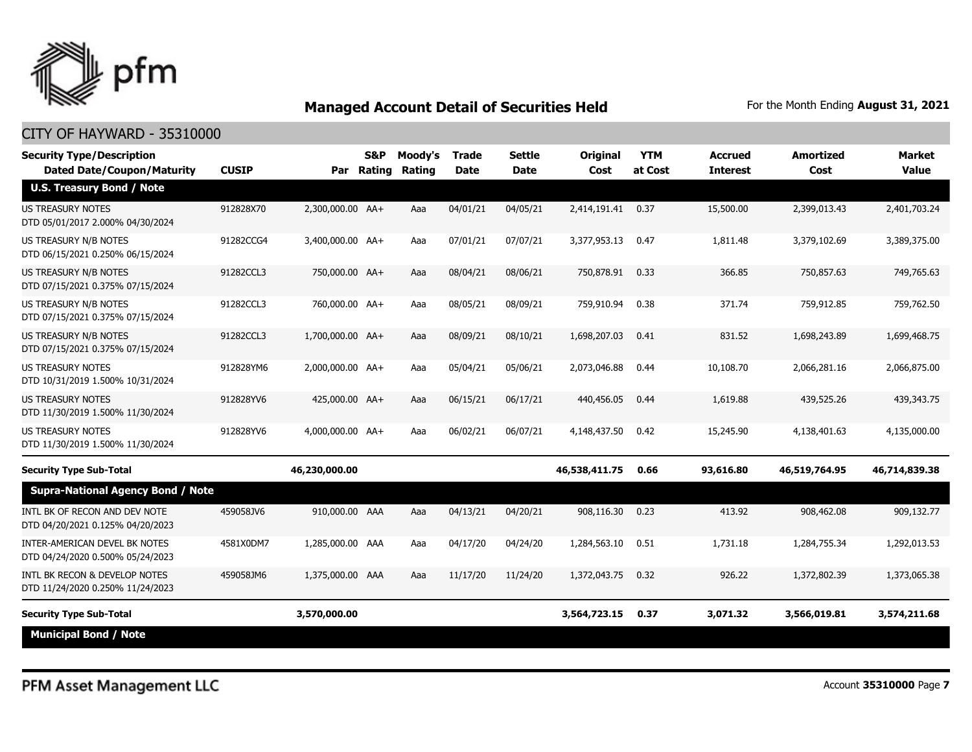

| <b>Security Type/Description</b><br><b>Dated Date/Coupon/Maturity</b> | <b>CUSIP</b> | Par              | S&P<br>Rating | Moody's<br>Rating | <b>Trade</b><br><b>Date</b> | <b>Settle</b><br><b>Date</b> | <b>Original</b><br>Cost | <b>YTM</b><br>at Cost | <b>Accrued</b><br><b>Interest</b> | <b>Amortized</b><br>Cost | <b>Market</b><br><b>Value</b> |
|-----------------------------------------------------------------------|--------------|------------------|---------------|-------------------|-----------------------------|------------------------------|-------------------------|-----------------------|-----------------------------------|--------------------------|-------------------------------|
| <b>U.S. Treasury Bond / Note</b>                                      |              |                  |               |                   |                             |                              |                         |                       |                                   |                          |                               |
| <b>US TREASURY NOTES</b><br>DTD 05/01/2017 2.000% 04/30/2024          | 912828X70    | 2,300,000.00 AA+ |               | Aaa               | 04/01/21                    | 04/05/21                     | 2,414,191.41            | 0.37                  | 15,500.00                         | 2,399,013.43             | 2,401,703.24                  |
| US TREASURY N/B NOTES<br>DTD 06/15/2021 0.250% 06/15/2024             | 91282CCG4    | 3,400,000.00 AA+ |               | Aaa               | 07/01/21                    | 07/07/21                     | 3,377,953.13            | 0.47                  | 1,811.48                          | 3,379,102.69             | 3,389,375.00                  |
| US TREASURY N/B NOTES<br>DTD 07/15/2021 0.375% 07/15/2024             | 91282CCL3    | 750,000.00 AA+   |               | Aaa               | 08/04/21                    | 08/06/21                     | 750,878.91              | 0.33                  | 366.85                            | 750,857.63               | 749,765.63                    |
| US TREASURY N/B NOTES<br>DTD 07/15/2021 0.375% 07/15/2024             | 91282CCL3    | 760,000.00 AA+   |               | Aaa               | 08/05/21                    | 08/09/21                     | 759,910.94              | 0.38                  | 371.74                            | 759,912.85               | 759,762.50                    |
| US TREASURY N/B NOTES<br>DTD 07/15/2021 0.375% 07/15/2024             | 91282CCL3    | 1,700,000.00 AA+ |               | Aaa               | 08/09/21                    | 08/10/21                     | 1,698,207.03            | 0.41                  | 831.52                            | 1,698,243.89             | 1,699,468.75                  |
| <b>US TREASURY NOTES</b><br>DTD 10/31/2019 1.500% 10/31/2024          | 912828YM6    | 2,000,000.00 AA+ |               | Aaa               | 05/04/21                    | 05/06/21                     | 2,073,046.88            | 0.44                  | 10,108.70                         | 2,066,281.16             | 2,066,875.00                  |
| US TREASURY NOTES<br>DTD 11/30/2019 1.500% 11/30/2024                 | 912828YV6    | 425,000.00 AA+   |               | Aaa               | 06/15/21                    | 06/17/21                     | 440,456.05              | 0.44                  | 1,619.88                          | 439,525.26               | 439,343.75                    |
| <b>US TREASURY NOTES</b><br>DTD 11/30/2019 1.500% 11/30/2024          | 912828YV6    | 4,000,000.00 AA+ |               | Aaa               | 06/02/21                    | 06/07/21                     | 4,148,437.50            | 0.42                  | 15,245.90                         | 4,138,401.63             | 4,135,000.00                  |
| <b>Security Type Sub-Total</b>                                        |              | 46,230,000.00    |               |                   |                             |                              | 46,538,411.75           | 0.66                  | 93,616.80                         | 46,519,764.95            | 46,714,839.38                 |
| <b>Supra-National Agency Bond / Note</b>                              |              |                  |               |                   |                             |                              |                         |                       |                                   |                          |                               |
| INTL BK OF RECON AND DEV NOTE<br>DTD 04/20/2021 0.125% 04/20/2023     | 459058JV6    | 910,000.00 AAA   |               | Aaa               | 04/13/21                    | 04/20/21                     | 908,116.30              | 0.23                  | 413.92                            | 908,462.08               | 909,132,77                    |
| INTER-AMERICAN DEVEL BK NOTES<br>DTD 04/24/2020 0.500% 05/24/2023     | 4581X0DM7    | 1,285,000.00 AAA |               | Aaa               | 04/17/20                    | 04/24/20                     | 1,284,563.10            | 0.51                  | 1,731.18                          | 1,284,755.34             | 1,292,013.53                  |
| INTL BK RECON & DEVELOP NOTES<br>DTD 11/24/2020 0.250% 11/24/2023     | 459058JM6    | 1,375,000.00 AAA |               | Aaa               | 11/17/20                    | 11/24/20                     | 1,372,043.75            | 0.32                  | 926.22                            | 1,372,802.39             | 1,373,065.38                  |
| <b>Security Type Sub-Total</b>                                        |              | 3,570,000.00     |               |                   |                             |                              | 3,564,723.15            | 0.37                  | 3,071.32                          | 3,566,019.81             | 3,574,211.68                  |
| <b>Municipal Bond / Note</b>                                          |              |                  |               |                   |                             |                              |                         |                       |                                   |                          |                               |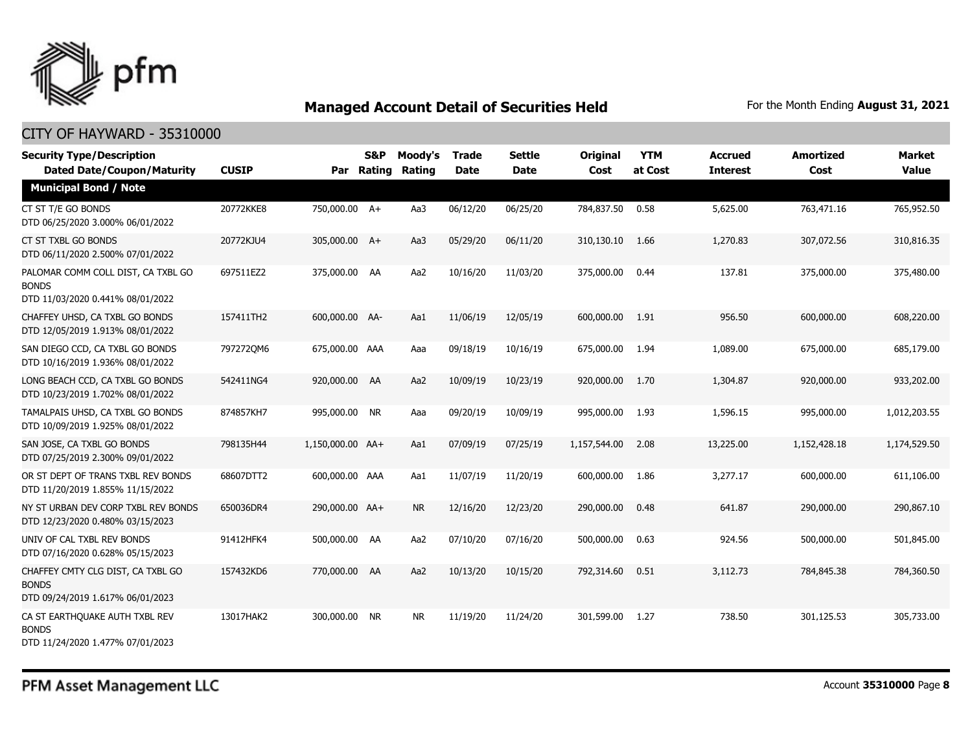

| <b>Security Type/Description</b><br><b>Dated Date/Coupon/Maturity</b>                  | <b>CUSIP</b> |                  | S&P<br>Par Rating | Moody's<br><b>Rating</b> | Trade<br><b>Date</b> | <b>Settle</b><br><b>Date</b> | <b>Original</b><br>Cost | <b>YTM</b><br>at Cost | <b>Accrued</b><br><b>Interest</b> | <b>Amortized</b><br>Cost | <b>Market</b><br><b>Value</b> |
|----------------------------------------------------------------------------------------|--------------|------------------|-------------------|--------------------------|----------------------|------------------------------|-------------------------|-----------------------|-----------------------------------|--------------------------|-------------------------------|
| <b>Municipal Bond / Note</b>                                                           |              |                  |                   |                          |                      |                              |                         |                       |                                   |                          |                               |
| CT ST T/E GO BONDS<br>DTD 06/25/2020 3.000% 06/01/2022                                 | 20772KKE8    | 750,000.00 A+    |                   | Aa3                      | 06/12/20             | 06/25/20                     | 784,837.50              | 0.58                  | 5,625.00                          | 763,471.16               | 765,952.50                    |
| CT ST TXBL GO BONDS<br>DTD 06/11/2020 2.500% 07/01/2022                                | 20772KJU4    | 305,000.00 A+    |                   | Aa3                      | 05/29/20             | 06/11/20                     | 310,130.10              | 1.66                  | 1,270.83                          | 307,072.56               | 310,816.35                    |
| PALOMAR COMM COLL DIST, CA TXBL GO<br><b>BONDS</b><br>DTD 11/03/2020 0.441% 08/01/2022 | 697511EZ2    | 375,000.00 AA    |                   | Aa2                      | 10/16/20             | 11/03/20                     | 375,000.00              | 0.44                  | 137.81                            | 375,000.00               | 375,480.00                    |
| CHAFFEY UHSD, CA TXBL GO BONDS<br>DTD 12/05/2019 1.913% 08/01/2022                     | 157411TH2    | 600,000.00 AA-   |                   | Aa1                      | 11/06/19             | 12/05/19                     | 600,000.00              | 1.91                  | 956.50                            | 600,000.00               | 608,220.00                    |
| SAN DIEGO CCD, CA TXBL GO BONDS<br>DTD 10/16/2019 1.936% 08/01/2022                    | 7972720M6    | 675,000.00 AAA   |                   | Aaa                      | 09/18/19             | 10/16/19                     | 675,000.00              | 1.94                  | 1,089.00                          | 675,000.00               | 685,179.00                    |
| LONG BEACH CCD, CA TXBL GO BONDS<br>DTD 10/23/2019 1.702% 08/01/2022                   | 542411NG4    | 920,000.00 AA    |                   | Aa2                      | 10/09/19             | 10/23/19                     | 920,000.00              | 1.70                  | 1,304.87                          | 920,000.00               | 933,202.00                    |
| TAMALPAIS UHSD, CA TXBL GO BONDS<br>DTD 10/09/2019 1.925% 08/01/2022                   | 874857KH7    | 995,000.00 NR    |                   | Aaa                      | 09/20/19             | 10/09/19                     | 995,000.00              | 1.93                  | 1,596.15                          | 995,000.00               | 1,012,203.55                  |
| SAN JOSE, CA TXBL GO BONDS<br>DTD 07/25/2019 2.300% 09/01/2022                         | 798135H44    | 1,150,000.00 AA+ |                   | Aa1                      | 07/09/19             | 07/25/19                     | 1,157,544.00            | 2.08                  | 13,225.00                         | 1,152,428.18             | 1,174,529.50                  |
| OR ST DEPT OF TRANS TXBL REV BONDS<br>DTD 11/20/2019 1.855% 11/15/2022                 | 68607DTT2    | 600,000.00 AAA   |                   | Aa1                      | 11/07/19             | 11/20/19                     | 600,000.00              | 1.86                  | 3,277.17                          | 600,000.00               | 611,106.00                    |
| NY ST URBAN DEV CORP TXBL REV BONDS<br>DTD 12/23/2020 0.480% 03/15/2023                | 650036DR4    | 290,000.00 AA+   |                   | <b>NR</b>                | 12/16/20             | 12/23/20                     | 290,000.00              | 0.48                  | 641.87                            | 290,000.00               | 290,867.10                    |
| UNIV OF CAL TXBL REV BONDS<br>DTD 07/16/2020 0.628% 05/15/2023                         | 91412HFK4    | 500,000.00 AA    |                   | Aa2                      | 07/10/20             | 07/16/20                     | 500,000.00              | 0.63                  | 924.56                            | 500,000.00               | 501,845.00                    |
| CHAFFEY CMTY CLG DIST, CA TXBL GO<br><b>BONDS</b><br>DTD 09/24/2019 1.617% 06/01/2023  | 157432KD6    | 770,000.00 AA    |                   | Aa2                      | 10/13/20             | 10/15/20                     | 792,314.60              | 0.51                  | 3,112.73                          | 784,845.38               | 784,360.50                    |
| CA ST EARTHQUAKE AUTH TXBL REV<br><b>BONDS</b><br>DTD 11/24/2020 1.477% 07/01/2023     | 13017HAK2    | 300,000.00 NR    |                   | <b>NR</b>                | 11/19/20             | 11/24/20                     | 301,599.00              | 1.27                  | 738.50                            | 301,125.53               | 305,733.00                    |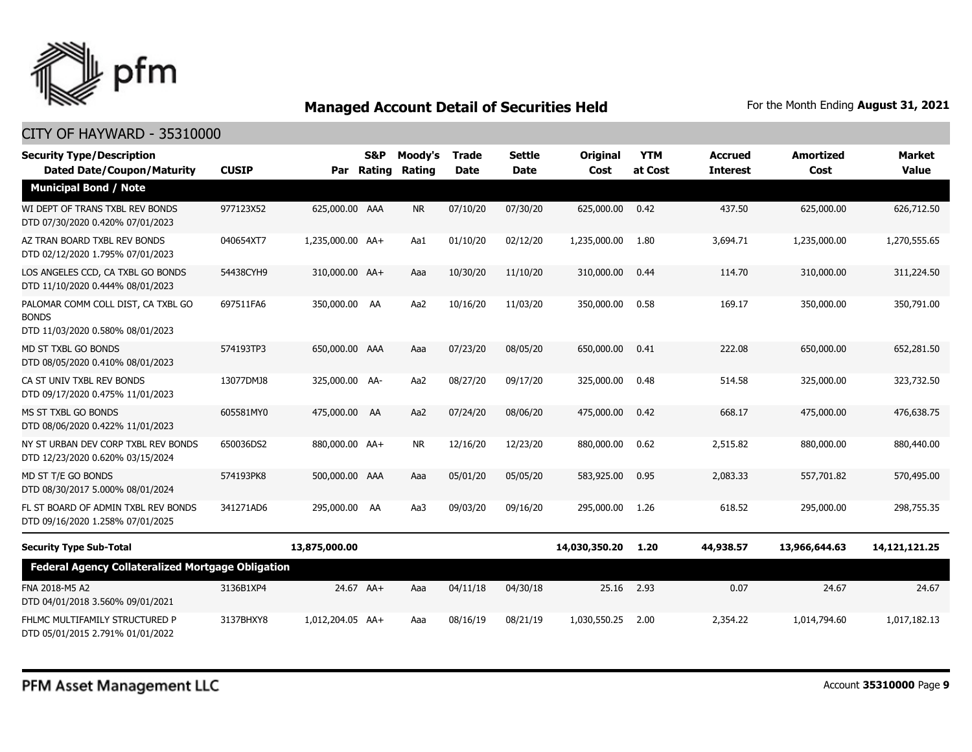

| <b>Security Type/Description</b><br><b>Dated Date/Coupon/Maturity</b>                  | <b>CUSIP</b> | Par              | S&P<br>Rating | Moody's<br>Rating | <b>Trade</b><br><b>Date</b> | <b>Settle</b><br><b>Date</b> | <b>Original</b><br>Cost | <b>YTM</b><br>at Cost | <b>Accrued</b><br><b>Interest</b> | <b>Amortized</b><br>Cost | <b>Market</b><br><b>Value</b> |
|----------------------------------------------------------------------------------------|--------------|------------------|---------------|-------------------|-----------------------------|------------------------------|-------------------------|-----------------------|-----------------------------------|--------------------------|-------------------------------|
| <b>Municipal Bond / Note</b>                                                           |              |                  |               |                   |                             |                              |                         |                       |                                   |                          |                               |
| WI DEPT OF TRANS TXBL REV BONDS<br>DTD 07/30/2020 0.420% 07/01/2023                    | 977123X52    | 625,000.00 AAA   |               | <b>NR</b>         | 07/10/20                    | 07/30/20                     | 625,000.00              | 0.42                  | 437.50                            | 625,000.00               | 626,712.50                    |
| AZ TRAN BOARD TXBL REV BONDS<br>DTD 02/12/2020 1.795% 07/01/2023                       | 040654XT7    | 1,235,000.00 AA+ |               | Aa1               | 01/10/20                    | 02/12/20                     | 1,235,000.00            | 1.80                  | 3,694.71                          | 1,235,000.00             | 1,270,555.65                  |
| LOS ANGELES CCD, CA TXBL GO BONDS<br>DTD 11/10/2020 0.444% 08/01/2023                  | 54438CYH9    | 310,000.00 AA+   |               | Aaa               | 10/30/20                    | 11/10/20                     | 310,000.00              | 0.44                  | 114.70                            | 310,000.00               | 311,224.50                    |
| PALOMAR COMM COLL DIST, CA TXBL GO<br><b>BONDS</b><br>DTD 11/03/2020 0.580% 08/01/2023 | 697511FA6    | 350,000.00 AA    |               | Aa2               | 10/16/20                    | 11/03/20                     | 350,000.00              | 0.58                  | 169.17                            | 350,000.00               | 350,791.00                    |
| MD ST TXBL GO BONDS<br>DTD 08/05/2020 0.410% 08/01/2023                                | 574193TP3    | 650,000.00 AAA   |               | Aaa               | 07/23/20                    | 08/05/20                     | 650,000.00              | 0.41                  | 222.08                            | 650,000.00               | 652,281.50                    |
| CA ST UNIV TXBL REV BONDS<br>DTD 09/17/2020 0.475% 11/01/2023                          | 13077DMJ8    | 325,000.00 AA-   |               | Aa2               | 08/27/20                    | 09/17/20                     | 325,000.00              | 0.48                  | 514.58                            | 325,000.00               | 323,732.50                    |
| MS ST TXBL GO BONDS<br>DTD 08/06/2020 0.422% 11/01/2023                                | 605581MY0    | 475,000.00 AA    |               | Aa2               | 07/24/20                    | 08/06/20                     | 475,000.00              | 0.42                  | 668.17                            | 475,000.00               | 476,638.75                    |
| NY ST URBAN DEV CORP TXBL REV BONDS<br>DTD 12/23/2020 0.620% 03/15/2024                | 650036DS2    | 880,000.00 AA+   |               | <b>NR</b>         | 12/16/20                    | 12/23/20                     | 880,000.00              | 0.62                  | 2,515.82                          | 880,000.00               | 880,440.00                    |
| MD ST T/E GO BONDS<br>DTD 08/30/2017 5.000% 08/01/2024                                 | 574193PK8    | 500,000.00 AAA   |               | Aaa               | 05/01/20                    | 05/05/20                     | 583,925.00              | 0.95                  | 2,083.33                          | 557,701.82               | 570,495.00                    |
| FL ST BOARD OF ADMIN TXBL REV BONDS<br>DTD 09/16/2020 1.258% 07/01/2025                | 341271AD6    | 295,000.00 AA    |               | Aa3               | 09/03/20                    | 09/16/20                     | 295,000,00              | 1.26                  | 618.52                            | 295,000.00               | 298,755.35                    |
| <b>Security Type Sub-Total</b>                                                         |              | 13,875,000.00    |               |                   |                             |                              | 14,030,350.20           | 1.20                  | 44,938.57                         | 13,966,644.63            | 14,121,121.25                 |
| <b>Federal Agency Collateralized Mortgage Obligation</b>                               |              |                  |               |                   |                             |                              |                         |                       |                                   |                          |                               |
| FNA 2018-M5 A2<br>DTD 04/01/2018 3.560% 09/01/2021                                     | 3136B1XP4    | 24.67 AA+        |               | Aaa               | 04/11/18                    | 04/30/18                     | 25.16                   | 2.93                  | 0.07                              | 24.67                    | 24.67                         |
| FHLMC MULTIFAMILY STRUCTURED P<br>DTD 05/01/2015 2.791% 01/01/2022                     | 3137BHXY8    | 1,012,204.05 AA+ |               | Aaa               | 08/16/19                    | 08/21/19                     | 1,030,550.25            | 2.00                  | 2,354.22                          | 1,014,794.60             | 1,017,182.13                  |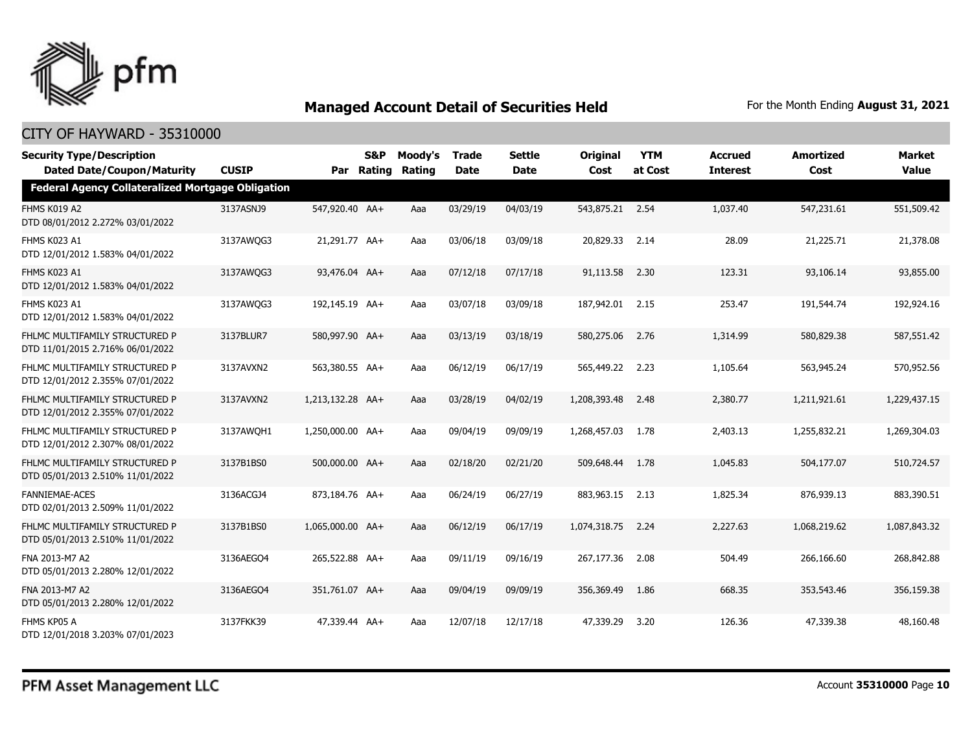

| <b>Security Type/Description</b>                                   |              |                  | <b>S&amp;P</b> | Moody's | <b>Trade</b> | <b>Settle</b> | <b>Original</b>   | <b>YTM</b> | <b>Accrued</b>  | <b>Amortized</b> | <b>Market</b> |
|--------------------------------------------------------------------|--------------|------------------|----------------|---------|--------------|---------------|-------------------|------------|-----------------|------------------|---------------|
| <b>Dated Date/Coupon/Maturity</b>                                  | <b>CUSIP</b> | Par              | <b>Rating</b>  | Rating  | <b>Date</b>  | <b>Date</b>   | Cost              | at Cost    | <b>Interest</b> | Cost             | <b>Value</b>  |
| <b>Federal Agency Collateralized Mortgage Obligation</b>           |              |                  |                |         |              |               |                   |            |                 |                  |               |
| FHMS K019 A2<br>DTD 08/01/2012 2.272% 03/01/2022                   | 3137ASNJ9    | 547,920.40 AA+   |                | Aaa     | 03/29/19     | 04/03/19      | 543,875.21 2.54   |            | 1,037.40        | 547,231.61       | 551,509.42    |
| FHMS K023 A1<br>DTD 12/01/2012 1.583% 04/01/2022                   | 3137AWQG3    | 21,291.77 AA+    |                | Aaa     | 03/06/18     | 03/09/18      | 20,829.33 2.14    |            | 28.09           | 21,225.71        | 21,378.08     |
| FHMS K023 A1<br>DTD 12/01/2012 1.583% 04/01/2022                   | 3137AWQG3    | 93,476.04 AA+    |                | Aaa     | 07/12/18     | 07/17/18      | 91,113.58         | 2.30       | 123.31          | 93,106.14        | 93,855.00     |
| FHMS K023 A1<br>DTD 12/01/2012 1.583% 04/01/2022                   | 3137AWQG3    | 192,145.19 AA+   |                | Aaa     | 03/07/18     | 03/09/18      | 187,942.01 2.15   |            | 253.47          | 191,544.74       | 192,924.16    |
| FHLMC MULTIFAMILY STRUCTURED P<br>DTD 11/01/2015 2.716% 06/01/2022 | 3137BLUR7    | 580,997.90 AA+   |                | Aaa     | 03/13/19     | 03/18/19      | 580,275.06        | 2.76       | 1,314.99        | 580,829.38       | 587,551.42    |
| FHLMC MULTIFAMILY STRUCTURED P<br>DTD 12/01/2012 2.355% 07/01/2022 | 3137AVXN2    | 563,380.55 AA+   |                | Aaa     | 06/12/19     | 06/17/19      | 565,449.22 2.23   |            | 1,105.64        | 563,945.24       | 570,952.56    |
| FHLMC MULTIFAMILY STRUCTURED P<br>DTD 12/01/2012 2.355% 07/01/2022 | 3137AVXN2    | 1,213,132.28 AA+ |                | Aaa     | 03/28/19     | 04/02/19      | 1,208,393.48      | 2.48       | 2,380.77        | 1,211,921.61     | 1,229,437.15  |
| FHLMC MULTIFAMILY STRUCTURED P<br>DTD 12/01/2012 2.307% 08/01/2022 | 3137AWOH1    | 1,250,000.00 AA+ |                | Aaa     | 09/04/19     | 09/09/19      | 1,268,457.03      | 1.78       | 2,403.13        | 1,255,832.21     | 1,269,304.03  |
| FHLMC MULTIFAMILY STRUCTURED P<br>DTD 05/01/2013 2.510% 11/01/2022 | 3137B1BS0    | 500,000.00 AA+   |                | Aaa     | 02/18/20     | 02/21/20      | 509,648.44        | 1.78       | 1,045.83        | 504,177.07       | 510,724.57    |
| <b>FANNIEMAE-ACES</b><br>DTD 02/01/2013 2.509% 11/01/2022          | 3136ACGJ4    | 873,184.76 AA+   |                | Aaa     | 06/24/19     | 06/27/19      | 883,963.15        | 2.13       | 1,825.34        | 876,939.13       | 883,390.51    |
| FHLMC MULTIFAMILY STRUCTURED P<br>DTD 05/01/2013 2.510% 11/01/2022 | 3137B1BS0    | 1,065,000.00 AA+ |                | Aaa     | 06/12/19     | 06/17/19      | 1,074,318,75 2,24 |            | 2,227.63        | 1,068,219.62     | 1,087,843,32  |
| FNA 2013-M7 A2<br>DTD 05/01/2013 2.280% 12/01/2022                 | 3136AEGO4    | 265,522.88 AA+   |                | Aaa     | 09/11/19     | 09/16/19      | 267,177.36        | 2.08       | 504.49          | 266,166.60       | 268,842.88    |
| FNA 2013-M7 A2<br>DTD 05/01/2013 2.280% 12/01/2022                 | 3136AEGO4    | 351,761.07 AA+   |                | Aaa     | 09/04/19     | 09/09/19      | 356,369.49        | 1.86       | 668.35          | 353,543.46       | 356,159.38    |
| FHMS KP05 A<br>DTD 12/01/2018 3.203% 07/01/2023                    | 3137FKK39    | 47,339.44 AA+    |                | Aaa     | 12/07/18     | 12/17/18      | 47,339.29         | 3.20       | 126.36          | 47,339.38        | 48,160.48     |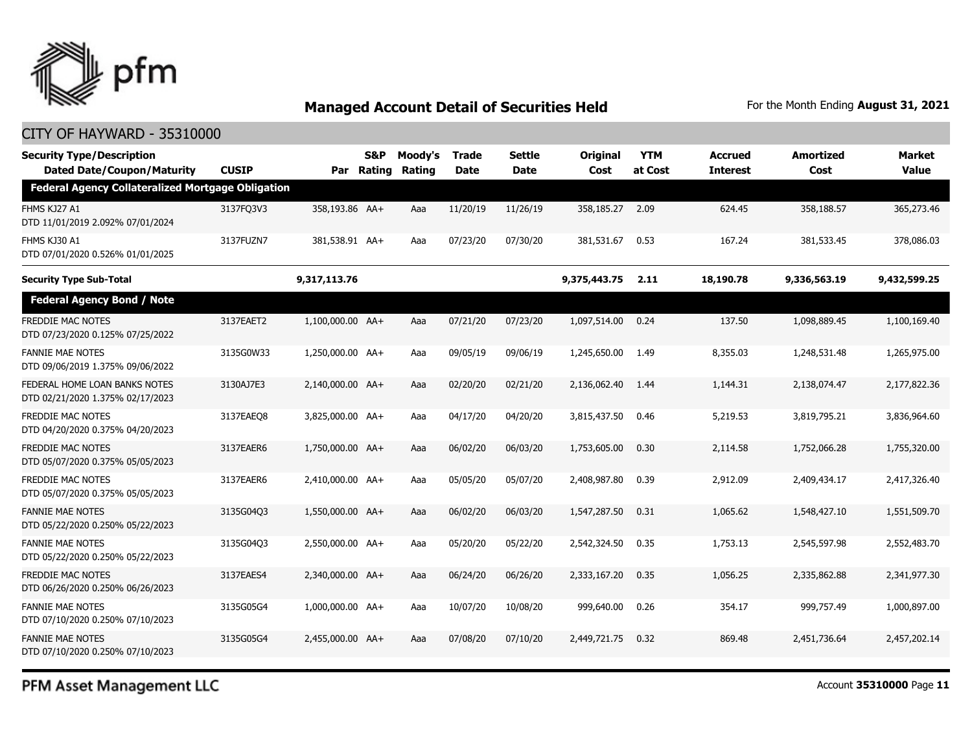

### CITY OF HAYWARD - 35310000

| <b>Security Type/Description</b><br><b>Dated Date/Coupon/Maturity</b> | <b>CUSIP</b> | Par              | <b>S&amp;P</b><br>Rating | Moody's<br>Rating | <b>Trade</b><br>Date | Settle<br>Date | <b>Original</b><br>Cost | <b>YTM</b><br>at Cost | <b>Accrued</b><br><b>Interest</b> | Amortized<br>Cost | <b>Market</b><br><b>Value</b> |
|-----------------------------------------------------------------------|--------------|------------------|--------------------------|-------------------|----------------------|----------------|-------------------------|-----------------------|-----------------------------------|-------------------|-------------------------------|
| <b>Federal Agency Collateralized Mortgage Obligation</b>              |              |                  |                          |                   |                      |                |                         |                       |                                   |                   |                               |
| FHMS KJ27 A1<br>DTD 11/01/2019 2.092% 07/01/2024                      | 3137FQ3V3    | 358,193.86 AA+   |                          | Aaa               | 11/20/19             | 11/26/19       | 358,185.27              | 2.09                  | 624.45                            | 358,188.57        | 365,273.46                    |
| FHMS KJ30 A1<br>DTD 07/01/2020 0.526% 01/01/2025                      | 3137FUZN7    | 381,538.91 AA+   |                          | Aaa               | 07/23/20             | 07/30/20       | 381,531.67              | 0.53                  | 167.24                            | 381,533.45        | 378,086.03                    |
| <b>Security Type Sub-Total</b>                                        |              | 9,317,113.76     |                          |                   |                      |                | 9,375,443.75            | 2.11                  | 18,190.78                         | 9,336,563.19      | 9,432,599.25                  |
| <b>Federal Agency Bond / Note</b>                                     |              |                  |                          |                   |                      |                |                         |                       |                                   |                   |                               |
| FREDDIE MAC NOTES<br>DTD 07/23/2020 0.125% 07/25/2022                 | 3137EAET2    | 1,100,000.00 AA+ |                          | Aaa               | 07/21/20             | 07/23/20       | 1,097,514.00            | 0.24                  | 137.50                            | 1,098,889.45      | 1,100,169.40                  |
| <b>FANNIE MAE NOTES</b><br>DTD 09/06/2019 1.375% 09/06/2022           | 3135G0W33    | 1,250,000.00 AA+ |                          | Aaa               | 09/05/19             | 09/06/19       | 1,245,650.00            | 1.49                  | 8,355.03                          | 1,248,531.48      | 1,265,975.00                  |
| FEDERAL HOME LOAN BANKS NOTES<br>DTD 02/21/2020 1.375% 02/17/2023     | 3130AJ7E3    | 2,140,000.00 AA+ |                          | Aaa               | 02/20/20             | 02/21/20       | 2,136,062.40            | 1.44                  | 1,144.31                          | 2,138,074.47      | 2,177,822.36                  |
| FREDDIE MAC NOTES<br>DTD 04/20/2020 0.375% 04/20/2023                 | 3137EAEQ8    | 3,825,000.00 AA+ |                          | Aaa               | 04/17/20             | 04/20/20       | 3,815,437.50            | 0.46                  | 5,219.53                          | 3,819,795.21      | 3,836,964.60                  |
| <b>FREDDIE MAC NOTES</b><br>DTD 05/07/2020 0.375% 05/05/2023          | 3137EAER6    | 1,750,000.00 AA+ |                          | Aaa               | 06/02/20             | 06/03/20       | 1,753,605.00            | 0.30                  | 2,114.58                          | 1,752,066.28      | 1,755,320.00                  |
| <b>FREDDIE MAC NOTES</b><br>DTD 05/07/2020 0.375% 05/05/2023          | 3137EAER6    | 2,410,000.00 AA+ |                          | Aaa               | 05/05/20             | 05/07/20       | 2,408,987.80            | 0.39                  | 2,912.09                          | 2,409,434.17      | 2,417,326,40                  |
| <b>FANNIE MAE NOTES</b><br>DTD 05/22/2020 0.250% 05/22/2023           | 3135G04Q3    | 1,550,000.00 AA+ |                          | Aaa               | 06/02/20             | 06/03/20       | 1,547,287.50            | 0.31                  | 1,065.62                          | 1,548,427.10      | 1,551,509.70                  |
| <b>FANNIE MAE NOTES</b><br>DTD 05/22/2020 0.250% 05/22/2023           | 3135G04Q3    | 2,550,000.00 AA+ |                          | Aaa               | 05/20/20             | 05/22/20       | 2,542,324.50            | 0.35                  | 1,753.13                          | 2,545,597.98      | 2,552,483.70                  |
| FREDDIE MAC NOTES<br>DTD 06/26/2020 0.250% 06/26/2023                 | 3137EAES4    | 2,340,000.00 AA+ |                          | Aaa               | 06/24/20             | 06/26/20       | 2,333,167.20            | 0.35                  | 1,056.25                          | 2,335,862.88      | 2,341,977.30                  |
| <b>FANNIE MAE NOTES</b><br>DTD 07/10/2020 0.250% 07/10/2023           | 3135G05G4    | 1,000,000.00 AA+ |                          | Aaa               | 10/07/20             | 10/08/20       | 999,640.00              | 0.26                  | 354.17                            | 999,757.49        | 1,000,897.00                  |
| <b>FANNIE MAE NOTES</b><br>DTD 07/10/2020 0.250% 07/10/2023           | 3135G05G4    | 2.455.000.00 AA+ |                          | Aaa               | 07/08/20             | 07/10/20       | 2,449,721.75            | 0.32                  | 869.48                            | 2,451,736.64      | 2,457,202.14                  |

PFM Asset Management LLC

Account **35310000** Page **11**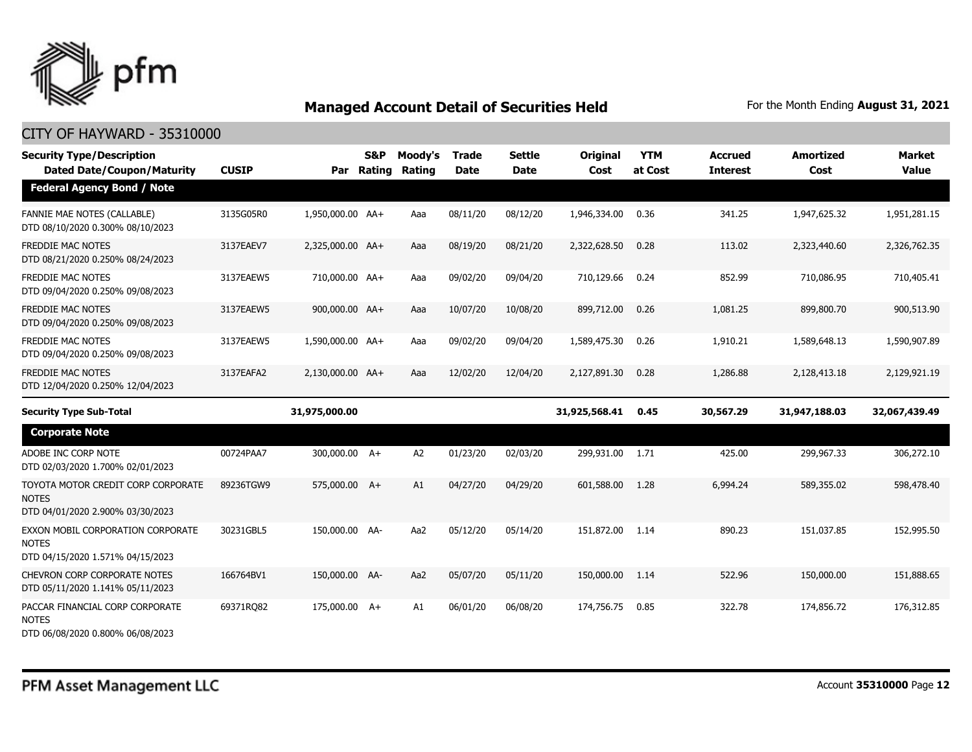

| <b>Security Type/Description</b><br><b>Dated Date/Coupon/Maturity</b>                  | <b>CUSIP</b> | Par              | <b>S&amp;P</b><br>Rating | Moody's<br><b>Rating</b> | <b>Trade</b><br><b>Date</b> | Settle<br><b>Date</b> | <b>Original</b><br>Cost | <b>YTM</b><br>at Cost | <b>Accrued</b><br><b>Interest</b> | <b>Amortized</b><br>Cost | <b>Market</b><br><b>Value</b> |
|----------------------------------------------------------------------------------------|--------------|------------------|--------------------------|--------------------------|-----------------------------|-----------------------|-------------------------|-----------------------|-----------------------------------|--------------------------|-------------------------------|
| <b>Federal Agency Bond / Note</b>                                                      |              |                  |                          |                          |                             |                       |                         |                       |                                   |                          |                               |
| FANNIE MAE NOTES (CALLABLE)<br>DTD 08/10/2020 0.300% 08/10/2023                        | 3135G05R0    | 1,950,000.00 AA+ |                          | Aaa                      | 08/11/20                    | 08/12/20              | 1,946,334.00            | 0.36                  | 341.25                            | 1,947,625.32             | 1,951,281.15                  |
| <b>FREDDIE MAC NOTES</b><br>DTD 08/21/2020 0.250% 08/24/2023                           | 3137EAEV7    | 2,325,000.00 AA+ |                          | Aaa                      | 08/19/20                    | 08/21/20              | 2,322,628.50            | 0.28                  | 113.02                            | 2,323,440.60             | 2,326,762.35                  |
| FREDDIE MAC NOTES<br>DTD 09/04/2020 0.250% 09/08/2023                                  | 3137EAEW5    | 710,000.00 AA+   |                          | Aaa                      | 09/02/20                    | 09/04/20              | 710,129.66              | 0.24                  | 852.99                            | 710,086.95               | 710,405.41                    |
| FREDDIE MAC NOTES<br>DTD 09/04/2020 0.250% 09/08/2023                                  | 3137EAEW5    | 900,000.00 AA+   |                          | Aaa                      | 10/07/20                    | 10/08/20              | 899,712.00              | 0.26                  | 1,081.25                          | 899,800.70               | 900,513.90                    |
| <b>FREDDIE MAC NOTES</b><br>DTD 09/04/2020 0.250% 09/08/2023                           | 3137EAEW5    | 1,590,000.00 AA+ |                          | Aaa                      | 09/02/20                    | 09/04/20              | 1,589,475.30            | 0.26                  | 1,910.21                          | 1,589,648.13             | 1,590,907.89                  |
| <b>FREDDIE MAC NOTES</b><br>DTD 12/04/2020 0.250% 12/04/2023                           | 3137EAFA2    | 2,130,000.00 AA+ |                          | Aaa                      | 12/02/20                    | 12/04/20              | 2,127,891.30            | 0.28                  | 1,286.88                          | 2,128,413.18             | 2,129,921.19                  |
| <b>Security Type Sub-Total</b>                                                         |              | 31,975,000.00    |                          |                          |                             |                       | 31,925,568.41           | 0.45                  | 30,567.29                         | 31,947,188.03            | 32,067,439.49                 |
|                                                                                        |              |                  |                          |                          |                             |                       |                         |                       |                                   |                          |                               |
| <b>Corporate Note</b>                                                                  |              |                  |                          |                          |                             |                       |                         |                       |                                   |                          |                               |
| ADOBE INC CORP NOTE<br>DTD 02/03/2020 1.700% 02/01/2023                                | 00724PAA7    | 300,000.00 A+    |                          | A <sub>2</sub>           | 01/23/20                    | 02/03/20              | 299,931.00 1.71         |                       | 425.00                            | 299,967.33               | 306,272.10                    |
| TOYOTA MOTOR CREDIT CORP CORPORATE<br><b>NOTES</b><br>DTD 04/01/2020 2.900% 03/30/2023 | 89236TGW9    | 575,000.00 A+    |                          | A1                       | 04/27/20                    | 04/29/20              | 601,588.00              | 1.28                  | 6,994.24                          | 589,355.02               | 598,478.40                    |
| EXXON MOBIL CORPORATION CORPORATE<br><b>NOTES</b><br>DTD 04/15/2020 1.571% 04/15/2023  | 30231GBL5    | 150,000.00 AA-   |                          | Aa2                      | 05/12/20                    | 05/14/20              | 151,872,00              | 1.14                  | 890.23                            | 151,037.85               | 152,995.50                    |
| CHEVRON CORP CORPORATE NOTES<br>DTD 05/11/2020 1.141% 05/11/2023                       | 166764BV1    | 150,000.00 AA-   |                          | Aa2                      | 05/07/20                    | 05/11/20              | 150,000.00              | 1.14                  | 522.96                            | 150,000.00               | 151,888.65                    |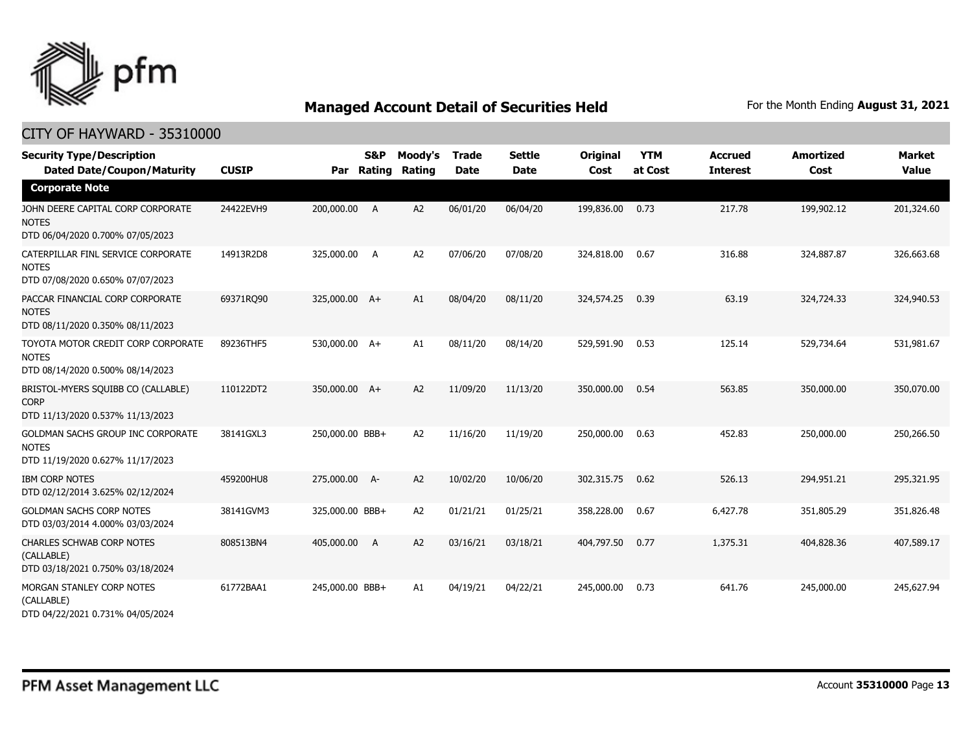

| <b>Security Type/Description</b><br><b>Dated Date/Coupon/Maturity</b>                  | <b>CUSIP</b> | Par             | S&P<br>Rating | Moody's<br>Rating | <b>Trade</b><br><b>Date</b> | <b>Settle</b><br><b>Date</b> | Original<br>Cost | <b>YTM</b><br>at Cost | <b>Accrued</b><br><b>Interest</b> | <b>Amortized</b><br>Cost | Market<br><b>Value</b> |
|----------------------------------------------------------------------------------------|--------------|-----------------|---------------|-------------------|-----------------------------|------------------------------|------------------|-----------------------|-----------------------------------|--------------------------|------------------------|
| <b>Corporate Note</b>                                                                  |              |                 |               |                   |                             |                              |                  |                       |                                   |                          |                        |
| JOHN DEERE CAPITAL CORP CORPORATE<br><b>NOTES</b><br>DTD 06/04/2020 0.700% 07/05/2023  | 24422EVH9    | 200,000.00      | A             | A2                | 06/01/20                    | 06/04/20                     | 199,836.00       | 0.73                  | 217.78                            | 199,902.12               | 201,324.60             |
| CATERPILLAR FINL SERVICE CORPORATE<br><b>NOTES</b><br>DTD 07/08/2020 0.650% 07/07/2023 | 14913R2D8    | 325,000.00      | A             | A <sub>2</sub>    | 07/06/20                    | 07/08/20                     | 324,818.00       | 0.67                  | 316.88                            | 324,887.87               | 326,663.68             |
| PACCAR FINANCIAL CORP CORPORATE<br><b>NOTES</b><br>DTD 08/11/2020 0.350% 08/11/2023    | 69371RQ90    | 325,000.00 A+   |               | A1                | 08/04/20                    | 08/11/20                     | 324,574.25       | 0.39                  | 63.19                             | 324,724.33               | 324,940.53             |
| TOYOTA MOTOR CREDIT CORP CORPORATE<br><b>NOTES</b><br>DTD 08/14/2020 0.500% 08/14/2023 | 89236THF5    | 530,000.00 A+   |               | A1                | 08/11/20                    | 08/14/20                     | 529,591.90       | 0.53                  | 125.14                            | 529,734.64               | 531,981.67             |
| BRISTOL-MYERS SQUIBB CO (CALLABLE)<br><b>CORP</b><br>DTD 11/13/2020 0.537% 11/13/2023  | 110122DT2    | 350,000.00 A+   |               | A2                | 11/09/20                    | 11/13/20                     | 350,000.00       | 0.54                  | 563.85                            | 350,000.00               | 350,070.00             |
| GOLDMAN SACHS GROUP INC CORPORATE<br><b>NOTES</b><br>DTD 11/19/2020 0.627% 11/17/2023  | 38141GXL3    | 250,000.00 BBB+ |               | A2                | 11/16/20                    | 11/19/20                     | 250,000.00       | 0.63                  | 452.83                            | 250,000.00               | 250,266.50             |
| <b>IBM CORP NOTES</b><br>DTD 02/12/2014 3.625% 02/12/2024                              | 459200HU8    | 275,000.00 A-   |               | A <sub>2</sub>    | 10/02/20                    | 10/06/20                     | 302,315.75       | 0.62                  | 526.13                            | 294,951.21               | 295,321.95             |
| <b>GOLDMAN SACHS CORP NOTES</b><br>DTD 03/03/2014 4.000% 03/03/2024                    | 38141GVM3    | 325,000.00 BBB+ |               | A2                | 01/21/21                    | 01/25/21                     | 358,228.00       | 0.67                  | 6,427.78                          | 351,805.29               | 351,826.48             |
| <b>CHARLES SCHWAB CORP NOTES</b><br>(CALLABLE)<br>DTD 03/18/2021 0.750% 03/18/2024     | 808513BN4    | 405,000.00      | A             | A2                | 03/16/21                    | 03/18/21                     | 404,797.50       | 0.77                  | 1,375.31                          | 404,828.36               | 407,589.17             |
| MORGAN STANLEY CORP NOTES<br>(CALLABLE)<br>DTD 04/22/2021 0.731% 04/05/2024            | 61772BAA1    | 245,000.00 BBB+ |               | A1                | 04/19/21                    | 04/22/21                     | 245,000.00       | 0.73                  | 641.76                            | 245,000.00               | 245,627.94             |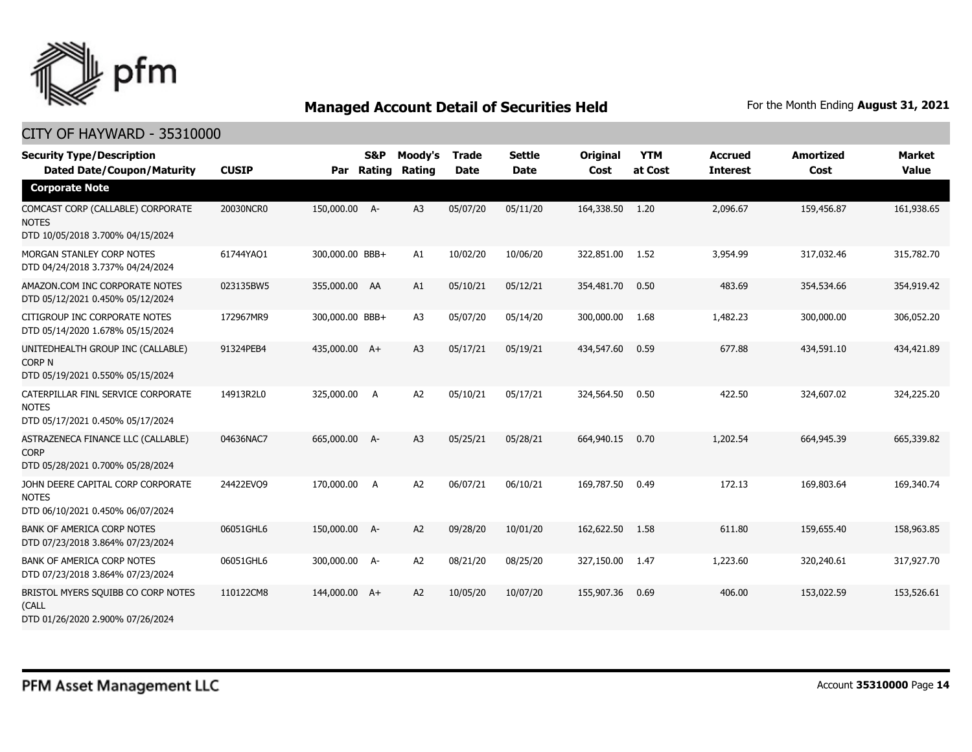

| <b>Security Type/Description</b><br><b>Dated Date/Coupon/Maturity</b>                  | <b>CUSIP</b> | Par             | <b>S&amp;P</b><br>Rating | Moody's<br>Rating | <b>Trade</b><br><b>Date</b> | <b>Settle</b><br><b>Date</b> | Original<br>Cost | <b>YTM</b><br>at Cost | <b>Accrued</b><br><b>Interest</b> | <b>Amortized</b><br>Cost | <b>Market</b><br><b>Value</b> |
|----------------------------------------------------------------------------------------|--------------|-----------------|--------------------------|-------------------|-----------------------------|------------------------------|------------------|-----------------------|-----------------------------------|--------------------------|-------------------------------|
| <b>Corporate Note</b>                                                                  |              |                 |                          |                   |                             |                              |                  |                       |                                   |                          |                               |
| COMCAST CORP (CALLABLE) CORPORATE<br><b>NOTES</b><br>DTD 10/05/2018 3.700% 04/15/2024  | 20030NCR0    | 150,000.00 A-   |                          | A3                | 05/07/20                    | 05/11/20                     | 164,338.50       | 1.20                  | 2,096.67                          | 159,456.87               | 161,938.65                    |
| MORGAN STANLEY CORP NOTES<br>DTD 04/24/2018 3.737% 04/24/2024                          | 61744YAQ1    | 300,000.00 BBB+ |                          | A1                | 10/02/20                    | 10/06/20                     | 322,851.00       | 1.52                  | 3,954.99                          | 317,032.46               | 315,782.70                    |
| AMAZON.COM INC CORPORATE NOTES<br>DTD 05/12/2021 0.450% 05/12/2024                     | 023135BW5    | 355,000.00 AA   |                          | A1                | 05/10/21                    | 05/12/21                     | 354,481.70       | 0.50                  | 483.69                            | 354,534.66               | 354,919.42                    |
| CITIGROUP INC CORPORATE NOTES<br>DTD 05/14/2020 1.678% 05/15/2024                      | 172967MR9    | 300,000.00 BBB+ |                          | A <sub>3</sub>    | 05/07/20                    | 05/14/20                     | 300,000.00       | 1.68                  | 1,482.23                          | 300,000.00               | 306,052.20                    |
| UNITEDHEALTH GROUP INC (CALLABLE)<br><b>CORP N</b><br>DTD 05/19/2021 0.550% 05/15/2024 | 91324PEB4    | 435,000.00 A+   |                          | A <sub>3</sub>    | 05/17/21                    | 05/19/21                     | 434,547.60       | 0.59                  | 677.88                            | 434,591.10               | 434,421.89                    |
| CATERPILLAR FINL SERVICE CORPORATE<br><b>NOTES</b><br>DTD 05/17/2021 0.450% 05/17/2024 | 14913R2L0    | 325,000.00      | A                        | A <sub>2</sub>    | 05/10/21                    | 05/17/21                     | 324,564.50       | 0.50                  | 422.50                            | 324,607.02               | 324,225.20                    |
| ASTRAZENECA FINANCE LLC (CALLABLE)<br><b>CORP</b><br>DTD 05/28/2021 0.700% 05/28/2024  | 04636NAC7    | 665,000.00 A-   |                          | A3                | 05/25/21                    | 05/28/21                     | 664,940.15       | 0.70                  | 1,202.54                          | 664,945.39               | 665,339.82                    |
| JOHN DEERE CAPITAL CORP CORPORATE<br><b>NOTES</b><br>DTD 06/10/2021 0.450% 06/07/2024  | 24422EVO9    | 170,000,00      | $\overline{A}$           | A <sub>2</sub>    | 06/07/21                    | 06/10/21                     | 169,787.50       | 0.49                  | 172.13                            | 169,803.64               | 169,340.74                    |
| <b>BANK OF AMERICA CORP NOTES</b><br>DTD 07/23/2018 3.864% 07/23/2024                  | 06051GHL6    | 150,000.00 A-   |                          | A2                | 09/28/20                    | 10/01/20                     | 162,622.50       | 1.58                  | 611.80                            | 159,655.40               | 158,963.85                    |
| <b>BANK OF AMERICA CORP NOTES</b><br>DTD 07/23/2018 3.864% 07/23/2024                  | 06051GHL6    | 300,000.00 A-   |                          | A <sub>2</sub>    | 08/21/20                    | 08/25/20                     | 327,150.00       | 1.47                  | 1,223.60                          | 320,240.61               | 317,927.70                    |
| BRISTOL MYERS SQUIBB CO CORP NOTES<br>(CALL<br>DTD 01/26/2020 2.900% 07/26/2024        | 110122CM8    | 144,000.00 A+   |                          | A2                | 10/05/20                    | 10/07/20                     | 155,907.36       | 0.69                  | 406.00                            | 153,022.59               | 153,526.61                    |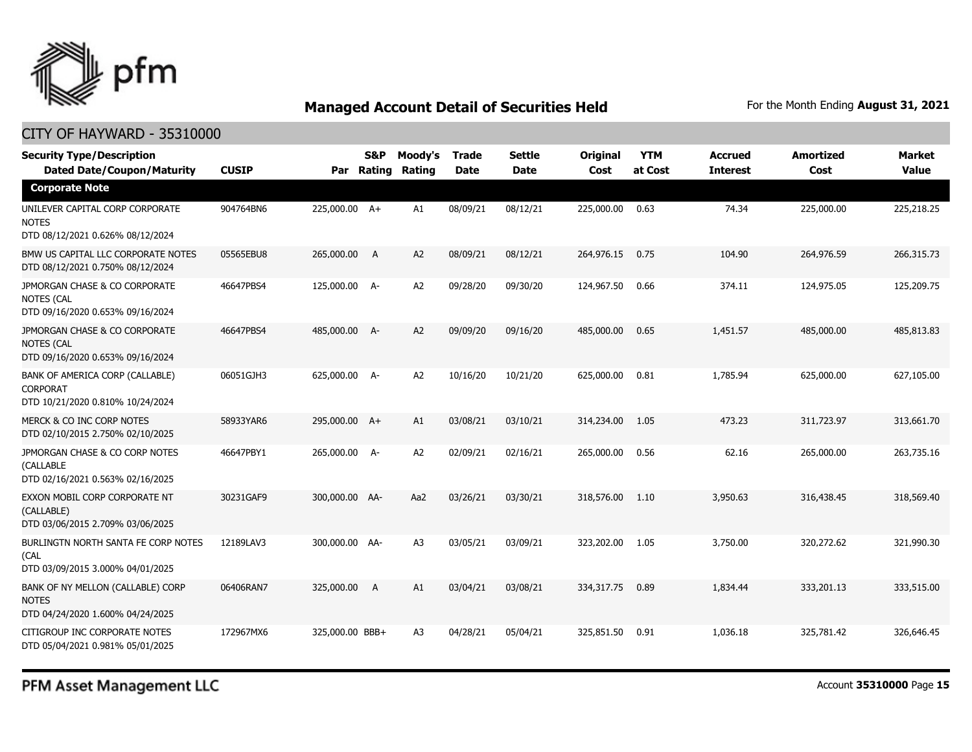

| <b>Security Type/Description</b><br><b>Dated Date/Coupon/Maturity</b>                  | <b>CUSIP</b> | Par             | <b>S&amp;P</b><br>Rating | Moody's<br>Rating | <b>Trade</b><br><b>Date</b> | <b>Settle</b><br><b>Date</b> | <b>Original</b><br>Cost | <b>YTM</b><br>at Cost | <b>Accrued</b><br><b>Interest</b> | <b>Amortized</b><br>Cost | Market<br><b>Value</b> |
|----------------------------------------------------------------------------------------|--------------|-----------------|--------------------------|-------------------|-----------------------------|------------------------------|-------------------------|-----------------------|-----------------------------------|--------------------------|------------------------|
| <b>Corporate Note</b>                                                                  |              |                 |                          |                   |                             |                              |                         |                       |                                   |                          |                        |
| UNILEVER CAPITAL CORP CORPORATE<br><b>NOTES</b><br>DTD 08/12/2021 0.626% 08/12/2024    | 904764BN6    | 225,000.00 A+   |                          | A1                | 08/09/21                    | 08/12/21                     | 225,000.00              | 0.63                  | 74.34                             | 225,000.00               | 225,218.25             |
| BMW US CAPITAL LLC CORPORATE NOTES<br>DTD 08/12/2021 0.750% 08/12/2024                 | 05565EBU8    | 265,000.00      | $\overline{A}$           | A2                | 08/09/21                    | 08/12/21                     | 264,976.15              | 0.75                  | 104.90                            | 264,976.59               | 266,315.73             |
| JPMORGAN CHASE & CO CORPORATE<br>NOTES (CAL<br>DTD 09/16/2020 0.653% 09/16/2024        | 46647PBS4    | 125,000.00 A-   |                          | A2                | 09/28/20                    | 09/30/20                     | 124,967.50              | 0.66                  | 374.11                            | 124,975.05               | 125,209.75             |
| JPMORGAN CHASE & CO CORPORATE<br><b>NOTES (CAL</b><br>DTD 09/16/2020 0.653% 09/16/2024 | 46647PBS4    | 485,000.00 A-   |                          | A <sub>2</sub>    | 09/09/20                    | 09/16/20                     | 485,000.00              | 0.65                  | 1,451.57                          | 485,000.00               | 485,813.83             |
| BANK OF AMERICA CORP (CALLABLE)<br><b>CORPORAT</b><br>DTD 10/21/2020 0.810% 10/24/2024 | 06051GJH3    | 625,000.00 A-   |                          | A <sub>2</sub>    | 10/16/20                    | 10/21/20                     | 625,000.00              | 0.81                  | 1,785.94                          | 625,000.00               | 627,105.00             |
| MERCK & CO INC CORP NOTES<br>DTD 02/10/2015 2.750% 02/10/2025                          | 58933YAR6    | 295,000.00 A+   |                          | A1                | 03/08/21                    | 03/10/21                     | 314,234.00              | 1.05                  | 473.23                            | 311,723.97               | 313,661.70             |
| JPMORGAN CHASE & CO CORP NOTES<br>(CALLABLE<br>DTD 02/16/2021 0.563% 02/16/2025        | 46647PBY1    | 265,000.00 A-   |                          | A <sub>2</sub>    | 02/09/21                    | 02/16/21                     | 265,000.00              | 0.56                  | 62.16                             | 265,000.00               | 263,735.16             |
| EXXON MOBIL CORP CORPORATE NT<br>(CALLABLE)<br>DTD 03/06/2015 2.709% 03/06/2025        | 30231GAF9    | 300,000.00 AA-  |                          | Aa2               | 03/26/21                    | 03/30/21                     | 318,576.00              | 1.10                  | 3,950.63                          | 316,438.45               | 318,569.40             |
| BURLINGTN NORTH SANTA FE CORP NOTES<br>(CAL<br>DTD 03/09/2015 3.000% 04/01/2025        | 12189LAV3    | 300,000.00 AA-  |                          | A <sub>3</sub>    | 03/05/21                    | 03/09/21                     | 323,202.00              | 1.05                  | 3,750.00                          | 320,272.62               | 321,990.30             |
| BANK OF NY MELLON (CALLABLE) CORP<br><b>NOTES</b><br>DTD 04/24/2020 1.600% 04/24/2025  | 06406RAN7    | 325,000.00      | A                        | A1                | 03/04/21                    | 03/08/21                     | 334,317.75              | 0.89                  | 1,834.44                          | 333,201.13               | 333,515.00             |
| CITIGROUP INC CORPORATE NOTES<br>DTD 05/04/2021 0.981% 05/01/2025                      | 172967MX6    | 325,000.00 BBB+ |                          | A <sub>3</sub>    | 04/28/21                    | 05/04/21                     | 325,851.50              | 0.91                  | 1,036.18                          | 325,781.42               | 326,646.45             |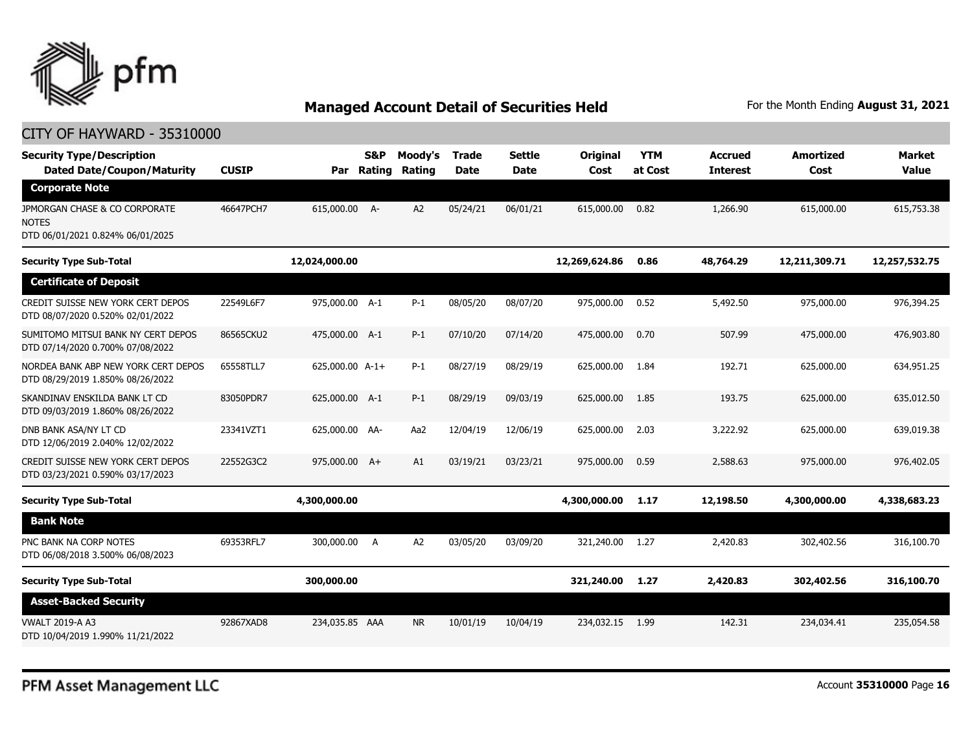

| <b>Security Type/Description</b><br><b>Dated Date/Coupon/Maturity</b>             | <b>CUSIP</b> | Par             | <b>S&amp;P</b><br>Rating | Moody's<br>Rating | <b>Trade</b><br><b>Date</b> | <b>Settle</b><br><b>Date</b> | Original<br>Cost | <b>YTM</b><br>at Cost | <b>Accrued</b><br><b>Interest</b> | <b>Amortized</b><br>Cost | <b>Market</b><br><b>Value</b> |
|-----------------------------------------------------------------------------------|--------------|-----------------|--------------------------|-------------------|-----------------------------|------------------------------|------------------|-----------------------|-----------------------------------|--------------------------|-------------------------------|
| <b>Corporate Note</b>                                                             |              |                 |                          |                   |                             |                              |                  |                       |                                   |                          |                               |
| JPMORGAN CHASE & CO CORPORATE<br><b>NOTES</b><br>DTD 06/01/2021 0.824% 06/01/2025 | 46647PCH7    | 615,000.00 A-   |                          | A2                | 05/24/21                    | 06/01/21                     | 615,000.00       | 0.82                  | 1,266.90                          | 615,000.00               | 615,753.38                    |
| <b>Security Type Sub-Total</b>                                                    |              | 12,024,000.00   |                          |                   |                             |                              | 12,269,624.86    | 0.86                  | 48,764.29                         | 12,211,309.71            | 12,257,532.75                 |
| <b>Certificate of Deposit</b>                                                     |              |                 |                          |                   |                             |                              |                  |                       |                                   |                          |                               |
| CREDIT SUISSE NEW YORK CERT DEPOS<br>DTD 08/07/2020 0.520% 02/01/2022             | 22549L6F7    | 975,000.00 A-1  |                          | $P-1$             | 08/05/20                    | 08/07/20                     | 975,000.00       | 0.52                  | 5,492.50                          | 975,000.00               | 976,394.25                    |
| SUMITOMO MITSUI BANK NY CERT DEPOS<br>DTD 07/14/2020 0.700% 07/08/2022            | 86565CKU2    | 475,000.00 A-1  |                          | $P-1$             | 07/10/20                    | 07/14/20                     | 475,000.00       | 0.70                  | 507.99                            | 475,000.00               | 476,903.80                    |
| NORDEA BANK ABP NEW YORK CERT DEPOS<br>DTD 08/29/2019 1.850% 08/26/2022           | 65558TLL7    | 625,000.00 A-1+ |                          | $P-1$             | 08/27/19                    | 08/29/19                     | 625,000.00       | 1.84                  | 192.71                            | 625,000.00               | 634,951.25                    |
| SKANDINAV ENSKILDA BANK LT CD<br>DTD 09/03/2019 1.860% 08/26/2022                 | 83050PDR7    | 625,000.00 A-1  |                          | $P-1$             | 08/29/19                    | 09/03/19                     | 625,000.00       | 1.85                  | 193.75                            | 625,000.00               | 635,012.50                    |
| DNB BANK ASA/NY LT CD<br>DTD 12/06/2019 2.040% 12/02/2022                         | 23341VZT1    | 625,000.00 AA-  |                          | Aa2               | 12/04/19                    | 12/06/19                     | 625,000.00       | 2.03                  | 3,222.92                          | 625,000.00               | 639,019.38                    |
| CREDIT SUISSE NEW YORK CERT DEPOS<br>DTD 03/23/2021 0.590% 03/17/2023             | 22552G3C2    | 975,000.00 A+   |                          | A1                | 03/19/21                    | 03/23/21                     | 975,000.00       | 0.59                  | 2,588.63                          | 975,000,00               | 976,402.05                    |
| <b>Security Type Sub-Total</b>                                                    |              | 4,300,000.00    |                          |                   |                             |                              | 4,300,000.00     | 1.17                  | 12,198.50                         | 4,300,000.00             | 4,338,683.23                  |
| <b>Bank Note</b>                                                                  |              |                 |                          |                   |                             |                              |                  |                       |                                   |                          |                               |
| PNC BANK NA CORP NOTES<br>DTD 06/08/2018 3.500% 06/08/2023                        | 69353RFL7    | 300,000.00      | A                        | A2                | 03/05/20                    | 03/09/20                     | 321,240.00       | 1.27                  | 2,420.83                          | 302,402.56               | 316,100.70                    |
| <b>Security Type Sub-Total</b>                                                    |              | 300,000.00      |                          |                   |                             |                              | 321,240.00       | 1.27                  | 2,420.83                          | 302,402.56               | 316,100.70                    |
| <b>Asset-Backed Security</b>                                                      |              |                 |                          |                   |                             |                              |                  |                       |                                   |                          |                               |
| <b>VWALT 2019-A A3</b><br>DTD 10/04/2019 1.990% 11/21/2022                        | 92867XAD8    | 234,035.85 AAA  |                          | <b>NR</b>         | 10/01/19                    | 10/04/19                     | 234,032.15       | 1.99                  | 142.31                            | 234,034.41               | 235,054.58                    |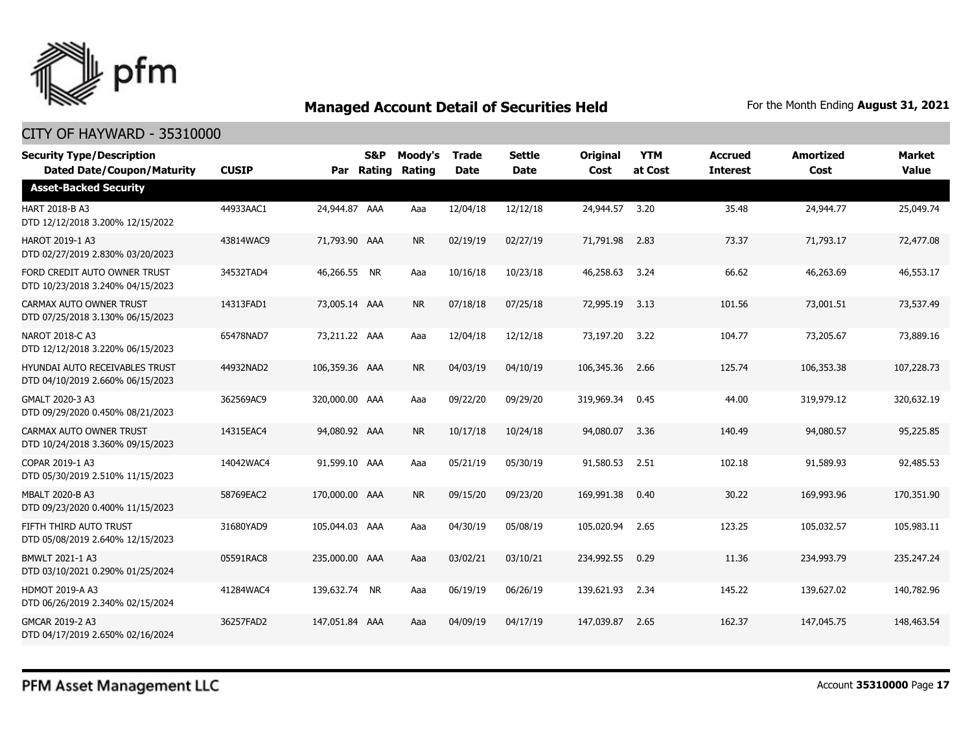

| <b>Security Type/Description</b><br><b>Dated Date/Coupon/Maturity</b>     | <b>CUSIP</b> |                | S&P<br>Par Rating | Moody's<br>Rating | <b>Trade</b><br><b>Date</b> | <b>Settle</b><br><b>Date</b> | <b>Original</b><br>Cost | <b>YTM</b><br>at Cost | <b>Accrued</b><br><b>Interest</b> | <b>Amortized</b><br>Cost | <b>Market</b><br><b>Value</b> |
|---------------------------------------------------------------------------|--------------|----------------|-------------------|-------------------|-----------------------------|------------------------------|-------------------------|-----------------------|-----------------------------------|--------------------------|-------------------------------|
| <b>Asset-Backed Security</b>                                              |              |                |                   |                   |                             |                              |                         |                       |                                   |                          |                               |
| HART 2018-B A3<br>DTD 12/12/2018 3.200% 12/15/2022                        | 44933AAC1    | 24,944.87 AAA  |                   | Aaa               | 12/04/18                    | 12/12/18                     | 24,944.57               | 3.20                  | 35.48                             | 24,944.77                | 25,049.74                     |
| HAROT 2019-1 A3<br>DTD 02/27/2019 2.830% 03/20/2023                       | 43814WAC9    | 71,793.90 AAA  |                   | <b>NR</b>         | 02/19/19                    | 02/27/19                     | 71,791.98               | 2.83                  | 73.37                             | 71,793.17                | 72,477.08                     |
| FORD CREDIT AUTO OWNER TRUST<br>DTD 10/23/2018 3.240% 04/15/2023          | 34532TAD4    | 46,266.55 NR   |                   | Aaa               | 10/16/18                    | 10/23/18                     | 46,258.63               | 3.24                  | 66.62                             | 46,263.69                | 46,553.17                     |
| CARMAX AUTO OWNER TRUST<br>DTD 07/25/2018 3.130% 06/15/2023               | 14313FAD1    | 73,005.14 AAA  |                   | <b>NR</b>         | 07/18/18                    | 07/25/18                     | 72,995.19               | 3.13                  | 101.56                            | 73,001.51                | 73,537.49                     |
| NAROT 2018-C A3<br>DTD 12/12/2018 3.220% 06/15/2023                       | 65478NAD7    | 73,211,22 AAA  |                   | Aaa               | 12/04/18                    | 12/12/18                     | 73,197.20               | 3.22                  | 104.77                            | 73,205.67                | 73,889.16                     |
| <b>HYUNDAI AUTO RECEIVABLES TRUST</b><br>DTD 04/10/2019 2.660% 06/15/2023 | 44932NAD2    | 106,359.36 AAA |                   | <b>NR</b>         | 04/03/19                    | 04/10/19                     | 106,345.36              | 2.66                  | 125.74                            | 106,353.38               | 107,228.73                    |
| GMALT 2020-3 A3<br>DTD 09/29/2020 0.450% 08/21/2023                       | 362569AC9    | 320,000.00 AAA |                   | Aaa               | 09/22/20                    | 09/29/20                     | 319,969.34              | 0.45                  | 44.00                             | 319,979.12               | 320,632.19                    |
| CARMAX AUTO OWNER TRUST<br>DTD 10/24/2018 3.360% 09/15/2023               | 14315EAC4    | 94,080.92 AAA  |                   | <b>NR</b>         | 10/17/18                    | 10/24/18                     | 94,080.07               | 3.36                  | 140.49                            | 94,080.57                | 95,225.85                     |
| COPAR 2019-1 A3<br>DTD 05/30/2019 2.510% 11/15/2023                       | 14042WAC4    | 91,599.10 AAA  |                   | Aaa               | 05/21/19                    | 05/30/19                     | 91,580.53               | 2.51                  | 102.18                            | 91,589.93                | 92,485.53                     |
| <b>MBALT 2020-B A3</b><br>DTD 09/23/2020 0.400% 11/15/2023                | 58769EAC2    | 170,000.00 AAA |                   | <b>NR</b>         | 09/15/20                    | 09/23/20                     | 169,991.38              | 0.40                  | 30.22                             | 169,993.96               | 170,351.90                    |
| FIFTH THIRD AUTO TRUST<br>DTD 05/08/2019 2.640% 12/15/2023                | 31680YAD9    | 105,044.03 AAA |                   | Aaa               | 04/30/19                    | 05/08/19                     | 105,020.94              | 2.65                  | 123.25                            | 105,032.57               | 105,983.11                    |
| BMWLT 2021-1 A3<br>DTD 03/10/2021 0.290% 01/25/2024                       | 05591RAC8    | 235,000.00 AAA |                   | Aaa               | 03/02/21                    | 03/10/21                     | 234,992.55              | 0.29                  | 11.36                             | 234,993.79               | 235,247.24                    |
| <b>HDMOT 2019-A A3</b><br>DTD 06/26/2019 2.340% 02/15/2024                | 41284WAC4    | 139,632,74 NR  |                   | Aaa               | 06/19/19                    | 06/26/19                     | 139,621.93              | 2.34                  | 145.22                            | 139,627.02               | 140,782.96                    |
| GMCAR 2019-2 A3<br>DTD 04/17/2019 2.650% 02/16/2024                       | 36257FAD2    | 147,051.84 AAA |                   | Aaa               | 04/09/19                    | 04/17/19                     | 147,039.87              | 2.65                  | 162.37                            | 147,045.75               | 148,463.54                    |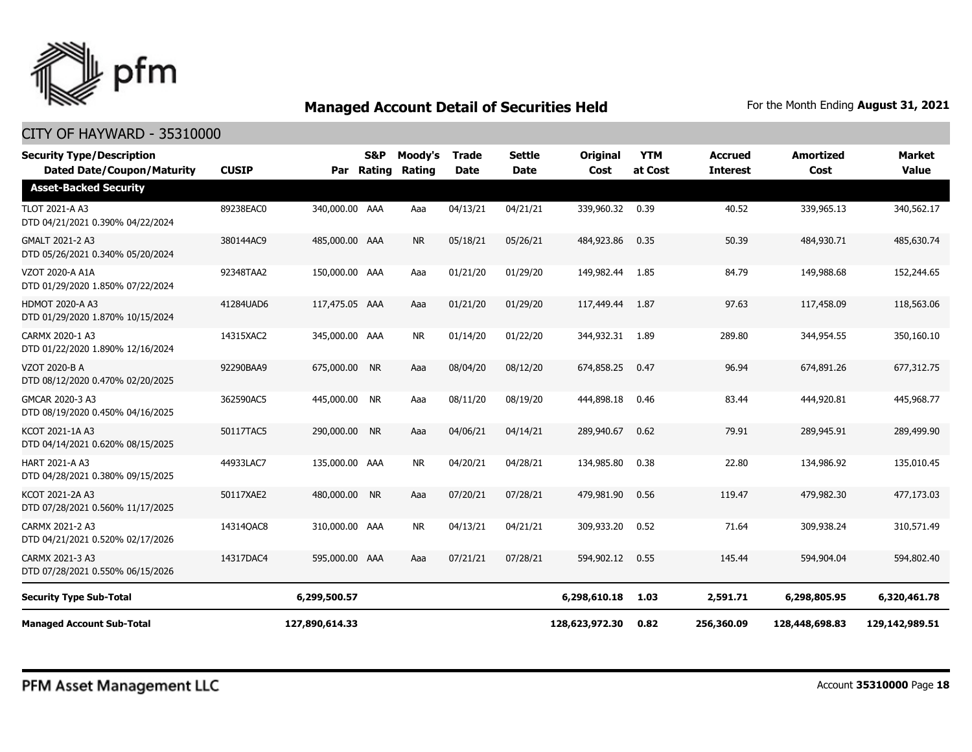

| <b>Security Type/Description</b><br><b>Dated Date/Coupon/Maturity</b> | <b>CUSIP</b> |                | <b>S&amp;P</b><br>Par Rating | Moody's<br>Rating | Trade<br><b>Date</b> | <b>Settle</b><br><b>Date</b> | <b>Original</b><br>Cost | <b>YTM</b><br>at Cost | Accrued<br><b>Interest</b> | Amortized<br>Cost | <b>Market</b><br><b>Value</b> |
|-----------------------------------------------------------------------|--------------|----------------|------------------------------|-------------------|----------------------|------------------------------|-------------------------|-----------------------|----------------------------|-------------------|-------------------------------|
| <b>Asset-Backed Security</b>                                          |              |                |                              |                   |                      |                              |                         |                       |                            |                   |                               |
| <b>TLOT 2021-A A3</b><br>DTD 04/21/2021 0.390% 04/22/2024             | 89238EAC0    | 340,000.00 AAA |                              | Aaa               | 04/13/21             | 04/21/21                     | 339,960.32              | 0.39                  | 40.52                      | 339,965.13        | 340,562.17                    |
| GMALT 2021-2 A3<br>DTD 05/26/2021 0.340% 05/20/2024                   | 380144AC9    | 485,000.00 AAA |                              | <b>NR</b>         | 05/18/21             | 05/26/21                     | 484,923.86              | 0.35                  | 50.39                      | 484,930.71        | 485,630.74                    |
| VZOT 2020-A A1A<br>DTD 01/29/2020 1.850% 07/22/2024                   | 92348TAA2    | 150,000.00 AAA |                              | Aaa               | 01/21/20             | 01/29/20                     | 149,982.44              | 1.85                  | 84.79                      | 149,988.68        | 152,244.65                    |
| <b>HDMOT 2020-A A3</b><br>DTD 01/29/2020 1.870% 10/15/2024            | 41284UAD6    | 117,475.05 AAA |                              | Aaa               | 01/21/20             | 01/29/20                     | 117,449.44              | 1.87                  | 97.63                      | 117,458.09        | 118,563.06                    |
| CARMX 2020-1 A3<br>DTD 01/22/2020 1.890% 12/16/2024                   | 14315XAC2    | 345,000.00 AAA |                              | <b>NR</b>         | 01/14/20             | 01/22/20                     | 344,932.31              | 1.89                  | 289.80                     | 344,954.55        | 350,160.10                    |
| <b>VZOT 2020-B A</b><br>DTD 08/12/2020 0.470% 02/20/2025              | 92290BAA9    | 675,000.00     | <b>NR</b>                    | Aaa               | 08/04/20             | 08/12/20                     | 674,858.25              | 0.47                  | 96.94                      | 674,891.26        | 677,312.75                    |
| GMCAR 2020-3 A3<br>DTD 08/19/2020 0.450% 04/16/2025                   | 362590AC5    | 445,000.00 NR  |                              | Aaa               | 08/11/20             | 08/19/20                     | 444,898.18              | 0.46                  | 83.44                      | 444,920.81        | 445,968.77                    |
| KCOT 2021-1A A3<br>DTD 04/14/2021 0.620% 08/15/2025                   | 50117TAC5    | 290,000.00 NR  |                              | Aaa               | 04/06/21             | 04/14/21                     | 289,940.67              | 0.62                  | 79.91                      | 289,945.91        | 289,499.90                    |
| <b>HART 2021-A A3</b><br>DTD 04/28/2021 0.380% 09/15/2025             | 44933LAC7    | 135,000.00 AAA |                              | <b>NR</b>         | 04/20/21             | 04/28/21                     | 134,985.80              | 0.38                  | 22.80                      | 134,986.92        | 135,010.45                    |
| KCOT 2021-2A A3<br>DTD 07/28/2021 0.560% 11/17/2025                   | 50117XAE2    | 480,000.00 NR  |                              | Aaa               | 07/20/21             | 07/28/21                     | 479,981.90              | 0.56                  | 119.47                     | 479,982.30        | 477,173.03                    |
| CARMX 2021-2 A3<br>DTD 04/21/2021 0.520% 02/17/2026                   | 14314QAC8    | 310,000.00 AAA |                              | <b>NR</b>         | 04/13/21             | 04/21/21                     | 309,933.20              | 0.52                  | 71.64                      | 309,938.24        | 310,571.49                    |
| CARMX 2021-3 A3<br>DTD 07/28/2021 0.550% 06/15/2026                   | 14317DAC4    | 595,000.00 AAA |                              | Aaa               | 07/21/21             | 07/28/21                     | 594,902.12              | 0.55                  | 145.44                     | 594,904.04        | 594,802.40                    |
| <b>Security Type Sub-Total</b>                                        |              | 6,299,500.57   |                              |                   |                      |                              | 6,298,610.18            | 1.03                  | 2,591.71                   | 6,298,805.95      | 6,320,461.78                  |
| <b>Managed Account Sub-Total</b>                                      |              | 127,890,614.33 |                              |                   |                      |                              | 128,623,972.30          | 0.82                  | 256,360.09                 | 128,448,698.83    | 129,142,989.51                |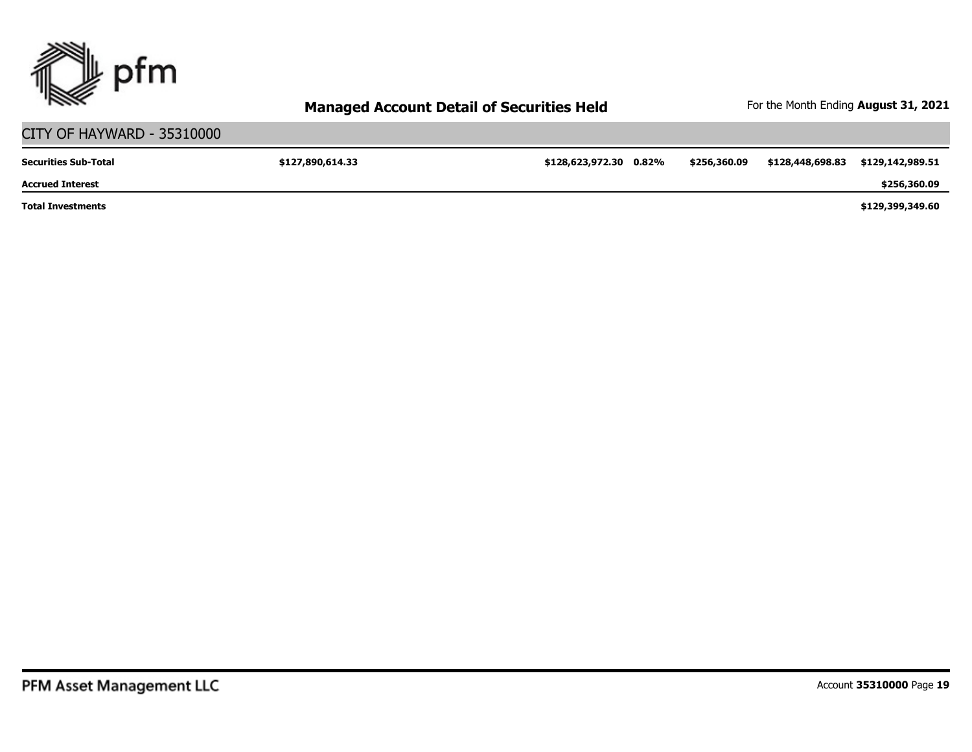

#### CITY OF HAYWARD - 35310000 **\$127,890,614.33 \$128,623,972.30 0.82% \$256,360.09 \$128,448,698.83 \$129,142,989.51 \$129,399,349.60 \$256,360.09 Total Investments Accrued Interest Securities Sub-Total**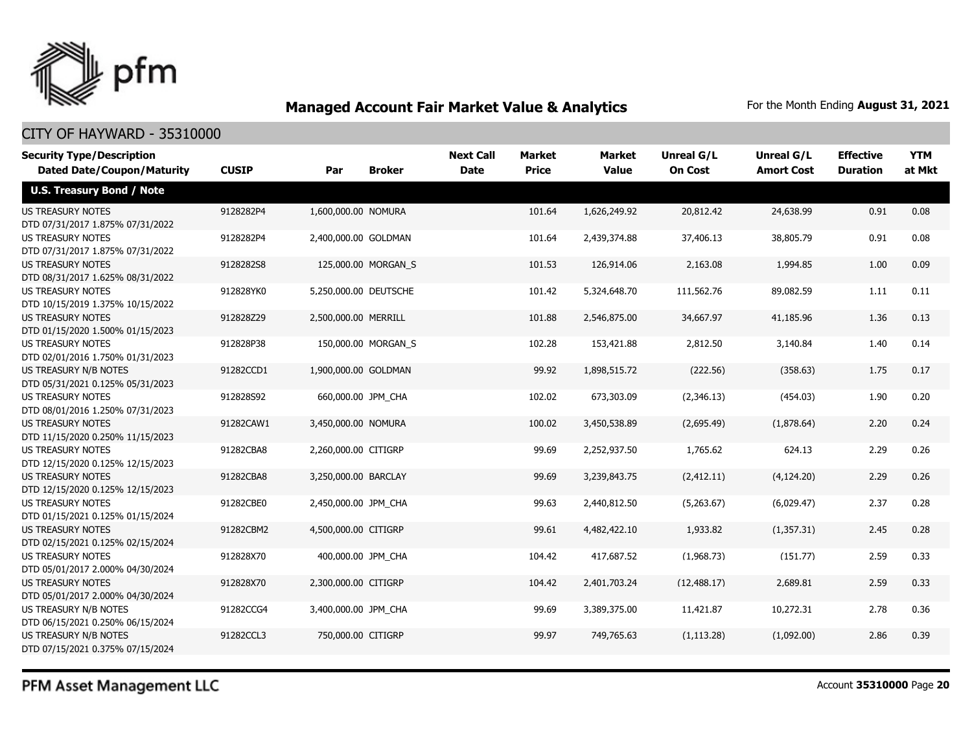

### CITY OF HAYWARD - 35310000

| <b>Security Type/Description</b>                             |              |                       |                     | <b>Next Call</b> | <b>Market</b> | <b>Market</b> | <b>Unreal G/L</b> | <b>Unreal G/L</b> | <b>Effective</b> | <b>YTM</b> |
|--------------------------------------------------------------|--------------|-----------------------|---------------------|------------------|---------------|---------------|-------------------|-------------------|------------------|------------|
| <b>Dated Date/Coupon/Maturity</b>                            | <b>CUSIP</b> | Par                   | <b>Broker</b>       | <b>Date</b>      | <b>Price</b>  | <b>Value</b>  | <b>On Cost</b>    | <b>Amort Cost</b> | <b>Duration</b>  | at Mkt     |
| <b>U.S. Treasury Bond / Note</b>                             |              |                       |                     |                  |               |               |                   |                   |                  |            |
| <b>US TREASURY NOTES</b><br>DTD 07/31/2017 1.875% 07/31/2022 | 9128282P4    | 1,600,000.00 NOMURA   |                     |                  | 101.64        | 1,626,249.92  | 20,812.42         | 24,638.99         | 0.91             | 0.08       |
| US TREASURY NOTES<br>DTD 07/31/2017 1.875% 07/31/2022        | 9128282P4    | 2,400,000.00 GOLDMAN  |                     |                  | 101.64        | 2,439,374.88  | 37,406.13         | 38,805.79         | 0.91             | 0.08       |
| <b>US TREASURY NOTES</b><br>DTD 08/31/2017 1.625% 08/31/2022 | 9128282S8    |                       | 125,000.00 MORGAN S |                  | 101.53        | 126,914.06    | 2,163.08          | 1,994.85          | 1.00             | 0.09       |
| <b>US TREASURY NOTES</b><br>DTD 10/15/2019 1.375% 10/15/2022 | 912828YK0    | 5,250,000.00 DEUTSCHE |                     |                  | 101.42        | 5,324,648.70  | 111,562.76        | 89,082.59         | 1.11             | 0.11       |
| <b>US TREASURY NOTES</b><br>DTD 01/15/2020 1.500% 01/15/2023 | 912828Z29    | 2,500,000.00 MERRILL  |                     |                  | 101.88        | 2,546,875.00  | 34,667.97         | 41,185.96         | 1.36             | 0.13       |
| US TREASURY NOTES<br>DTD 02/01/2016 1.750% 01/31/2023        | 912828P38    |                       | 150,000.00 MORGAN_S |                  | 102.28        | 153,421.88    | 2,812.50          | 3,140.84          | 1.40             | 0.14       |
| US TREASURY N/B NOTES<br>DTD 05/31/2021 0.125% 05/31/2023    | 91282CCD1    | 1,900,000.00 GOLDMAN  |                     |                  | 99.92         | 1,898,515.72  | (222.56)          | (358.63)          | 1.75             | 0.17       |
| <b>US TREASURY NOTES</b><br>DTD 08/01/2016 1.250% 07/31/2023 | 912828S92    | 660,000.00 JPM CHA    |                     |                  | 102.02        | 673,303.09    | (2,346.13)        | (454.03)          | 1.90             | 0.20       |
| <b>US TREASURY NOTES</b><br>DTD 11/15/2020 0.250% 11/15/2023 | 91282CAW1    | 3,450,000.00 NOMURA   |                     |                  | 100.02        | 3,450,538.89  | (2,695.49)        | (1,878.64)        | 2.20             | 0.24       |
| <b>US TREASURY NOTES</b><br>DTD 12/15/2020 0.125% 12/15/2023 | 91282CBA8    | 2,260,000.00 CITIGRP  |                     |                  | 99.69         | 2,252,937.50  | 1,765.62          | 624.13            | 2.29             | 0.26       |
| <b>US TREASURY NOTES</b><br>DTD 12/15/2020 0.125% 12/15/2023 | 91282CBA8    | 3,250,000.00 BARCLAY  |                     |                  | 99.69         | 3,239,843.75  | (2, 412.11)       | (4, 124.20)       | 2.29             | 0.26       |
| <b>US TREASURY NOTES</b><br>DTD 01/15/2021 0.125% 01/15/2024 | 91282CBE0    | 2,450,000.00 JPM_CHA  |                     |                  | 99.63         | 2,440,812.50  | (5,263.67)        | (6,029.47)        | 2.37             | 0.28       |
| <b>US TREASURY NOTES</b><br>DTD 02/15/2021 0.125% 02/15/2024 | 91282CBM2    | 4,500,000.00 CITIGRP  |                     |                  | 99.61         | 4,482,422.10  | 1,933.82          | (1,357.31)        | 2.45             | 0.28       |
| <b>US TREASURY NOTES</b><br>DTD 05/01/2017 2.000% 04/30/2024 | 912828X70    | 400,000.00 JPM_CHA    |                     |                  | 104.42        | 417,687.52    | (1,968.73)        | (151.77)          | 2.59             | 0.33       |
| <b>US TREASURY NOTES</b><br>DTD 05/01/2017 2.000% 04/30/2024 | 912828X70    | 2,300,000.00 CITIGRP  |                     |                  | 104.42        | 2,401,703.24  | (12, 488.17)      | 2,689.81          | 2.59             | 0.33       |
| US TREASURY N/B NOTES<br>DTD 06/15/2021 0.250% 06/15/2024    | 91282CCG4    | 3,400,000.00 JPM CHA  |                     |                  | 99.69         | 3,389,375.00  | 11,421.87         | 10,272.31         | 2.78             | 0.36       |
| US TREASURY N/B NOTES<br>DTD 07/15/2021 0.375% 07/15/2024    | 91282CCL3    | 750,000.00 CITIGRP    |                     |                  | 99.97         | 749,765.63    | (1, 113.28)       | (1,092.00)        | 2.86             | 0.39       |

PFM Asset Management LLC

Account **35310000** Page **20**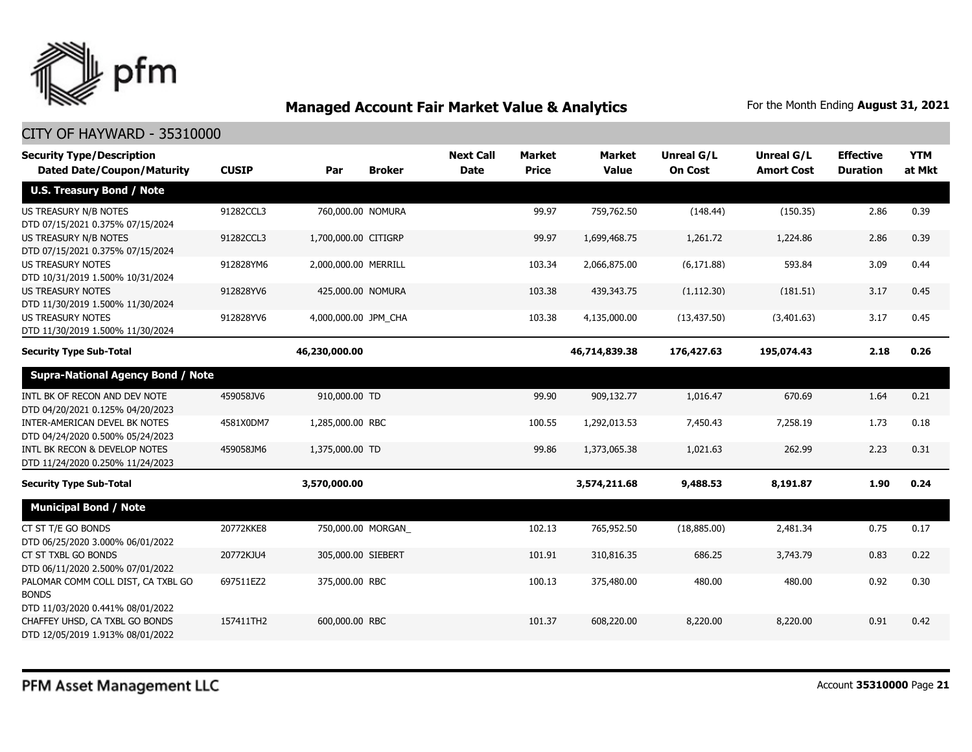

| <b>Security Type/Description</b><br><b>Dated Date/Coupon/Maturity</b>                  | <b>CUSIP</b> | Par                  | <b>Broker</b> | <b>Next Call</b><br><b>Date</b> | <b>Market</b><br><b>Price</b> | <b>Market</b><br><b>Value</b> | <b>Unreal G/L</b><br><b>On Cost</b> | Unreal G/L<br><b>Amort Cost</b> | <b>Effective</b><br><b>Duration</b> | <b>YTM</b><br>at Mkt |
|----------------------------------------------------------------------------------------|--------------|----------------------|---------------|---------------------------------|-------------------------------|-------------------------------|-------------------------------------|---------------------------------|-------------------------------------|----------------------|
| <b>U.S. Treasury Bond / Note</b>                                                       |              |                      |               |                                 |                               |                               |                                     |                                 |                                     |                      |
| <b>US TREASURY N/B NOTES</b><br>DTD 07/15/2021 0.375% 07/15/2024                       | 91282CCL3    | 760,000.00 NOMURA    |               |                                 | 99.97                         | 759,762.50                    | (148.44)                            | (150.35)                        | 2.86                                | 0.39                 |
| US TREASURY N/B NOTES<br>DTD 07/15/2021 0.375% 07/15/2024                              | 91282CCL3    | 1,700,000.00 CITIGRP |               |                                 | 99.97                         | 1,699,468.75                  | 1,261.72                            | 1,224.86                        | 2.86                                | 0.39                 |
| <b>US TREASURY NOTES</b><br>DTD 10/31/2019 1.500% 10/31/2024                           | 912828YM6    | 2,000,000.00 MERRILL |               |                                 | 103.34                        | 2,066,875.00                  | (6, 171.88)                         | 593.84                          | 3.09                                | 0.44                 |
| <b>US TREASURY NOTES</b><br>DTD 11/30/2019 1.500% 11/30/2024                           | 912828YV6    | 425,000.00 NOMURA    |               |                                 | 103.38                        | 439,343.75                    | (1, 112.30)                         | (181.51)                        | 3.17                                | 0.45                 |
| <b>US TREASURY NOTES</b><br>DTD 11/30/2019 1.500% 11/30/2024                           | 912828YV6    | 4,000,000.00 JPM_CHA |               |                                 | 103.38                        | 4,135,000.00                  | (13, 437.50)                        | (3,401.63)                      | 3.17                                | 0.45                 |
| <b>Security Type Sub-Total</b>                                                         |              | 46,230,000.00        |               |                                 |                               | 46,714,839.38                 | 176,427.63                          | 195,074.43                      | 2.18                                | 0.26                 |
| <b>Supra-National Agency Bond / Note</b>                                               |              |                      |               |                                 |                               |                               |                                     |                                 |                                     |                      |
| INTL BK OF RECON AND DEV NOTE<br>DTD 04/20/2021 0.125% 04/20/2023                      | 459058JV6    | 910,000,00 TD        |               |                                 | 99.90                         | 909,132.77                    | 1.016.47                            | 670.69                          | 1.64                                | 0.21                 |
| INTER-AMERICAN DEVEL BK NOTES<br>DTD 04/24/2020 0.500% 05/24/2023                      | 4581X0DM7    | 1,285,000.00 RBC     |               |                                 | 100.55                        | 1,292,013.53                  | 7,450.43                            | 7,258.19                        | 1.73                                | 0.18                 |
| INTL BK RECON & DEVELOP NOTES<br>DTD 11/24/2020 0.250% 11/24/2023                      | 459058JM6    | 1,375,000.00 TD      |               |                                 | 99.86                         | 1,373,065,38                  | 1,021.63                            | 262.99                          | 2.23                                | 0.31                 |
| <b>Security Type Sub-Total</b>                                                         |              | 3,570,000.00         |               |                                 |                               | 3,574,211.68                  | 9,488.53                            | 8,191.87                        | 1.90                                | 0.24                 |
| <b>Municipal Bond / Note</b>                                                           |              |                      |               |                                 |                               |                               |                                     |                                 |                                     |                      |
| CT ST T/E GO BONDS<br>DTD 06/25/2020 3.000% 06/01/2022                                 | 20772KKE8    | 750,000.00 MORGAN    |               |                                 | 102.13                        | 765,952.50                    | (18,885.00)                         | 2,481.34                        | 0.75                                | 0.17                 |
| CT ST TXBL GO BONDS<br>DTD 06/11/2020 2.500% 07/01/2022                                | 20772KJU4    | 305,000.00 SIEBERT   |               |                                 | 101.91                        | 310,816.35                    | 686.25                              | 3,743.79                        | 0.83                                | 0.22                 |
| PALOMAR COMM COLL DIST, CA TXBL GO<br><b>BONDS</b><br>DTD 11/03/2020 0.441% 08/01/2022 | 697511EZ2    | 375,000.00 RBC       |               |                                 | 100.13                        | 375,480.00                    | 480.00                              | 480.00                          | 0.92                                | 0.30                 |
| CHAFFEY UHSD, CA TXBL GO BONDS<br>DTD 12/05/2019 1.913% 08/01/2022                     | 157411TH2    | 600,000.00 RBC       |               |                                 | 101.37                        | 608,220.00                    | 8,220.00                            | 8,220.00                        | 0.91                                | 0.42                 |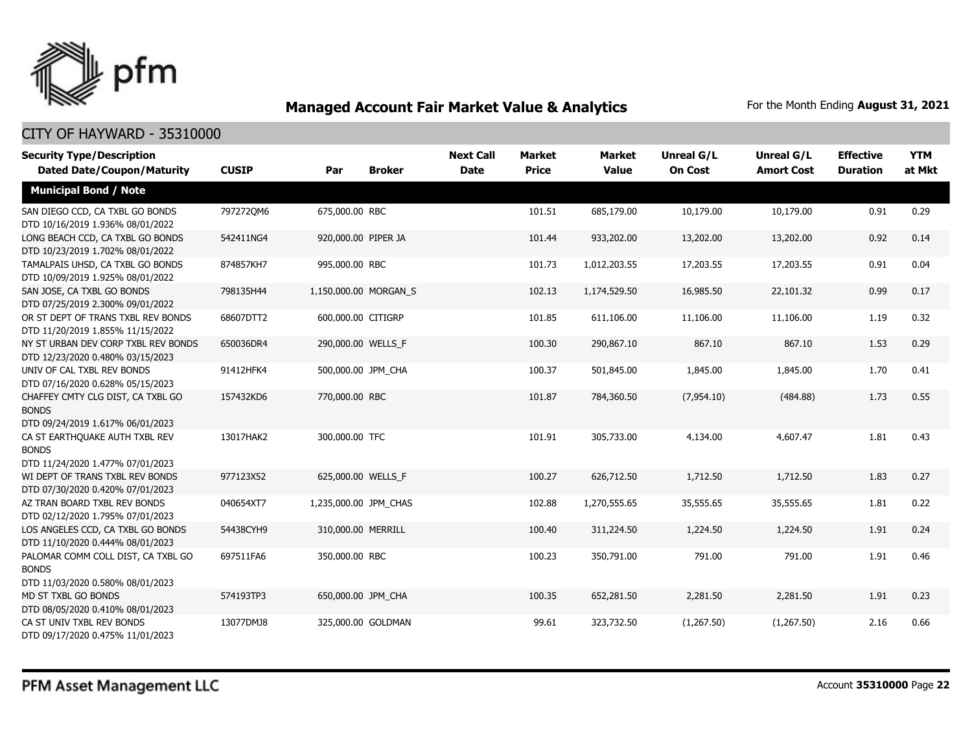

| <b>Security Type/Description</b><br><b>Dated Date/Coupon/Maturity</b>                  | <b>CUSIP</b> | Par                   | <b>Broker</b> | <b>Next Call</b><br><b>Date</b> | <b>Market</b><br><b>Price</b> | <b>Market</b><br><b>Value</b> | <b>Unreal G/L</b><br><b>On Cost</b> | Unreal G/L<br><b>Amort Cost</b> | <b>Effective</b><br><b>Duration</b> | <b>YTM</b><br>at Mkt |
|----------------------------------------------------------------------------------------|--------------|-----------------------|---------------|---------------------------------|-------------------------------|-------------------------------|-------------------------------------|---------------------------------|-------------------------------------|----------------------|
| <b>Municipal Bond / Note</b>                                                           |              |                       |               |                                 |                               |                               |                                     |                                 |                                     |                      |
| SAN DIEGO CCD, CA TXBL GO BONDS<br>DTD 10/16/2019 1.936% 08/01/2022                    | 7972720M6    | 675,000.00 RBC        |               |                                 | 101.51                        | 685,179.00                    | 10,179.00                           | 10,179.00                       | 0.91                                | 0.29                 |
| LONG BEACH CCD, CA TXBL GO BONDS<br>DTD 10/23/2019 1.702% 08/01/2022                   | 542411NG4    | 920,000.00 PIPER JA   |               |                                 | 101.44                        | 933,202.00                    | 13,202.00                           | 13,202.00                       | 0.92                                | 0.14                 |
| TAMALPAIS UHSD, CA TXBL GO BONDS<br>DTD 10/09/2019 1.925% 08/01/2022                   | 874857KH7    | 995,000.00 RBC        |               |                                 | 101.73                        | 1,012,203.55                  | 17,203.55                           | 17,203.55                       | 0.91                                | 0.04                 |
| SAN JOSE, CA TXBL GO BONDS<br>DTD 07/25/2019 2.300% 09/01/2022                         | 798135H44    | 1,150,000.00 MORGAN_S |               |                                 | 102.13                        | 1,174,529.50                  | 16,985.50                           | 22,101.32                       | 0.99                                | 0.17                 |
| OR ST DEPT OF TRANS TXBL REV BONDS<br>DTD 11/20/2019 1.855% 11/15/2022                 | 68607DTT2    | 600,000.00 CITIGRP    |               |                                 | 101.85                        | 611,106.00                    | 11,106.00                           | 11,106.00                       | 1.19                                | 0.32                 |
| NY ST URBAN DEV CORP TXBL REV BONDS<br>DTD 12/23/2020 0.480% 03/15/2023                | 650036DR4    | 290,000.00 WELLS_F    |               |                                 | 100.30                        | 290,867.10                    | 867.10                              | 867.10                          | 1.53                                | 0.29                 |
| UNIV OF CAL TXBL REV BONDS<br>DTD 07/16/2020 0.628% 05/15/2023                         | 91412HFK4    | 500,000.00 JPM_CHA    |               |                                 | 100.37                        | 501,845.00                    | 1,845.00                            | 1,845.00                        | 1.70                                | 0.41                 |
| CHAFFEY CMTY CLG DIST, CA TXBL GO<br><b>BONDS</b><br>DTD 09/24/2019 1.617% 06/01/2023  | 157432KD6    | 770,000.00 RBC        |               |                                 | 101.87                        | 784,360.50                    | (7,954.10)                          | (484.88)                        | 1.73                                | 0.55                 |
| CA ST EARTHQUAKE AUTH TXBL REV<br><b>BONDS</b><br>DTD 11/24/2020 1.477% 07/01/2023     | 13017HAK2    | 300,000.00 TFC        |               |                                 | 101.91                        | 305,733.00                    | 4,134.00                            | 4,607.47                        | 1.81                                | 0.43                 |
| WI DEPT OF TRANS TXBL REV BONDS<br>DTD 07/30/2020 0.420% 07/01/2023                    | 977123X52    | 625,000.00 WELLS F    |               |                                 | 100.27                        | 626,712.50                    | 1,712.50                            | 1,712.50                        | 1.83                                | 0.27                 |
| AZ TRAN BOARD TXBL REV BONDS<br>DTD 02/12/2020 1.795% 07/01/2023                       | 040654XT7    | 1,235,000.00 JPM_CHAS |               |                                 | 102.88                        | 1,270,555.65                  | 35,555.65                           | 35,555.65                       | 1.81                                | 0.22                 |
| LOS ANGELES CCD, CA TXBL GO BONDS<br>DTD 11/10/2020 0.444% 08/01/2023                  | 54438CYH9    | 310,000.00 MERRILL    |               |                                 | 100.40                        | 311,224.50                    | 1,224.50                            | 1,224.50                        | 1.91                                | 0.24                 |
| PALOMAR COMM COLL DIST, CA TXBL GO<br><b>BONDS</b><br>DTD 11/03/2020 0.580% 08/01/2023 | 697511FA6    | 350,000.00 RBC        |               |                                 | 100.23                        | 350,791.00                    | 791.00                              | 791.00                          | 1.91                                | 0.46                 |
| MD ST TXBL GO BONDS<br>DTD 08/05/2020 0.410% 08/01/2023                                | 574193TP3    | 650,000.00 JPM_CHA    |               |                                 | 100.35                        | 652,281.50                    | 2,281.50                            | 2,281.50                        | 1.91                                | 0.23                 |
| CA ST UNIV TXBL REV BONDS<br>DTD 09/17/2020 0.475% 11/01/2023                          | 13077DMJ8    | 325,000.00 GOLDMAN    |               |                                 | 99.61                         | 323,732.50                    | (1,267.50)                          | (1,267.50)                      | 2.16                                | 0.66                 |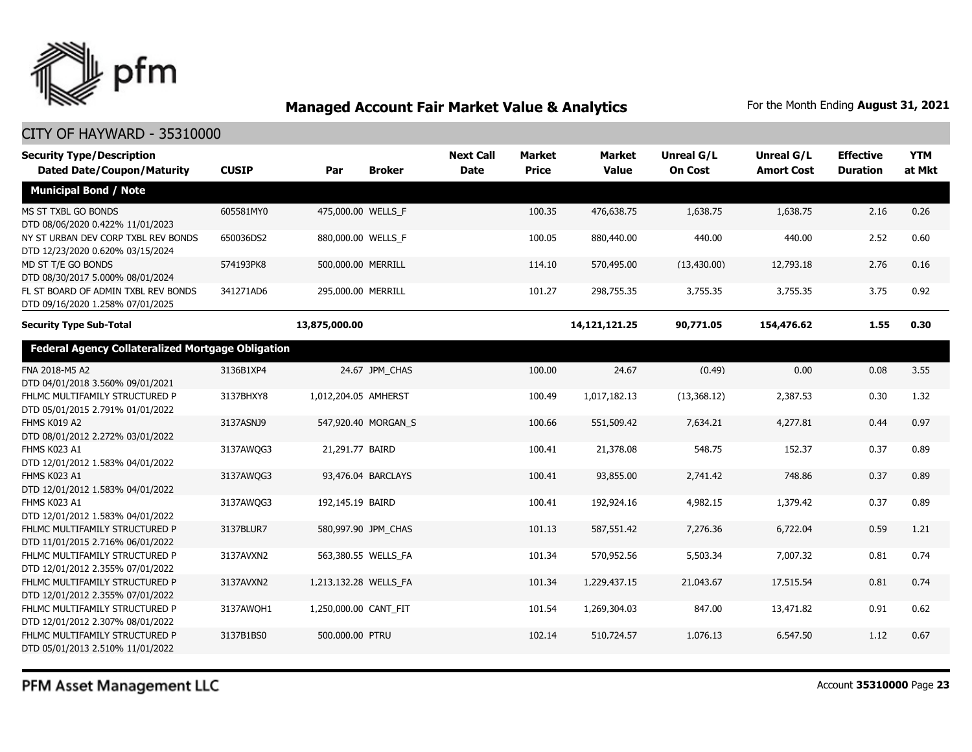

| <b>Security Type/Description</b><br><b>Dated Date/Coupon/Maturity</b>   | <b>CUSIP</b> | Par                   | <b>Broker</b>       | <b>Next Call</b><br><b>Date</b> | <b>Market</b><br><b>Price</b> | <b>Market</b><br><b>Value</b> | Unreal G/L<br><b>On Cost</b> | Unreal G/L<br><b>Amort Cost</b> | <b>Effective</b><br><b>Duration</b> | <b>YTM</b><br>at Mkt |
|-------------------------------------------------------------------------|--------------|-----------------------|---------------------|---------------------------------|-------------------------------|-------------------------------|------------------------------|---------------------------------|-------------------------------------|----------------------|
| <b>Municipal Bond / Note</b>                                            |              |                       |                     |                                 |                               |                               |                              |                                 |                                     |                      |
| MS ST TXBL GO BONDS<br>DTD 08/06/2020 0.422% 11/01/2023                 | 605581MY0    | 475,000.00 WELLS_F    |                     |                                 | 100.35                        | 476,638.75                    | 1,638.75                     | 1,638.75                        | 2.16                                | 0.26                 |
| NY ST URBAN DEV CORP TXBL REV BONDS<br>DTD 12/23/2020 0.620% 03/15/2024 | 650036DS2    | 880,000.00 WELLS_F    |                     |                                 | 100.05                        | 880,440.00                    | 440.00                       | 440.00                          | 2.52                                | 0.60                 |
| MD ST T/E GO BONDS<br>DTD 08/30/2017 5.000% 08/01/2024                  | 574193PK8    | 500,000.00 MERRILL    |                     |                                 | 114.10                        | 570,495.00                    | (13, 430.00)                 | 12,793.18                       | 2.76                                | 0.16                 |
| FL ST BOARD OF ADMIN TXBL REV BONDS<br>DTD 09/16/2020 1.258% 07/01/2025 | 341271AD6    | 295,000.00 MERRILL    |                     |                                 | 101.27                        | 298,755.35                    | 3,755.35                     | 3,755.35                        | 3.75                                | 0.92                 |
| <b>Security Type Sub-Total</b>                                          |              | 13,875,000.00         |                     |                                 |                               | 14,121,121.25                 | 90,771.05                    | 154,476.62                      | 1.55                                | 0.30                 |
| <b>Federal Agency Collateralized Mortgage Obligation</b>                |              |                       |                     |                                 |                               |                               |                              |                                 |                                     |                      |
| FNA 2018-M5 A2<br>DTD 04/01/2018 3.560% 09/01/2021                      | 3136B1XP4    |                       | 24.67 JPM CHAS      |                                 | 100.00                        | 24.67                         | (0.49)                       | 0.00                            | 0.08                                | 3.55                 |
| FHLMC MULTIFAMILY STRUCTURED P<br>DTD 05/01/2015 2.791% 01/01/2022      | 3137BHXY8    | 1,012,204.05 AMHERST  |                     |                                 | 100.49                        | 1,017,182.13                  | (13, 368.12)                 | 2,387.53                        | 0.30                                | 1.32                 |
| FHMS K019 A2<br>DTD 08/01/2012 2.272% 03/01/2022                        | 3137ASNJ9    |                       | 547,920.40 MORGAN_S |                                 | 100.66                        | 551,509.42                    | 7,634.21                     | 4,277.81                        | 0.44                                | 0.97                 |
| FHMS K023 A1<br>DTD 12/01/2012 1.583% 04/01/2022                        | 3137AWQG3    | 21,291.77 BAIRD       |                     |                                 | 100.41                        | 21,378.08                     | 548.75                       | 152.37                          | 0.37                                | 0.89                 |
| FHMS K023 A1<br>DTD 12/01/2012 1.583% 04/01/2022                        | 3137AWQG3    |                       | 93,476.04 BARCLAYS  |                                 | 100.41                        | 93,855.00                     | 2,741.42                     | 748.86                          | 0.37                                | 0.89                 |
| FHMS K023 A1<br>DTD 12/01/2012 1.583% 04/01/2022                        | 3137AWQG3    | 192,145.19 BAIRD      |                     |                                 | 100.41                        | 192,924.16                    | 4,982.15                     | 1,379.42                        | 0.37                                | 0.89                 |
| FHLMC MULTIFAMILY STRUCTURED P<br>DTD 11/01/2015 2.716% 06/01/2022      | 3137BLUR7    |                       | 580,997.90 JPM_CHAS |                                 | 101.13                        | 587,551.42                    | 7,276.36                     | 6,722.04                        | 0.59                                | 1.21                 |
| FHLMC MULTIFAMILY STRUCTURED P<br>DTD 12/01/2012 2.355% 07/01/2022      | 3137AVXN2    |                       | 563,380.55 WELLS_FA |                                 | 101.34                        | 570,952.56                    | 5,503.34                     | 7,007.32                        | 0.81                                | 0.74                 |
| FHLMC MULTIFAMILY STRUCTURED P<br>DTD 12/01/2012 2.355% 07/01/2022      | 3137AVXN2    | 1,213,132.28 WELLS_FA |                     |                                 | 101.34                        | 1,229,437.15                  | 21,043.67                    | 17,515.54                       | 0.81                                | 0.74                 |
| FHLMC MULTIFAMILY STRUCTURED P<br>DTD 12/01/2012 2.307% 08/01/2022      | 3137AWOH1    | 1,250,000.00 CANT_FIT |                     |                                 | 101.54                        | 1,269,304.03                  | 847.00                       | 13,471.82                       | 0.91                                | 0.62                 |
| FHLMC MULTIFAMILY STRUCTURED P<br>DTD 05/01/2013 2.510% 11/01/2022      | 3137B1BS0    | 500,000.00 PTRU       |                     |                                 | 102.14                        | 510,724.57                    | 1,076.13                     | 6,547.50                        | 1.12                                | 0.67                 |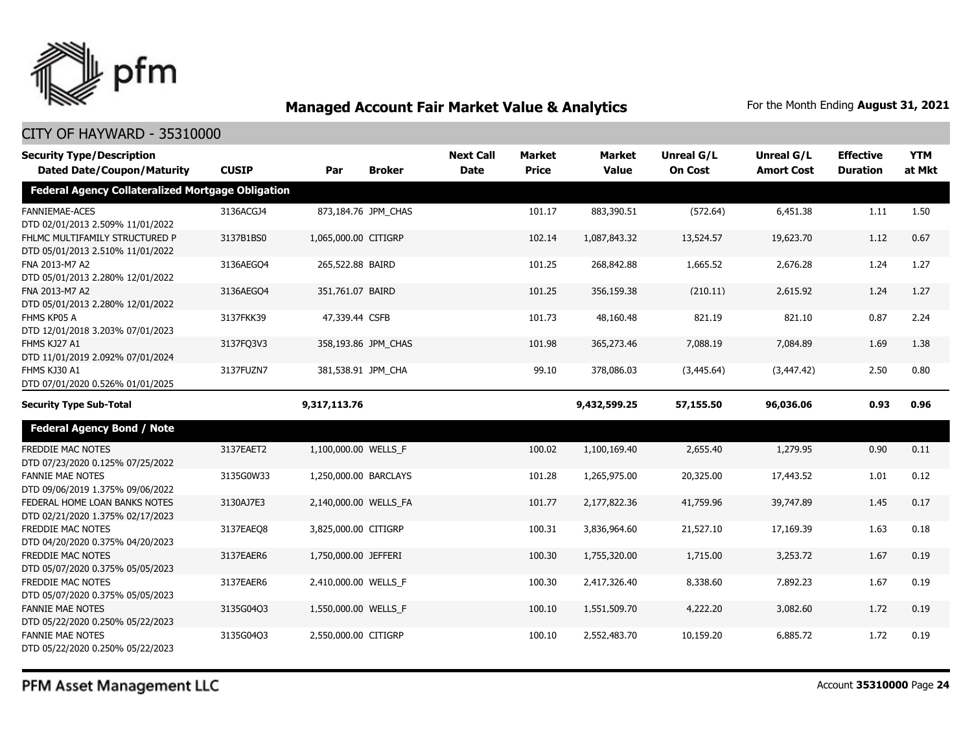

#### CITY OF HAYWARD - 35310000

| <b>Security Type/Description</b>                                   |              |                       |                     | <b>Next Call</b> | <b>Market</b> | <b>Market</b> | <b>Unreal G/L</b> | Unreal G/L        | <b>Effective</b> | <b>YTM</b> |
|--------------------------------------------------------------------|--------------|-----------------------|---------------------|------------------|---------------|---------------|-------------------|-------------------|------------------|------------|
| <b>Dated Date/Coupon/Maturity</b>                                  | <b>CUSIP</b> | Par                   | <b>Broker</b>       | <b>Date</b>      | <b>Price</b>  | <b>Value</b>  | <b>On Cost</b>    | <b>Amort Cost</b> | <b>Duration</b>  | at Mkt     |
| <b>Federal Agency Collateralized Mortgage Obligation</b>           |              |                       |                     |                  |               |               |                   |                   |                  |            |
| <b>FANNIEMAE-ACES</b><br>DTD 02/01/2013 2.509% 11/01/2022          | 3136ACGJ4    |                       | 873,184.76 JPM_CHAS |                  | 101.17        | 883,390.51    | (572.64)          | 6,451.38          | 1.11             | 1.50       |
| FHLMC MULTIFAMILY STRUCTURED P<br>DTD 05/01/2013 2.510% 11/01/2022 | 3137B1BS0    | 1,065,000.00 CITIGRP  |                     |                  | 102.14        | 1,087,843.32  | 13,524.57         | 19,623.70         | 1.12             | 0.67       |
| FNA 2013-M7 A2<br>DTD 05/01/2013 2.280% 12/01/2022                 | 3136AEGO4    | 265,522.88 BAIRD      |                     |                  | 101.25        | 268,842.88    | 1,665.52          | 2,676.28          | 1.24             | 1.27       |
| FNA 2013-M7 A2<br>DTD 05/01/2013 2.280% 12/01/2022                 | 3136AEGO4    | 351,761.07 BAIRD      |                     |                  | 101.25        | 356,159.38    | (210.11)          | 2,615.92          | 1.24             | 1.27       |
| FHMS KP05 A<br>DTD 12/01/2018 3.203% 07/01/2023                    | 3137FKK39    | 47,339.44 CSFB        |                     |                  | 101.73        | 48,160.48     | 821.19            | 821.10            | 0.87             | 2.24       |
| FHMS KJ27 A1<br>DTD 11/01/2019 2.092% 07/01/2024                   | 3137FQ3V3    |                       | 358,193.86 JPM_CHAS |                  | 101.98        | 365,273.46    | 7,088.19          | 7,084.89          | 1.69             | 1.38       |
| FHMS KJ30 A1<br>DTD 07/01/2020 0.526% 01/01/2025                   | 3137FUZN7    |                       | 381,538.91 JPM_CHA  |                  | 99.10         | 378,086.03    | (3,445.64)        | (3,447.42)        | 2.50             | 0.80       |
| <b>Security Type Sub-Total</b>                                     |              | 9,317,113.76          |                     |                  |               | 9,432,599.25  | 57,155.50         | 96,036.06         | 0.93             | 0.96       |
| <b>Federal Agency Bond / Note</b>                                  |              |                       |                     |                  |               |               |                   |                   |                  |            |
| <b>FREDDIE MAC NOTES</b><br>DTD 07/23/2020 0.125% 07/25/2022       | 3137EAET2    | 1,100,000.00 WELLS_F  |                     |                  | 100.02        | 1,100,169.40  | 2,655.40          | 1,279.95          | 0.90             | 0.11       |
| <b>FANNIE MAE NOTES</b><br>DTD 09/06/2019 1.375% 09/06/2022        | 3135G0W33    | 1,250,000.00 BARCLAYS |                     |                  | 101.28        | 1,265,975.00  | 20,325.00         | 17,443.52         | 1.01             | 0.12       |
| FEDERAL HOME LOAN BANKS NOTES<br>DTD 02/21/2020 1.375% 02/17/2023  | 3130AJ7E3    | 2,140,000.00 WELLS FA |                     |                  | 101.77        | 2,177,822.36  | 41,759.96         | 39,747.89         | 1.45             | 0.17       |
| FREDDIE MAC NOTES<br>DTD 04/20/2020 0.375% 04/20/2023              | 3137EAEO8    | 3,825,000.00 CITIGRP  |                     |                  | 100.31        | 3,836,964.60  | 21,527.10         | 17,169.39         | 1.63             | 0.18       |
| <b>FREDDIE MAC NOTES</b><br>DTD 05/07/2020 0.375% 05/05/2023       | 3137EAER6    | 1,750,000.00 JEFFERI  |                     |                  | 100.30        | 1,755,320.00  | 1,715.00          | 3,253.72          | 1.67             | 0.19       |
| FREDDIE MAC NOTES<br>DTD 05/07/2020 0.375% 05/05/2023              | 3137EAER6    | 2,410,000.00 WELLS_F  |                     |                  | 100.30        | 2,417,326.40  | 8,338.60          | 7,892.23          | 1.67             | 0.19       |
| <b>FANNIE MAE NOTES</b><br>DTD 05/22/2020 0.250% 05/22/2023        | 3135G04Q3    | 1,550,000.00 WELLS_F  |                     |                  | 100.10        | 1,551,509.70  | 4,222.20          | 3,082.60          | 1.72             | 0.19       |
| <b>FANNIE MAE NOTES</b><br>DTD 05/22/2020 0.250% 05/22/2023        | 3135G04Q3    | 2,550,000.00 CITIGRP  |                     |                  | 100.10        | 2,552,483.70  | 10,159.20         | 6,885.72          | 1.72             | 0.19       |

PFM Asset Management LLC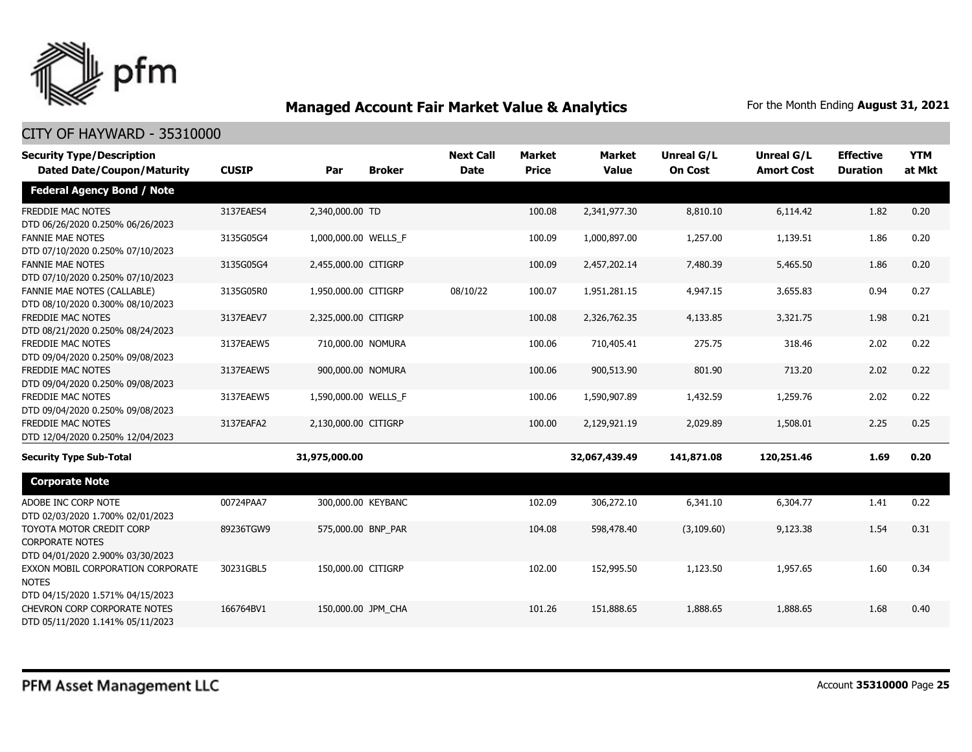

| <b>Security Type/Description</b>                                                       |              |                      |               | <b>Next Call</b> | <b>Market</b> | <b>Market</b> | <b>Unreal G/L</b> | Unreal G/L        | <b>Effective</b> | <b>YTM</b> |
|----------------------------------------------------------------------------------------|--------------|----------------------|---------------|------------------|---------------|---------------|-------------------|-------------------|------------------|------------|
| <b>Dated Date/Coupon/Maturity</b>                                                      | <b>CUSIP</b> | Par                  | <b>Broker</b> | <b>Date</b>      | <b>Price</b>  | <b>Value</b>  | <b>On Cost</b>    | <b>Amort Cost</b> | <b>Duration</b>  | at Mkt     |
| <b>Federal Agency Bond / Note</b>                                                      |              |                      |               |                  |               |               |                   |                   |                  |            |
| <b>FREDDIE MAC NOTES</b><br>DTD 06/26/2020 0.250% 06/26/2023                           | 3137EAES4    | 2,340,000.00 TD      |               |                  | 100.08        | 2,341,977.30  | 8,810.10          | 6,114.42          | 1.82             | 0.20       |
| <b>FANNIE MAE NOTES</b><br>DTD 07/10/2020 0.250% 07/10/2023                            | 3135G05G4    | 1,000,000.00 WELLS_F |               |                  | 100.09        | 1,000,897.00  | 1,257.00          | 1,139.51          | 1.86             | 0.20       |
| <b>FANNIE MAE NOTES</b><br>DTD 07/10/2020 0.250% 07/10/2023                            | 3135G05G4    | 2,455,000.00 CITIGRP |               |                  | 100.09        | 2,457,202.14  | 7,480.39          | 5,465.50          | 1.86             | 0.20       |
| <b>FANNIE MAE NOTES (CALLABLE)</b><br>DTD 08/10/2020 0.300% 08/10/2023                 | 3135G05R0    | 1,950,000.00 CITIGRP |               | 08/10/22         | 100.07        | 1,951,281.15  | 4,947.15          | 3,655.83          | 0.94             | 0.27       |
| <b>FREDDIE MAC NOTES</b><br>DTD 08/21/2020 0.250% 08/24/2023                           | 3137EAEV7    | 2,325,000.00 CITIGRP |               |                  | 100.08        | 2,326,762.35  | 4,133.85          | 3,321.75          | 1.98             | 0.21       |
| <b>FREDDIE MAC NOTES</b><br>DTD 09/04/2020 0.250% 09/08/2023                           | 3137EAEW5    | 710,000.00 NOMURA    |               |                  | 100.06        | 710,405.41    | 275.75            | 318.46            | 2.02             | 0.22       |
| <b>FREDDIE MAC NOTES</b><br>DTD 09/04/2020 0.250% 09/08/2023                           | 3137EAEW5    | 900,000.00 NOMURA    |               |                  | 100.06        | 900,513.90    | 801.90            | 713.20            | 2.02             | 0.22       |
| FREDDIE MAC NOTES<br>DTD 09/04/2020 0.250% 09/08/2023                                  | 3137EAEW5    | 1,590,000.00 WELLS_F |               |                  | 100.06        | 1,590,907.89  | 1,432.59          | 1,259.76          | 2.02             | 0.22       |
| <b>FREDDIE MAC NOTES</b><br>DTD 12/04/2020 0.250% 12/04/2023                           | 3137EAFA2    | 2,130,000.00 CITIGRP |               |                  | 100.00        | 2,129,921.19  | 2,029.89          | 1,508.01          | 2.25             | 0.25       |
| <b>Security Type Sub-Total</b>                                                         |              | 31,975,000.00        |               |                  |               | 32,067,439.49 | 141,871.08        | 120,251.46        | 1.69             | 0.20       |
| <b>Corporate Note</b>                                                                  |              |                      |               |                  |               |               |                   |                   |                  |            |
| ADOBE INC CORP NOTE<br>DTD 02/03/2020 1.700% 02/01/2023                                | 00724PAA7    | 300,000.00 KEYBANC   |               |                  | 102.09        | 306,272.10    | 6,341.10          | 6,304.77          | 1.41             | 0.22       |
| TOYOTA MOTOR CREDIT CORP<br><b>CORPORATE NOTES</b><br>DTD 04/01/2020 2.900% 03/30/2023 | 89236TGW9    | 575,000.00 BNP_PAR   |               |                  | 104.08        | 598,478.40    | (3, 109.60)       | 9,123.38          | 1.54             | 0.31       |
| EXXON MOBIL CORPORATION CORPORATE<br><b>NOTES</b><br>DTD 04/15/2020 1.571% 04/15/2023  | 30231GBL5    | 150,000.00 CITIGRP   |               |                  | 102.00        | 152,995.50    | 1,123.50          | 1,957.65          | 1.60             | 0.34       |
| CHEVRON CORP CORPORATE NOTES<br>DTD 05/11/2020 1.141% 05/11/2023                       | 166764BV1    | 150,000.00 JPM CHA   |               |                  | 101.26        | 151,888.65    | 1,888.65          | 1,888.65          | 1.68             | 0.40       |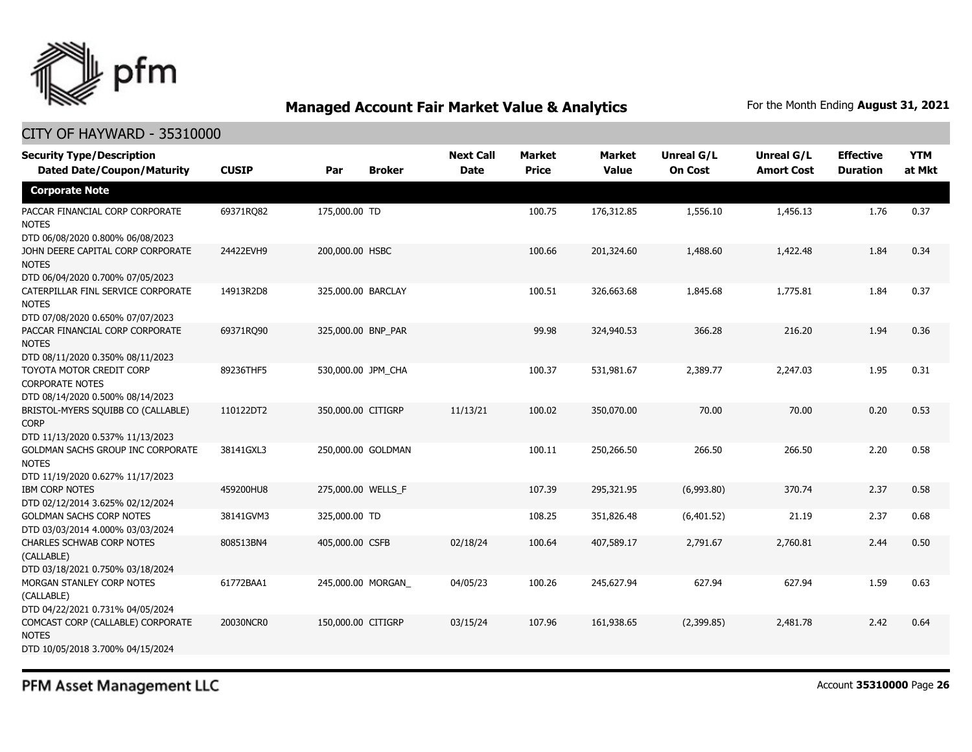

| <b>Security Type/Description</b><br><b>Dated Date/Coupon/Maturity</b>                  | <b>CUSIP</b> | Par                | <b>Broker</b> | <b>Next Call</b><br><b>Date</b> | <b>Market</b><br><b>Price</b> | <b>Market</b><br><b>Value</b> | <b>Unreal G/L</b><br><b>On Cost</b> | <b>Unreal G/L</b><br><b>Amort Cost</b> | <b>Effective</b><br><b>Duration</b> | <b>YTM</b><br>at Mkt |
|----------------------------------------------------------------------------------------|--------------|--------------------|---------------|---------------------------------|-------------------------------|-------------------------------|-------------------------------------|----------------------------------------|-------------------------------------|----------------------|
| <b>Corporate Note</b>                                                                  |              |                    |               |                                 |                               |                               |                                     |                                        |                                     |                      |
| PACCAR FINANCIAL CORP CORPORATE<br><b>NOTES</b><br>DTD 06/08/2020 0.800% 06/08/2023    | 69371RQ82    | 175,000.00 TD      |               |                                 | 100.75                        | 176,312.85                    | 1,556.10                            | 1,456.13                               | 1.76                                | 0.37                 |
| JOHN DEERE CAPITAL CORP CORPORATE<br><b>NOTES</b><br>DTD 06/04/2020 0.700% 07/05/2023  | 24422EVH9    | 200,000.00 HSBC    |               |                                 | 100.66                        | 201,324.60                    | 1,488.60                            | 1,422.48                               | 1.84                                | 0.34                 |
| CATERPILLAR FINL SERVICE CORPORATE<br><b>NOTES</b><br>DTD 07/08/2020 0.650% 07/07/2023 | 14913R2D8    | 325,000.00 BARCLAY |               |                                 | 100.51                        | 326,663.68                    | 1,845.68                            | 1,775.81                               | 1.84                                | 0.37                 |
| PACCAR FINANCIAL CORP CORPORATE<br><b>NOTES</b><br>DTD 08/11/2020 0.350% 08/11/2023    | 69371RQ90    | 325,000.00 BNP_PAR |               |                                 | 99.98                         | 324,940.53                    | 366.28                              | 216.20                                 | 1.94                                | 0.36                 |
| TOYOTA MOTOR CREDIT CORP<br><b>CORPORATE NOTES</b><br>DTD 08/14/2020 0.500% 08/14/2023 | 89236THF5    | 530,000.00 JPM CHA |               |                                 | 100.37                        | 531,981.67                    | 2,389.77                            | 2,247.03                               | 1.95                                | 0.31                 |
| BRISTOL-MYERS SQUIBB CO (CALLABLE)<br><b>CORP</b><br>DTD 11/13/2020 0.537% 11/13/2023  | 110122DT2    | 350,000.00 CITIGRP |               | 11/13/21                        | 100.02                        | 350,070.00                    | 70.00                               | 70.00                                  | 0.20                                | 0.53                 |
| GOLDMAN SACHS GROUP INC CORPORATE<br><b>NOTES</b><br>DTD 11/19/2020 0.627% 11/17/2023  | 38141GXL3    | 250,000.00 GOLDMAN |               |                                 | 100.11                        | 250,266.50                    | 266.50                              | 266.50                                 | 2.20                                | 0.58                 |
| <b>IBM CORP NOTES</b><br>DTD 02/12/2014 3.625% 02/12/2024                              | 459200HU8    | 275,000.00 WELLS_F |               |                                 | 107.39                        | 295,321.95                    | (6,993.80)                          | 370.74                                 | 2.37                                | 0.58                 |
| <b>GOLDMAN SACHS CORP NOTES</b><br>DTD 03/03/2014 4.000% 03/03/2024                    | 38141GVM3    | 325,000.00 TD      |               |                                 | 108.25                        | 351,826.48                    | (6,401.52)                          | 21.19                                  | 2.37                                | 0.68                 |
| CHARLES SCHWAB CORP NOTES<br>(CALLABLE)<br>DTD 03/18/2021 0.750% 03/18/2024            | 808513BN4    | 405,000.00 CSFB    |               | 02/18/24                        | 100.64                        | 407,589.17                    | 2,791.67                            | 2,760.81                               | 2.44                                | 0.50                 |
| MORGAN STANLEY CORP NOTES<br>(CALLABLE)<br>DTD 04/22/2021 0.731% 04/05/2024            | 61772BAA1    | 245,000.00 MORGAN  |               | 04/05/23                        | 100.26                        | 245,627.94                    | 627.94                              | 627.94                                 | 1.59                                | 0.63                 |
| COMCAST CORP (CALLABLE) CORPORATE<br><b>NOTES</b><br>DTD 10/05/2018 3.700% 04/15/2024  | 20030NCR0    | 150,000.00 CITIGRP |               | 03/15/24                        | 107.96                        | 161,938.65                    | (2,399.85)                          | 2,481.78                               | 2.42                                | 0.64                 |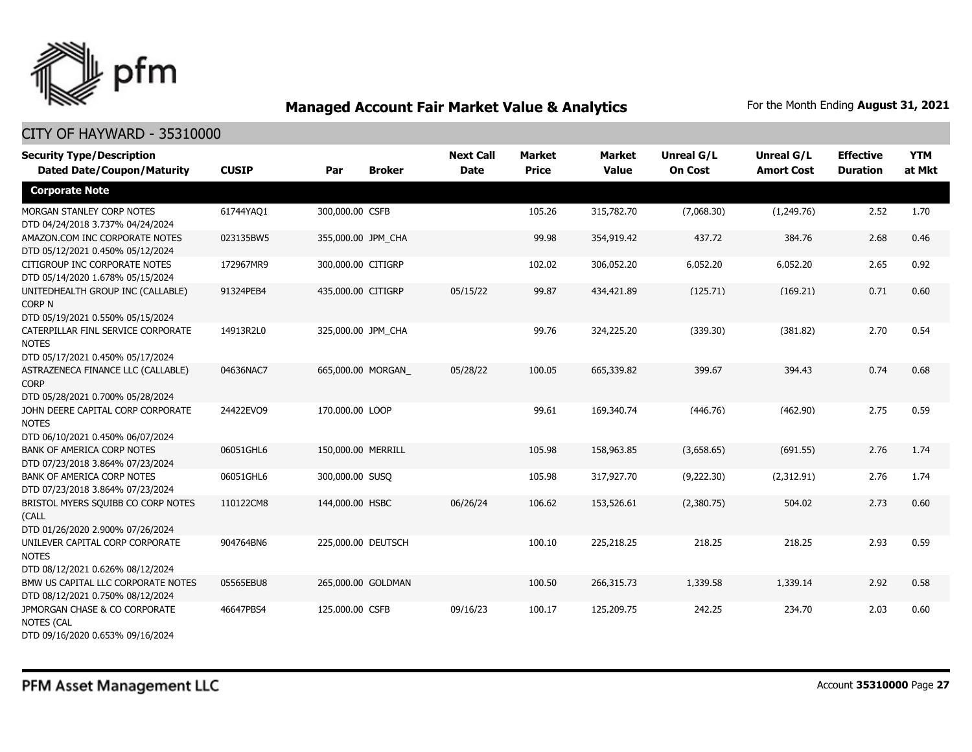

| <b>Security Type/Description</b>                                                       |              |                    |                    | <b>Next Call</b> | <b>Market</b> | <b>Market</b> | Unreal G/L     | <b>Unreal G/L</b> | <b>Effective</b> | <b>YTM</b> |
|----------------------------------------------------------------------------------------|--------------|--------------------|--------------------|------------------|---------------|---------------|----------------|-------------------|------------------|------------|
| <b>Dated Date/Coupon/Maturity</b>                                                      | <b>CUSIP</b> | Par                | <b>Broker</b>      | <b>Date</b>      | <b>Price</b>  | <b>Value</b>  | <b>On Cost</b> | <b>Amort Cost</b> | <b>Duration</b>  | at Mkt     |
| <b>Corporate Note</b>                                                                  |              |                    |                    |                  |               |               |                |                   |                  |            |
| MORGAN STANLEY CORP NOTES<br>DTD 04/24/2018 3.737% 04/24/2024                          | 61744YAQ1    | 300,000.00 CSFB    |                    |                  | 105.26        | 315,782.70    | (7,068.30)     | (1,249.76)        | 2.52             | 1.70       |
| AMAZON.COM INC CORPORATE NOTES<br>DTD 05/12/2021 0.450% 05/12/2024                     | 023135BW5    | 355,000.00 JPM CHA |                    |                  | 99.98         | 354,919.42    | 437.72         | 384.76            | 2.68             | 0.46       |
| CITIGROUP INC CORPORATE NOTES<br>DTD 05/14/2020 1.678% 05/15/2024                      | 172967MR9    | 300,000.00 CITIGRP |                    |                  | 102.02        | 306,052.20    | 6,052.20       | 6,052.20          | 2.65             | 0.92       |
| UNITEDHEALTH GROUP INC (CALLABLE)<br>CORP N<br>DTD 05/19/2021 0.550% 05/15/2024        | 91324PEB4    | 435,000.00 CITIGRP |                    | 05/15/22         | 99.87         | 434,421.89    | (125.71)       | (169.21)          | 0.71             | 0.60       |
| CATERPILLAR FINL SERVICE CORPORATE<br><b>NOTES</b><br>DTD 05/17/2021 0.450% 05/17/2024 | 14913R2L0    | 325,000.00 JPM CHA |                    |                  | 99.76         | 324,225.20    | (339.30)       | (381.82)          | 2.70             | 0.54       |
| ASTRAZENECA FINANCE LLC (CALLABLE)<br><b>CORP</b><br>DTD 05/28/2021 0.700% 05/28/2024  | 04636NAC7    |                    | 665,000.00 MORGAN  | 05/28/22         | 100.05        | 665,339.82    | 399.67         | 394.43            | 0.74             | 0.68       |
| JOHN DEERE CAPITAL CORP CORPORATE<br><b>NOTES</b><br>DTD 06/10/2021 0.450% 06/07/2024  | 24422EVO9    | 170,000.00 LOOP    |                    |                  | 99.61         | 169,340.74    | (446.76)       | (462.90)          | 2.75             | 0.59       |
| <b>BANK OF AMERICA CORP NOTES</b><br>DTD 07/23/2018 3.864% 07/23/2024                  | 06051GHL6    | 150,000.00 MERRILL |                    |                  | 105.98        | 158,963.85    | (3,658.65)     | (691.55)          | 2.76             | 1.74       |
| <b>BANK OF AMERICA CORP NOTES</b><br>DTD 07/23/2018 3.864% 07/23/2024                  | 06051GHL6    | 300,000.00 SUSQ    |                    |                  | 105.98        | 317,927.70    | (9,222.30)     | (2,312.91)        | 2.76             | 1.74       |
| BRISTOL MYERS SQUIBB CO CORP NOTES<br>(CALL<br>DTD 01/26/2020 2.900% 07/26/2024        | 110122CM8    | 144,000.00 HSBC    |                    | 06/26/24         | 106.62        | 153,526.61    | (2,380.75)     | 504.02            | 2.73             | 0.60       |
| UNILEVER CAPITAL CORP CORPORATE<br><b>NOTES</b><br>DTD 08/12/2021 0.626% 08/12/2024    | 904764BN6    | 225,000.00 DEUTSCH |                    |                  | 100.10        | 225,218.25    | 218.25         | 218.25            | 2.93             | 0.59       |
| BMW US CAPITAL LLC CORPORATE NOTES<br>DTD 08/12/2021 0.750% 08/12/2024                 | 05565EBU8    |                    | 265,000.00 GOLDMAN |                  | 100.50        | 266,315.73    | 1,339.58       | 1,339.14          | 2.92             | 0.58       |
| JPMORGAN CHASE & CO CORPORATE<br>NOTES (CAL<br>DTD 09/16/2020 0.653% 09/16/2024        | 46647PBS4    | 125,000.00 CSFB    |                    | 09/16/23         | 100.17        | 125,209.75    | 242.25         | 234.70            | 2.03             | 0.60       |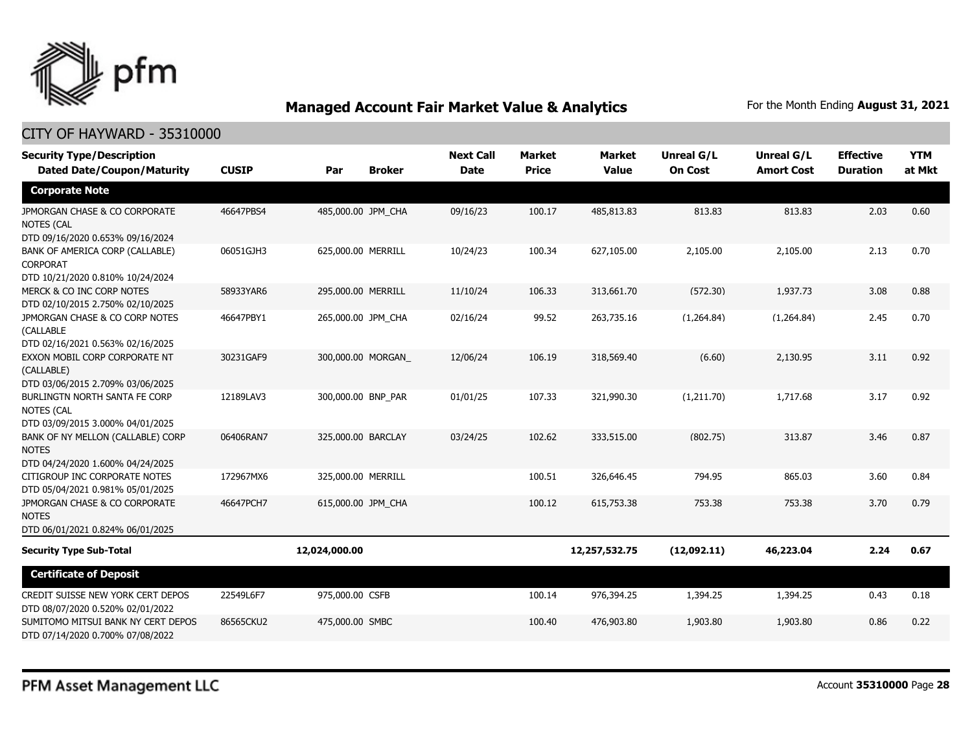

| <b>Security Type/Description</b><br><b>Dated Date/Coupon/Maturity</b>                  | <b>CUSIP</b> | Par                | <b>Broker</b>     | <b>Next Call</b><br><b>Date</b> | <b>Market</b><br><b>Price</b> | <b>Market</b><br><b>Value</b> | Unreal G/L<br><b>On Cost</b> | <b>Unreal G/L</b><br><b>Amort Cost</b> | <b>Effective</b><br><b>Duration</b> | <b>YTM</b><br>at Mkt |
|----------------------------------------------------------------------------------------|--------------|--------------------|-------------------|---------------------------------|-------------------------------|-------------------------------|------------------------------|----------------------------------------|-------------------------------------|----------------------|
| <b>Corporate Note</b>                                                                  |              |                    |                   |                                 |                               |                               |                              |                                        |                                     |                      |
| JPMORGAN CHASE & CO CORPORATE<br><b>NOTES (CAL</b><br>DTD 09/16/2020 0.653% 09/16/2024 | 46647PBS4    | 485,000.00 JPM_CHA |                   | 09/16/23                        | 100.17                        | 485,813.83                    | 813.83                       | 813.83                                 | 2.03                                | 0.60                 |
| BANK OF AMERICA CORP (CALLABLE)<br><b>CORPORAT</b><br>DTD 10/21/2020 0.810% 10/24/2024 | 06051GJH3    | 625,000.00 MERRILL |                   | 10/24/23                        | 100.34                        | 627,105.00                    | 2,105.00                     | 2,105.00                               | 2.13                                | 0.70                 |
| MERCK & CO INC CORP NOTES<br>DTD 02/10/2015 2.750% 02/10/2025                          | 58933YAR6    | 295,000.00 MERRILL |                   | 11/10/24                        | 106.33                        | 313,661.70                    | (572.30)                     | 1,937.73                               | 3.08                                | 0.88                 |
| JPMORGAN CHASE & CO CORP NOTES<br>(CALLABLE<br>DTD 02/16/2021 0.563% 02/16/2025        | 46647PBY1    | 265,000.00 JPM CHA |                   | 02/16/24                        | 99.52                         | 263,735.16                    | (1,264.84)                   | (1,264.84)                             | 2.45                                | 0.70                 |
| EXXON MOBIL CORP CORPORATE NT<br>(CALLABLE)<br>DTD 03/06/2015 2.709% 03/06/2025        | 30231GAF9    |                    | 300,000.00 MORGAN | 12/06/24                        | 106.19                        | 318,569.40                    | (6.60)                       | 2,130.95                               | 3.11                                | 0.92                 |
| BURLINGTN NORTH SANTA FE CORP<br><b>NOTES (CAL</b><br>DTD 03/09/2015 3.000% 04/01/2025 | 12189LAV3    | 300,000.00 BNP_PAR |                   | 01/01/25                        | 107.33                        | 321,990.30                    | (1,211.70)                   | 1,717.68                               | 3.17                                | 0.92                 |
| BANK OF NY MELLON (CALLABLE) CORP<br><b>NOTES</b><br>DTD 04/24/2020 1.600% 04/24/2025  | 06406RAN7    | 325,000.00 BARCLAY |                   | 03/24/25                        | 102.62                        | 333,515.00                    | (802.75)                     | 313.87                                 | 3.46                                | 0.87                 |
| CITIGROUP INC CORPORATE NOTES<br>DTD 05/04/2021 0.981% 05/01/2025                      | 172967MX6    | 325,000.00 MERRILL |                   |                                 | 100.51                        | 326,646.45                    | 794.95                       | 865.03                                 | 3.60                                | 0.84                 |
| JPMORGAN CHASE & CO CORPORATE<br><b>NOTES</b><br>DTD 06/01/2021 0.824% 06/01/2025      | 46647PCH7    | 615,000.00 JPM_CHA |                   |                                 | 100.12                        | 615,753.38                    | 753.38                       | 753.38                                 | 3.70                                | 0.79                 |
| <b>Security Type Sub-Total</b>                                                         |              | 12,024,000.00      |                   |                                 |                               | 12,257,532.75                 | (12,092.11)                  | 46,223.04                              | 2.24                                | 0.67                 |
| <b>Certificate of Deposit</b>                                                          |              |                    |                   |                                 |                               |                               |                              |                                        |                                     |                      |
| CREDIT SUISSE NEW YORK CERT DEPOS<br>DTD 08/07/2020 0.520% 02/01/2022                  | 22549L6F7    | 975,000.00 CSFB    |                   |                                 | 100.14                        | 976,394.25                    | 1,394.25                     | 1,394.25                               | 0.43                                | 0.18                 |
| SUMITOMO MITSUI BANK NY CERT DEPOS<br>DTD 07/14/2020 0.700% 07/08/2022                 | 86565CKU2    | 475,000.00 SMBC    |                   |                                 | 100.40                        | 476,903.80                    | 1,903.80                     | 1,903.80                               | 0.86                                | 0.22                 |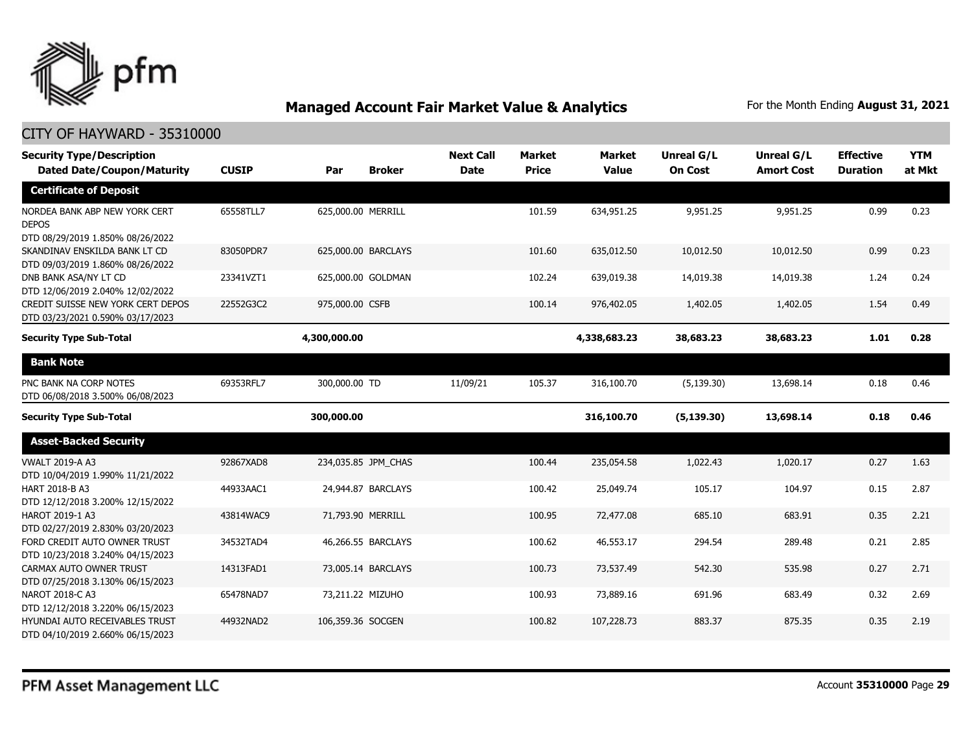

| <b>Security Type/Description</b><br><b>Dated Date/Coupon/Maturity</b>             | <b>CUSIP</b> | Par                 | <b>Broker</b> | <b>Next Call</b><br><b>Date</b> | <b>Market</b><br><b>Price</b> | <b>Market</b><br><b>Value</b> | <b>Unreal G/L</b><br><b>On Cost</b> | Unreal G/L<br><b>Amort Cost</b> | <b>Effective</b><br><b>Duration</b> | <b>YTM</b><br>at Mkt |
|-----------------------------------------------------------------------------------|--------------|---------------------|---------------|---------------------------------|-------------------------------|-------------------------------|-------------------------------------|---------------------------------|-------------------------------------|----------------------|
| <b>Certificate of Deposit</b>                                                     |              |                     |               |                                 |                               |                               |                                     |                                 |                                     |                      |
| NORDEA BANK ABP NEW YORK CERT<br><b>DEPOS</b><br>DTD 08/29/2019 1.850% 08/26/2022 | 65558TLL7    | 625,000.00 MERRILL  |               |                                 | 101.59                        | 634,951.25                    | 9,951.25                            | 9,951.25                        | 0.99                                | 0.23                 |
| SKANDINAV ENSKILDA BANK LT CD<br>DTD 09/03/2019 1.860% 08/26/2022                 | 83050PDR7    | 625,000.00 BARCLAYS |               |                                 | 101.60                        | 635,012.50                    | 10,012.50                           | 10,012.50                       | 0.99                                | 0.23                 |
| DNB BANK ASA/NY LT CD<br>DTD 12/06/2019 2.040% 12/02/2022                         | 23341VZT1    | 625,000.00 GOLDMAN  |               |                                 | 102.24                        | 639,019.38                    | 14,019.38                           | 14,019.38                       | 1.24                                | 0.24                 |
| CREDIT SUISSE NEW YORK CERT DEPOS<br>DTD 03/23/2021 0.590% 03/17/2023             | 22552G3C2    | 975,000.00 CSFB     |               |                                 | 100.14                        | 976,402.05                    | 1,402.05                            | 1,402.05                        | 1.54                                | 0.49                 |
| <b>Security Type Sub-Total</b>                                                    |              | 4,300,000.00        |               |                                 |                               | 4,338,683.23                  | 38,683.23                           | 38,683.23                       | 1.01                                | 0.28                 |
| <b>Bank Note</b>                                                                  |              |                     |               |                                 |                               |                               |                                     |                                 |                                     |                      |
| PNC BANK NA CORP NOTES<br>DTD 06/08/2018 3.500% 06/08/2023                        | 69353RFL7    | 300,000.00 TD       |               | 11/09/21                        | 105.37                        | 316,100.70                    | (5, 139.30)                         | 13,698.14                       | 0.18                                | 0.46                 |
| <b>Security Type Sub-Total</b>                                                    |              | 300,000.00          |               |                                 |                               | 316,100.70                    | (5, 139.30)                         | 13,698.14                       | 0.18                                | 0.46                 |
| <b>Asset-Backed Security</b>                                                      |              |                     |               |                                 |                               |                               |                                     |                                 |                                     |                      |
| <b>VWALT 2019-A A3</b><br>DTD 10/04/2019 1.990% 11/21/2022                        | 92867XAD8    | 234,035.85 JPM_CHAS |               |                                 | 100.44                        | 235,054.58                    | 1,022.43                            | 1,020.17                        | 0.27                                | 1.63                 |
| HART 2018-B A3<br>DTD 12/12/2018 3.200% 12/15/2022                                | 44933AAC1    | 24,944.87 BARCLAYS  |               |                                 | 100.42                        | 25,049.74                     | 105.17                              | 104.97                          | 0.15                                | 2.87                 |
| HAROT 2019-1 A3<br>DTD 02/27/2019 2.830% 03/20/2023                               | 43814WAC9    | 71,793.90 MERRILL   |               |                                 | 100.95                        | 72,477.08                     | 685.10                              | 683.91                          | 0.35                                | 2.21                 |
| FORD CREDIT AUTO OWNER TRUST<br>DTD 10/23/2018 3.240% 04/15/2023                  | 34532TAD4    | 46,266.55 BARCLAYS  |               |                                 | 100.62                        | 46,553.17                     | 294.54                              | 289.48                          | 0.21                                | 2.85                 |
| CARMAX AUTO OWNER TRUST<br>DTD 07/25/2018 3.130% 06/15/2023                       | 14313FAD1    | 73,005.14 BARCLAYS  |               |                                 | 100.73                        | 73,537.49                     | 542.30                              | 535.98                          | 0.27                                | 2.71                 |
| NAROT 2018-C A3<br>DTD 12/12/2018 3.220% 06/15/2023                               | 65478NAD7    | 73,211.22 MIZUHO    |               |                                 | 100.93                        | 73,889.16                     | 691.96                              | 683.49                          | 0.32                                | 2.69                 |
| HYUNDAI AUTO RECEIVABLES TRUST<br>DTD 04/10/2019 2.660% 06/15/2023                | 44932NAD2    | 106,359.36 SOCGEN   |               |                                 | 100.82                        | 107,228.73                    | 883.37                              | 875.35                          | 0.35                                | 2.19                 |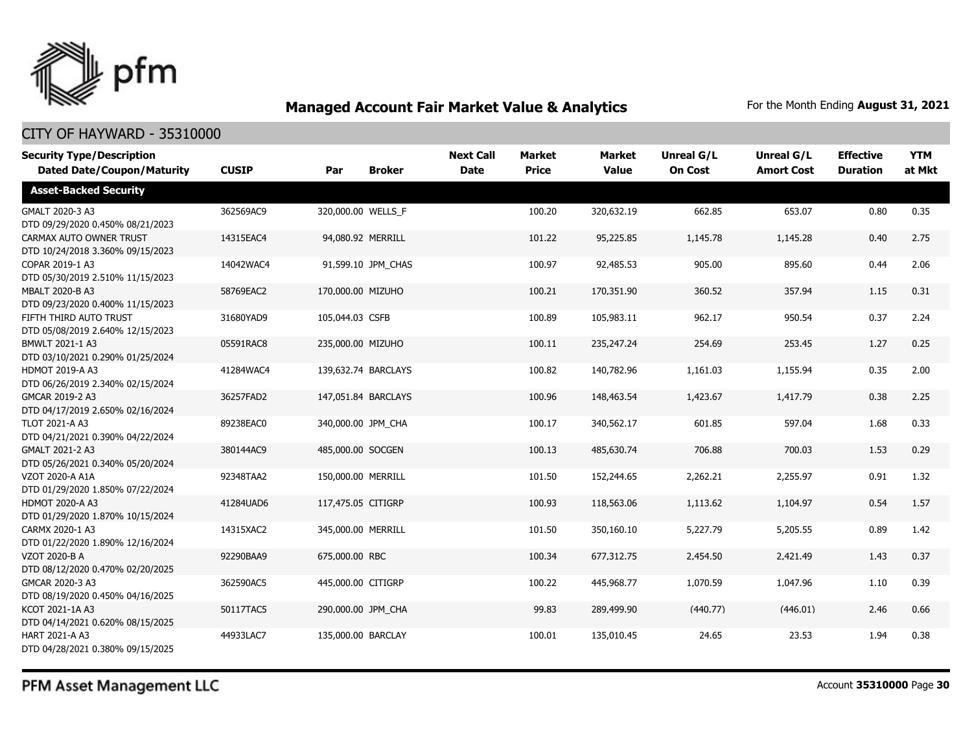

### CITY OF HAYWARD - 35310000

| <b>Security Type/Description</b>                            |              |                    |                     | <b>Next Call</b> | <b>Market</b> | <b>Market</b> | <b>Unreal G/L</b> | <b>Unreal G/L</b> | <b>Effective</b> | <b>YTM</b> |
|-------------------------------------------------------------|--------------|--------------------|---------------------|------------------|---------------|---------------|-------------------|-------------------|------------------|------------|
| <b>Dated Date/Coupon/Maturity</b>                           | <b>CUSIP</b> | Par                | <b>Broker</b>       | <b>Date</b>      | <b>Price</b>  | <b>Value</b>  | <b>On Cost</b>    | <b>Amort Cost</b> | <b>Duration</b>  | at Mkt     |
| <b>Asset-Backed Security</b>                                |              |                    |                     |                  |               |               |                   |                   |                  |            |
| GMALT 2020-3 A3<br>DTD 09/29/2020 0.450% 08/21/2023         | 362569AC9    | 320,000.00 WELLS F |                     |                  | 100.20        | 320,632.19    | 662.85            | 653.07            | 0.80             | 0.35       |
| CARMAX AUTO OWNER TRUST<br>DTD 10/24/2018 3.360% 09/15/2023 | 14315EAC4    |                    | 94,080.92 MERRILL   |                  | 101.22        | 95,225.85     | 1,145.78          | 1,145.28          | 0.40             | 2.75       |
| COPAR 2019-1 A3<br>DTD 05/30/2019 2.510% 11/15/2023         | 14042WAC4    |                    | 91,599.10 JPM_CHAS  |                  | 100.97        | 92,485.53     | 905.00            | 895.60            | 0.44             | 2.06       |
| MBALT 2020-B A3<br>DTD 09/23/2020 0.400% 11/15/2023         | 58769EAC2    | 170,000.00 MIZUHO  |                     |                  | 100.21        | 170,351.90    | 360.52            | 357.94            | 1.15             | 0.31       |
| FIFTH THIRD AUTO TRUST<br>DTD 05/08/2019 2.640% 12/15/2023  | 31680YAD9    | 105,044.03 CSFB    |                     |                  | 100.89        | 105,983.11    | 962.17            | 950.54            | 0.37             | 2.24       |
| BMWLT 2021-1 A3<br>DTD 03/10/2021 0.290% 01/25/2024         | 05591RAC8    | 235,000.00 MIZUHO  |                     |                  | 100.11        | 235,247.24    | 254.69            | 253.45            | 1.27             | 0.25       |
| HDMOT 2019-A A3<br>DTD 06/26/2019 2.340% 02/15/2024         | 41284WAC4    |                    | 139,632.74 BARCLAYS |                  | 100.82        | 140,782.96    | 1,161.03          | 1,155.94          | 0.35             | 2.00       |
| GMCAR 2019-2 A3<br>DTD 04/17/2019 2.650% 02/16/2024         | 36257FAD2    |                    | 147.051.84 BARCLAYS |                  | 100.96        | 148,463.54    | 1,423.67          | 1,417.79          | 0.38             | 2.25       |
| <b>TLOT 2021-A A3</b><br>DTD 04/21/2021 0.390% 04/22/2024   | 89238EAC0    | 340,000.00 JPM CHA |                     |                  | 100.17        | 340,562.17    | 601.85            | 597.04            | 1.68             | 0.33       |
| GMALT 2021-2 A3<br>DTD 05/26/2021 0.340% 05/20/2024         | 380144AC9    | 485,000.00 SOCGEN  |                     |                  | 100.13        | 485,630.74    | 706.88            | 700.03            | 1.53             | 0.29       |
| VZOT 2020-A A1A<br>DTD 01/29/2020 1.850% 07/22/2024         | 92348TAA2    | 150,000.00 MERRILL |                     |                  | 101.50        | 152,244.65    | 2,262.21          | 2,255.97          | 0.91             | 1.32       |
| <b>HDMOT 2020-A A3</b><br>DTD 01/29/2020 1.870% 10/15/2024  | 41284UAD6    | 117,475.05 CITIGRP |                     |                  | 100.93        | 118,563.06    | 1,113.62          | 1,104.97          | 0.54             | 1.57       |
| CARMX 2020-1 A3<br>DTD 01/22/2020 1.890% 12/16/2024         | 14315XAC2    | 345,000.00 MERRILL |                     |                  | 101.50        | 350,160.10    | 5,227.79          | 5,205.55          | 0.89             | 1.42       |
| <b>VZOT 2020-B A</b><br>DTD 08/12/2020 0.470% 02/20/2025    | 92290BAA9    | 675,000.00 RBC     |                     |                  | 100.34        | 677,312.75    | 2,454.50          | 2,421.49          | 1.43             | 0.37       |
| GMCAR 2020-3 A3<br>DTD 08/19/2020 0.450% 04/16/2025         | 362590AC5    | 445,000.00 CITIGRP |                     |                  | 100.22        | 445,968.77    | 1,070.59          | 1,047.96          | 1.10             | 0.39       |
| KCOT 2021-1A A3<br>DTD 04/14/2021 0.620% 08/15/2025         | 50117TAC5    | 290,000.00 JPM CHA |                     |                  | 99.83         | 289,499.90    | (440.77)          | (446.01)          | 2.46             | 0.66       |
| <b>HART 2021-A A3</b><br>DTD 04/28/2021 0.380% 09/15/2025   | 44933LAC7    | 135,000.00 BARCLAY |                     |                  | 100.01        | 135,010.45    | 24.65             | 23.53             | 1.94             | 0.38       |

PFM Asset Management LLC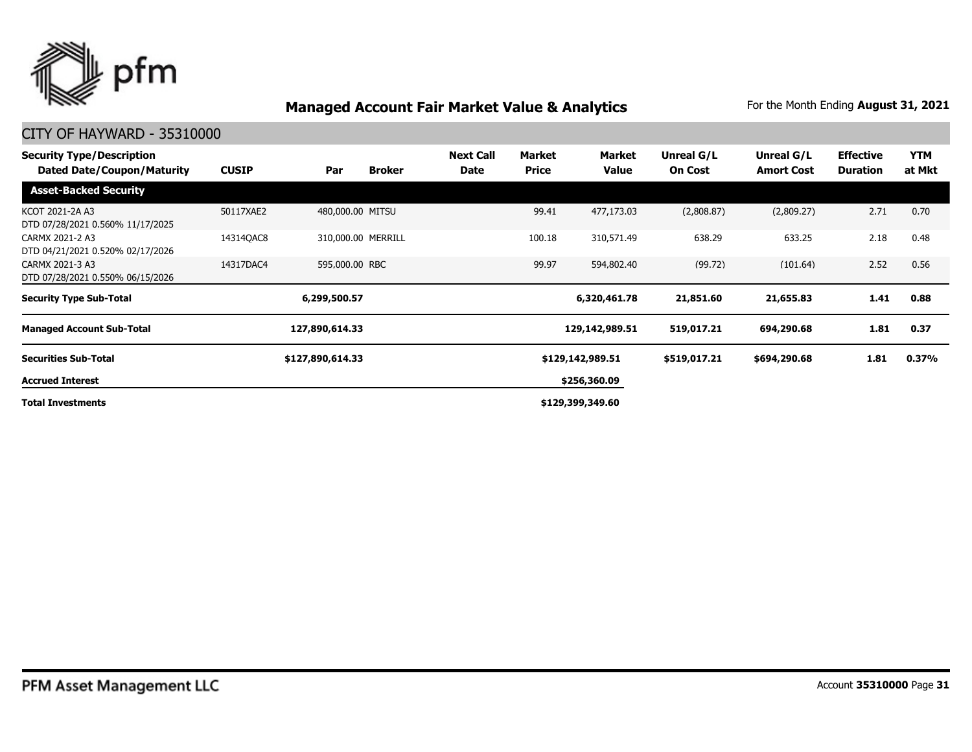

| <b>Security Type/Description</b><br><b>Dated Date/Coupon/Maturity</b> | <b>CUSIP</b> | Par              | <b>Broker</b>      | <b>Next Call</b><br>Date | Market<br><b>Price</b> | Market<br>Value  | Unreal G/L<br><b>On Cost</b> | Unreal G/L<br><b>Amort Cost</b> | <b>Effective</b><br><b>Duration</b> | YTM<br>at Mkt |
|-----------------------------------------------------------------------|--------------|------------------|--------------------|--------------------------|------------------------|------------------|------------------------------|---------------------------------|-------------------------------------|---------------|
| <b>Asset-Backed Security</b>                                          |              |                  |                    |                          |                        |                  |                              |                                 |                                     |               |
| KCOT 2021-2A A3<br>DTD 07/28/2021 0.560% 11/17/2025                   | 50117XAE2    | 480,000.00 MITSU |                    |                          | 99.41                  | 477,173.03       | (2,808.87)                   | (2,809.27)                      | 2.71                                | 0.70          |
| CARMX 2021-2 A3<br>DTD 04/21/2021 0.520% 02/17/2026                   | 14314QAC8    |                  | 310,000.00 MERRILL |                          | 100.18                 | 310,571.49       | 638.29                       | 633.25                          | 2.18                                | 0.48          |
| CARMX 2021-3 A3<br>DTD 07/28/2021 0.550% 06/15/2026                   | 14317DAC4    | 595,000.00 RBC   |                    |                          | 99.97                  | 594,802.40       | (99.72)                      | (101.64)                        | 2.52                                | 0.56          |
| <b>Security Type Sub-Total</b>                                        |              | 6,299,500.57     |                    |                          |                        | 6,320,461.78     | 21,851.60                    | 21,655.83                       | 1.41                                | 0.88          |
| <b>Managed Account Sub-Total</b>                                      |              | 127,890,614.33   |                    |                          |                        | 129,142,989.51   | 519,017.21                   | 694,290.68                      | 1.81                                | 0.37          |
| <b>Securities Sub-Total</b>                                           |              | \$127,890,614.33 |                    |                          |                        | \$129,142,989.51 | \$519,017.21                 | \$694,290.68                    | 1.81                                | 0.37%         |
| <b>Accrued Interest</b>                                               |              |                  |                    |                          |                        | \$256,360.09     |                              |                                 |                                     |               |
| <b>Total Investments</b>                                              |              |                  |                    |                          |                        | \$129,399,349.60 |                              |                                 |                                     |               |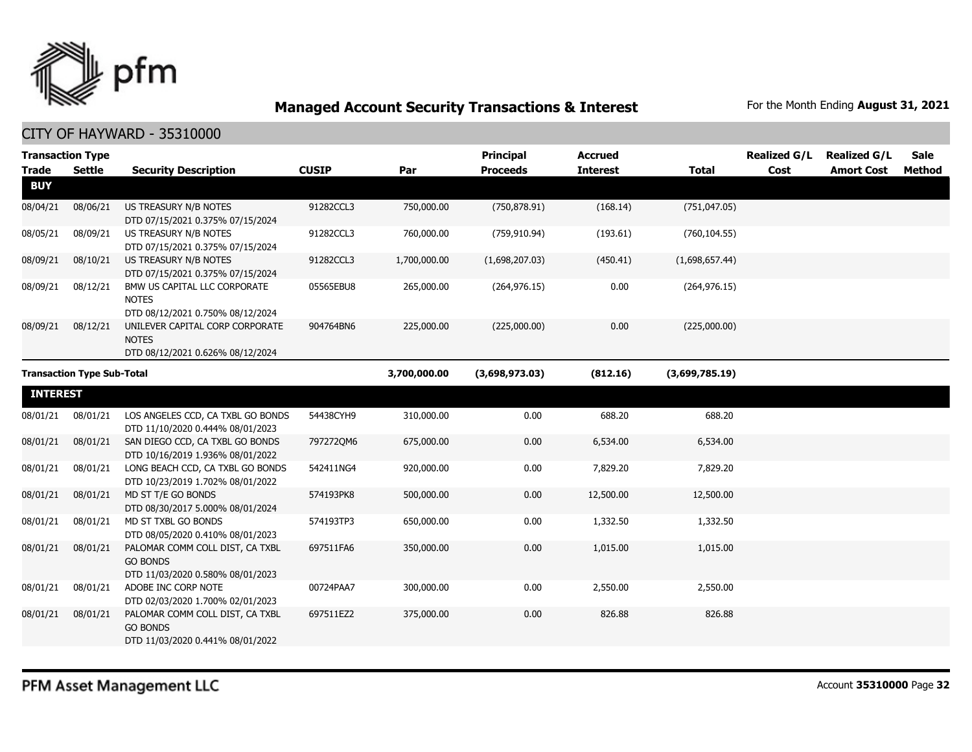

| <b>Trade</b>    | <b>Transaction Type</b><br><b>Settle</b> | <b>Security Description</b>                                                            | <b>CUSIP</b> | Par          | <b>Principal</b><br><b>Proceeds</b> | <b>Accrued</b><br><b>Interest</b> | <b>Total</b>   | <b>Realized G/L</b><br>Cost | <b>Realized G/L</b><br><b>Amort Cost</b> | <b>Sale</b><br>Method |
|-----------------|------------------------------------------|----------------------------------------------------------------------------------------|--------------|--------------|-------------------------------------|-----------------------------------|----------------|-----------------------------|------------------------------------------|-----------------------|
| <b>BUY</b>      |                                          |                                                                                        |              |              |                                     |                                   |                |                             |                                          |                       |
| 08/04/21        | 08/06/21                                 | US TREASURY N/B NOTES<br>DTD 07/15/2021 0.375% 07/15/2024                              | 91282CCL3    | 750,000.00   | (750, 878.91)                       | (168.14)                          | (751, 047.05)  |                             |                                          |                       |
| 08/05/21        | 08/09/21                                 | US TREASURY N/B NOTES<br>DTD 07/15/2021 0.375% 07/15/2024                              | 91282CCL3    | 760,000.00   | (759, 910.94)                       | (193.61)                          | (760, 104.55)  |                             |                                          |                       |
| 08/09/21        | 08/10/21                                 | US TREASURY N/B NOTES<br>DTD 07/15/2021 0.375% 07/15/2024                              | 91282CCL3    | 1,700,000.00 | (1,698,207.03)                      | (450.41)                          | (1,698,657.44) |                             |                                          |                       |
| 08/09/21        | 08/12/21                                 | BMW US CAPITAL LLC CORPORATE<br><b>NOTES</b><br>DTD 08/12/2021 0.750% 08/12/2024       | 05565EBU8    | 265,000.00   | (264, 976.15)                       | 0.00                              | (264, 976.15)  |                             |                                          |                       |
| 08/09/21        | 08/12/21                                 | UNILEVER CAPITAL CORP CORPORATE<br><b>NOTES</b><br>DTD 08/12/2021 0.626% 08/12/2024    | 904764BN6    | 225,000.00   | (225,000.00)                        | 0.00                              | (225,000.00)   |                             |                                          |                       |
|                 | <b>Transaction Type Sub-Total</b>        |                                                                                        |              | 3,700,000.00 | (3,698,973.03)                      | (812.16)                          | (3,699,785.19) |                             |                                          |                       |
| <b>INTEREST</b> |                                          |                                                                                        |              |              |                                     |                                   |                |                             |                                          |                       |
| 08/01/21        | 08/01/21                                 | LOS ANGELES CCD, CA TXBL GO BONDS<br>DTD 11/10/2020 0.444% 08/01/2023                  | 54438CYH9    | 310,000.00   | 0.00                                | 688.20                            | 688.20         |                             |                                          |                       |
| 08/01/21        | 08/01/21                                 | SAN DIEGO CCD, CA TXBL GO BONDS<br>DTD 10/16/2019 1.936% 08/01/2022                    | 797272QM6    | 675,000.00   | 0.00                                | 6,534.00                          | 6,534.00       |                             |                                          |                       |
| 08/01/21        | 08/01/21                                 | LONG BEACH CCD, CA TXBL GO BONDS<br>DTD 10/23/2019 1.702% 08/01/2022                   | 542411NG4    | 920,000.00   | 0.00                                | 7,829.20                          | 7,829.20       |                             |                                          |                       |
| 08/01/21        | 08/01/21                                 | MD ST T/E GO BONDS<br>DTD 08/30/2017 5.000% 08/01/2024                                 | 574193PK8    | 500,000.00   | 0.00                                | 12,500.00                         | 12,500.00      |                             |                                          |                       |
| 08/01/21        | 08/01/21                                 | MD ST TXBL GO BONDS<br>DTD 08/05/2020 0.410% 08/01/2023                                | 574193TP3    | 650,000.00   | 0.00                                | 1,332.50                          | 1,332.50       |                             |                                          |                       |
| 08/01/21        | 08/01/21                                 | PALOMAR COMM COLL DIST, CA TXBL<br><b>GO BONDS</b><br>DTD 11/03/2020 0.580% 08/01/2023 | 697511FA6    | 350,000.00   | 0.00                                | 1,015.00                          | 1,015.00       |                             |                                          |                       |
| 08/01/21        | 08/01/21                                 | ADOBE INC CORP NOTE<br>DTD 02/03/2020 1.700% 02/01/2023                                | 00724PAA7    | 300,000.00   | 0.00                                | 2,550.00                          | 2,550.00       |                             |                                          |                       |
| 08/01/21        | 08/01/21                                 | PALOMAR COMM COLL DIST, CA TXBL<br><b>GO BONDS</b><br>DTD 11/03/2020 0.441% 08/01/2022 | 697511EZ2    | 375,000.00   | 0.00                                | 826.88                            | 826.88         |                             |                                          |                       |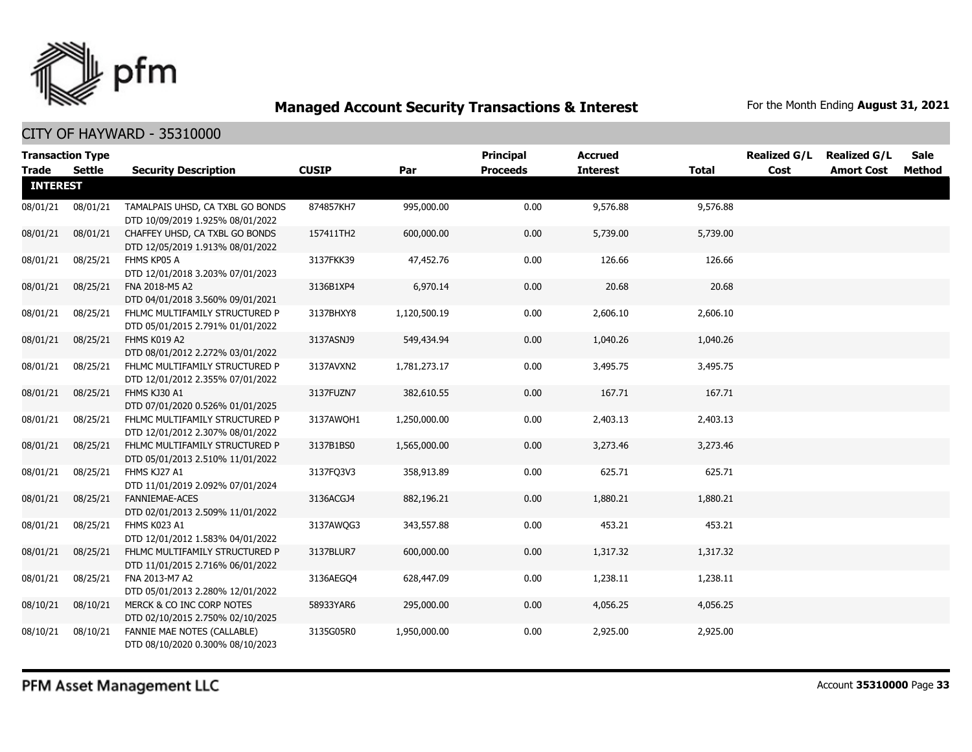

| <b>Transaction Type</b> |               |                                                                      |              |              | <b>Principal</b> | <b>Accrued</b>  |              | <b>Realized G/L</b> | <b>Realized G/L</b> | <b>Sale</b> |
|-------------------------|---------------|----------------------------------------------------------------------|--------------|--------------|------------------|-----------------|--------------|---------------------|---------------------|-------------|
| <b>Trade</b>            | <b>Settle</b> | <b>Security Description</b>                                          | <b>CUSIP</b> | Par          | <b>Proceeds</b>  | <b>Interest</b> | <b>Total</b> | Cost                | <b>Amort Cost</b>   | Method      |
| <b>INTEREST</b>         |               |                                                                      |              |              |                  |                 |              |                     |                     |             |
| 08/01/21                | 08/01/21      | TAMALPAIS UHSD, CA TXBL GO BONDS<br>DTD 10/09/2019 1.925% 08/01/2022 | 874857KH7    | 995,000.00   | 0.00             | 9,576.88        | 9,576.88     |                     |                     |             |
| 08/01/21                | 08/01/21      | CHAFFEY UHSD, CA TXBL GO BONDS<br>DTD 12/05/2019 1.913% 08/01/2022   | 157411TH2    | 600,000.00   | 0.00             | 5,739.00        | 5,739.00     |                     |                     |             |
| 08/01/21                | 08/25/21      | FHMS KP05 A<br>DTD 12/01/2018 3.203% 07/01/2023                      | 3137FKK39    | 47,452.76    | 0.00             | 126.66          | 126.66       |                     |                     |             |
| 08/01/21                | 08/25/21      | FNA 2018-M5 A2<br>DTD 04/01/2018 3.560% 09/01/2021                   | 3136B1XP4    | 6,970.14     | 0.00             | 20.68           | 20.68        |                     |                     |             |
| 08/01/21                | 08/25/21      | FHLMC MULTIFAMILY STRUCTURED P<br>DTD 05/01/2015 2.791% 01/01/2022   | 3137BHXY8    | 1,120,500.19 | 0.00             | 2,606.10        | 2,606.10     |                     |                     |             |
| 08/01/21                | 08/25/21      | FHMS K019 A2<br>DTD 08/01/2012 2.272% 03/01/2022                     | 3137ASNJ9    | 549,434.94   | 0.00             | 1,040.26        | 1,040.26     |                     |                     |             |
| 08/01/21                | 08/25/21      | FHLMC MULTIFAMILY STRUCTURED P<br>DTD 12/01/2012 2.355% 07/01/2022   | 3137AVXN2    | 1,781,273.17 | 0.00             | 3,495.75        | 3,495.75     |                     |                     |             |
| 08/01/21                | 08/25/21      | FHMS KJ30 A1<br>DTD 07/01/2020 0.526% 01/01/2025                     | 3137FUZN7    | 382,610.55   | 0.00             | 167.71          | 167.71       |                     |                     |             |
| 08/01/21                | 08/25/21      | FHLMC MULTIFAMILY STRUCTURED P<br>DTD 12/01/2012 2.307% 08/01/2022   | 3137AWQH1    | 1,250,000.00 | 0.00             | 2,403.13        | 2,403.13     |                     |                     |             |
| 08/01/21                | 08/25/21      | FHLMC MULTIFAMILY STRUCTURED P<br>DTD 05/01/2013 2.510% 11/01/2022   | 3137B1BS0    | 1,565,000.00 | 0.00             | 3,273.46        | 3,273.46     |                     |                     |             |
| 08/01/21                | 08/25/21      | FHMS KJ27 A1<br>DTD 11/01/2019 2.092% 07/01/2024                     | 3137FQ3V3    | 358,913.89   | 0.00             | 625.71          | 625.71       |                     |                     |             |
| 08/01/21                | 08/25/21      | <b>FANNIEMAE-ACES</b><br>DTD 02/01/2013 2.509% 11/01/2022            | 3136ACGJ4    | 882,196.21   | 0.00             | 1,880.21        | 1,880.21     |                     |                     |             |
| 08/01/21                | 08/25/21      | FHMS K023 A1<br>DTD 12/01/2012 1.583% 04/01/2022                     | 3137AWQG3    | 343,557.88   | 0.00             | 453.21          | 453.21       |                     |                     |             |
| 08/01/21                | 08/25/21      | FHLMC MULTIFAMILY STRUCTURED P<br>DTD 11/01/2015 2.716% 06/01/2022   | 3137BLUR7    | 600,000.00   | 0.00             | 1,317.32        | 1,317.32     |                     |                     |             |
| 08/01/21                | 08/25/21      | FNA 2013-M7 A2<br>DTD 05/01/2013 2.280% 12/01/2022                   | 3136AEGO4    | 628,447.09   | 0.00             | 1,238.11        | 1,238.11     |                     |                     |             |
| 08/10/21                | 08/10/21      | MERCK & CO INC CORP NOTES<br>DTD 02/10/2015 2.750% 02/10/2025        | 58933YAR6    | 295,000.00   | 0.00             | 4,056.25        | 4,056.25     |                     |                     |             |
| 08/10/21                | 08/10/21      | FANNIE MAE NOTES (CALLABLE)<br>DTD 08/10/2020 0.300% 08/10/2023      | 3135G05R0    | 1,950,000.00 | 0.00             | 2,925.00        | 2,925.00     |                     |                     |             |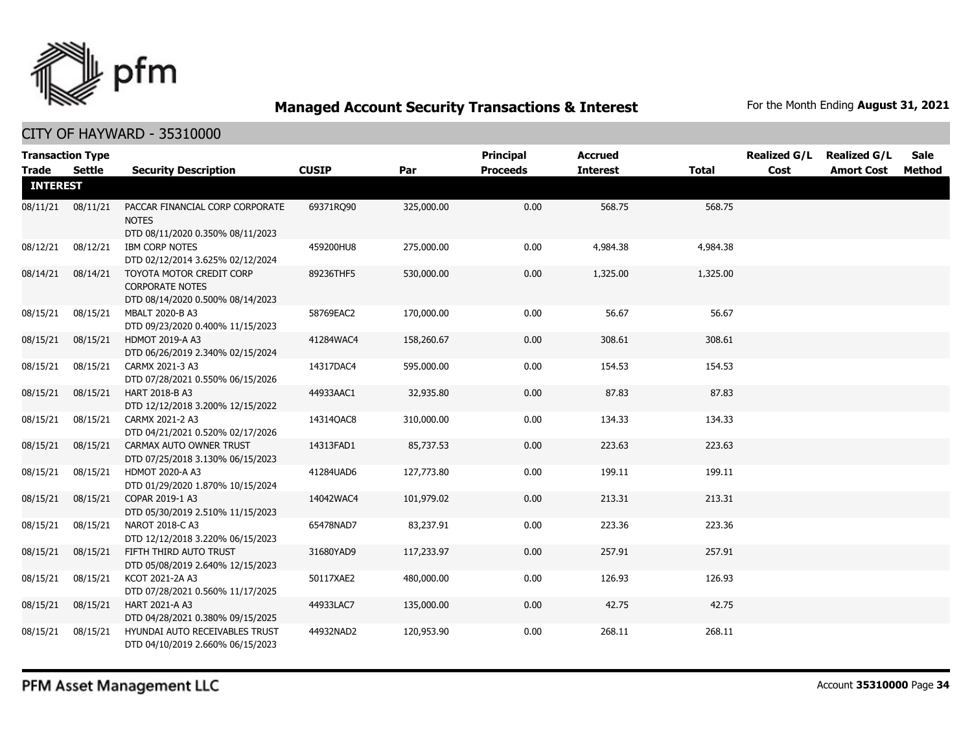

|                                 | <b>Transaction Type</b> |                                                                                        | <b>CUSIP</b> |            | <b>Principal</b> | <b>Accrued</b>  |              | <b>Realized G/L</b> | <b>Realized G/L</b> | <b>Sale</b> |
|---------------------------------|-------------------------|----------------------------------------------------------------------------------------|--------------|------------|------------------|-----------------|--------------|---------------------|---------------------|-------------|
| <b>Trade</b><br><b>INTEREST</b> | Settle                  | <b>Security Description</b>                                                            |              | Par        | <b>Proceeds</b>  | <b>Interest</b> | <b>Total</b> | Cost                | <b>Amort Cost</b>   | Method      |
| 08/11/21                        | 08/11/21                | PACCAR FINANCIAL CORP CORPORATE<br><b>NOTES</b><br>DTD 08/11/2020 0.350% 08/11/2023    | 69371RO90    | 325,000.00 | 0.00             | 568.75          | 568.75       |                     |                     |             |
| 08/12/21                        | 08/12/21                | <b>IBM CORP NOTES</b><br>DTD 02/12/2014 3.625% 02/12/2024                              | 459200HU8    | 275,000.00 | 0.00             | 4,984.38        | 4,984.38     |                     |                     |             |
| 08/14/21                        | 08/14/21                | TOYOTA MOTOR CREDIT CORP<br><b>CORPORATE NOTES</b><br>DTD 08/14/2020 0.500% 08/14/2023 | 89236THF5    | 530,000.00 | 0.00             | 1,325.00        | 1,325.00     |                     |                     |             |
| 08/15/21                        | 08/15/21                | MBALT 2020-B A3<br>DTD 09/23/2020 0.400% 11/15/2023                                    | 58769EAC2    | 170,000.00 | 0.00             | 56.67           | 56.67        |                     |                     |             |
| 08/15/21                        | 08/15/21                | <b>HDMOT 2019-A A3</b><br>DTD 06/26/2019 2.340% 02/15/2024                             | 41284WAC4    | 158,260.67 | 0.00             | 308.61          | 308.61       |                     |                     |             |
| 08/15/21                        | 08/15/21                | CARMX 2021-3 A3<br>DTD 07/28/2021 0.550% 06/15/2026                                    | 14317DAC4    | 595,000.00 | 0.00             | 154.53          | 154.53       |                     |                     |             |
| 08/15/21                        | 08/15/21                | HART 2018-B A3<br>DTD 12/12/2018 3.200% 12/15/2022                                     | 44933AAC1    | 32,935.80  | 0.00             | 87.83           | 87.83        |                     |                     |             |
| 08/15/21                        | 08/15/21                | CARMX 2021-2 A3<br>DTD 04/21/2021 0.520% 02/17/2026                                    | 14314QAC8    | 310,000.00 | 0.00             | 134.33          | 134.33       |                     |                     |             |
| 08/15/21                        | 08/15/21                | CARMAX AUTO OWNER TRUST<br>DTD 07/25/2018 3.130% 06/15/2023                            | 14313FAD1    | 85,737.53  | 0.00             | 223.63          | 223.63       |                     |                     |             |
| 08/15/21                        | 08/15/21                | <b>HDMOT 2020-A A3</b><br>DTD 01/29/2020 1.870% 10/15/2024                             | 41284UAD6    | 127,773.80 | 0.00             | 199.11          | 199.11       |                     |                     |             |
| 08/15/21                        | 08/15/21                | COPAR 2019-1 A3<br>DTD 05/30/2019 2.510% 11/15/2023                                    | 14042WAC4    | 101,979.02 | 0.00             | 213.31          | 213.31       |                     |                     |             |
| 08/15/21                        | 08/15/21                | NAROT 2018-C A3<br>DTD 12/12/2018 3.220% 06/15/2023                                    | 65478NAD7    | 83,237.91  | 0.00             | 223.36          | 223.36       |                     |                     |             |
| 08/15/21                        | 08/15/21                | FIFTH THIRD AUTO TRUST<br>DTD 05/08/2019 2.640% 12/15/2023                             | 31680YAD9    | 117,233.97 | 0.00             | 257.91          | 257.91       |                     |                     |             |
| 08/15/21                        | 08/15/21                | KCOT 2021-2A A3<br>DTD 07/28/2021 0.560% 11/17/2025                                    | 50117XAE2    | 480,000.00 | 0.00             | 126.93          | 126.93       |                     |                     |             |
| 08/15/21                        | 08/15/21                | HART 2021-A A3<br>DTD 04/28/2021 0.380% 09/15/2025                                     | 44933LAC7    | 135,000.00 | 0.00             | 42.75           | 42.75        |                     |                     |             |
| 08/15/21                        | 08/15/21                | HYUNDAI AUTO RECEIVABLES TRUST<br>DTD 04/10/2019 2.660% 06/15/2023                     | 44932NAD2    | 120,953.90 | 0.00             | 268.11          | 268.11       |                     |                     |             |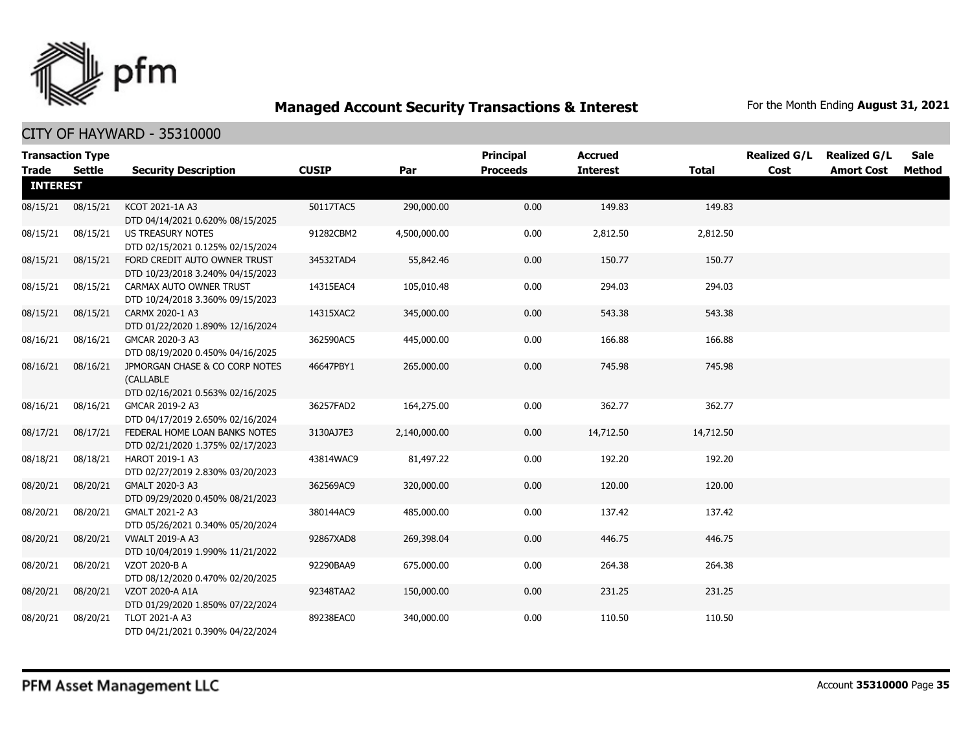

|              | <b>Transaction Type</b> |                                                                                 |              |              | <b>Principal</b> | <b>Accrued</b>  |              | <b>Realized G/L</b> | <b>Realized G/L</b> | <b>Sale</b> |  |  |  |
|--------------|-------------------------|---------------------------------------------------------------------------------|--------------|--------------|------------------|-----------------|--------------|---------------------|---------------------|-------------|--|--|--|
| <b>Trade</b> | Settle                  | <b>Security Description</b>                                                     | <b>CUSIP</b> | Par          | <b>Proceeds</b>  | <b>Interest</b> | <b>Total</b> | Cost                | <b>Amort Cost</b>   | Method      |  |  |  |
|              | <b>INTEREST</b>         |                                                                                 |              |              |                  |                 |              |                     |                     |             |  |  |  |
| 08/15/21     | 08/15/21                | KCOT 2021-1A A3<br>DTD 04/14/2021 0.620% 08/15/2025                             | 50117TAC5    | 290,000.00   | 0.00             | 149.83          | 149.83       |                     |                     |             |  |  |  |
| 08/15/21     | 08/15/21                | US TREASURY NOTES<br>DTD 02/15/2021 0.125% 02/15/2024                           | 91282CBM2    | 4,500,000.00 | 0.00             | 2,812.50        | 2,812.50     |                     |                     |             |  |  |  |
| 08/15/21     | 08/15/21                | FORD CREDIT AUTO OWNER TRUST<br>DTD 10/23/2018 3.240% 04/15/2023                | 34532TAD4    | 55,842.46    | 0.00             | 150.77          | 150.77       |                     |                     |             |  |  |  |
| 08/15/21     | 08/15/21                | CARMAX AUTO OWNER TRUST<br>DTD 10/24/2018 3.360% 09/15/2023                     | 14315EAC4    | 105,010.48   | 0.00             | 294.03          | 294.03       |                     |                     |             |  |  |  |
| 08/15/21     | 08/15/21                | CARMX 2020-1 A3<br>DTD 01/22/2020 1.890% 12/16/2024                             | 14315XAC2    | 345,000.00   | 0.00             | 543.38          | 543.38       |                     |                     |             |  |  |  |
| 08/16/21     | 08/16/21                | GMCAR 2020-3 A3<br>DTD 08/19/2020 0.450% 04/16/2025                             | 362590AC5    | 445,000.00   | 0.00             | 166.88          | 166.88       |                     |                     |             |  |  |  |
| 08/16/21     | 08/16/21                | JPMORGAN CHASE & CO CORP NOTES<br>(CALLABLE<br>DTD 02/16/2021 0.563% 02/16/2025 | 46647PBY1    | 265,000.00   | 0.00             | 745.98          | 745.98       |                     |                     |             |  |  |  |
| 08/16/21     | 08/16/21                | GMCAR 2019-2 A3<br>DTD 04/17/2019 2.650% 02/16/2024                             | 36257FAD2    | 164,275.00   | 0.00             | 362.77          | 362.77       |                     |                     |             |  |  |  |
| 08/17/21     | 08/17/21                | FEDERAL HOME LOAN BANKS NOTES<br>DTD 02/21/2020 1.375% 02/17/2023               | 3130AJ7E3    | 2,140,000.00 | 0.00             | 14,712.50       | 14,712.50    |                     |                     |             |  |  |  |
| 08/18/21     | 08/18/21                | HAROT 2019-1 A3<br>DTD 02/27/2019 2.830% 03/20/2023                             | 43814WAC9    | 81,497.22    | 0.00             | 192.20          | 192.20       |                     |                     |             |  |  |  |
| 08/20/21     | 08/20/21                | GMALT 2020-3 A3<br>DTD 09/29/2020 0.450% 08/21/2023                             | 362569AC9    | 320,000.00   | 0.00             | 120.00          | 120.00       |                     |                     |             |  |  |  |
| 08/20/21     | 08/20/21                | GMALT 2021-2 A3<br>DTD 05/26/2021 0.340% 05/20/2024                             | 380144AC9    | 485,000.00   | 0.00             | 137.42          | 137.42       |                     |                     |             |  |  |  |
| 08/20/21     | 08/20/21                | <b>VWALT 2019-A A3</b><br>DTD 10/04/2019 1.990% 11/21/2022                      | 92867XAD8    | 269,398.04   | 0.00             | 446.75          | 446.75       |                     |                     |             |  |  |  |
| 08/20/21     | 08/20/21                | VZOT 2020-B A<br>DTD 08/12/2020 0.470% 02/20/2025                               | 92290BAA9    | 675,000.00   | 0.00             | 264.38          | 264.38       |                     |                     |             |  |  |  |
| 08/20/21     | 08/20/21                | VZOT 2020-A A1A<br>DTD 01/29/2020 1.850% 07/22/2024                             | 92348TAA2    | 150,000.00   | 0.00             | 231.25          | 231.25       |                     |                     |             |  |  |  |
| 08/20/21     | 08/20/21                | TLOT 2021-A A3<br>DTD 04/21/2021 0.390% 04/22/2024                              | 89238EAC0    | 340,000.00   | 0.00             | 110.50          | 110.50       |                     |                     |             |  |  |  |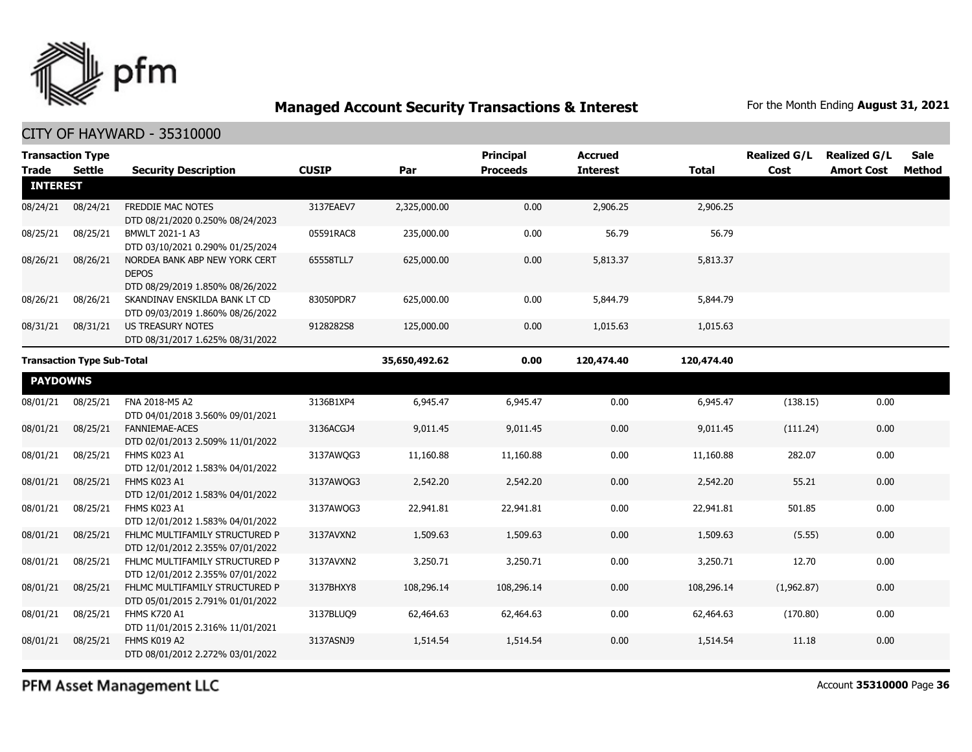

CITY OF HAYWARD - 35310000

| <b>Transaction Type</b>           |               |                                                                                   |              |              | <b>Principal</b> | <b>Accrued</b>  |              | <b>Realized G/L</b> | <b>Realized G/L</b> | Sale   |
|-----------------------------------|---------------|-----------------------------------------------------------------------------------|--------------|--------------|------------------|-----------------|--------------|---------------------|---------------------|--------|
| <b>Trade</b>                      | <b>Settle</b> | <b>Security Description</b>                                                       | <b>CUSIP</b> | Par          | <b>Proceeds</b>  | <b>Interest</b> | <b>Total</b> | Cost                | <b>Amort Cost</b>   | Method |
| <b>INTEREST</b>                   |               |                                                                                   |              |              |                  |                 |              |                     |                     |        |
| 08/24/21                          | 08/24/21      | <b>FREDDIE MAC NOTES</b><br>DTD 08/21/2020 0.250% 08/24/2023                      | 3137EAEV7    | 2,325,000.00 | 0.00             | 2,906.25        | 2,906.25     |                     |                     |        |
| 08/25/21                          | 08/25/21      | BMWLT 2021-1 A3<br>DTD 03/10/2021 0.290% 01/25/2024                               | 05591RAC8    | 235,000.00   | 0.00             | 56.79           | 56.79        |                     |                     |        |
| 08/26/21                          | 08/26/21      | NORDEA BANK ABP NEW YORK CERT<br><b>DEPOS</b><br>DTD 08/29/2019 1.850% 08/26/2022 | 65558TLL7    | 625,000.00   | 0.00             | 5,813.37        | 5,813.37     |                     |                     |        |
| 08/26/21                          | 08/26/21      | SKANDINAV ENSKILDA BANK LT CD<br>DTD 09/03/2019 1.860% 08/26/2022                 | 83050PDR7    | 625,000.00   | 0.00             | 5,844.79        | 5,844.79     |                     |                     |        |
| 08/31/21                          | 08/31/21      | <b>US TREASURY NOTES</b><br>DTD 08/31/2017 1.625% 08/31/2022                      | 9128282S8    | 125,000.00   | 0.00             | 1,015.63        | 1,015.63     |                     |                     |        |
| <b>Transaction Type Sub-Total</b> |               | 35,650,492.62                                                                     | 0.00         | 120,474.40   | 120,474.40       |                 |              |                     |                     |        |
| <b>PAYDOWNS</b>                   |               |                                                                                   |              |              |                  |                 |              |                     |                     |        |
| 08/01/21                          | 08/25/21      | FNA 2018-M5 A2<br>DTD 04/01/2018 3.560% 09/01/2021                                | 3136B1XP4    | 6,945.47     | 6,945.47         | 0.00            | 6,945.47     | (138.15)            | 0.00                |        |
| 08/01/21                          | 08/25/21      | <b>FANNIEMAE-ACES</b><br>DTD 02/01/2013 2.509% 11/01/2022                         | 3136ACGJ4    | 9,011.45     | 9,011.45         | 0.00            | 9,011.45     | (111.24)            | 0.00                |        |
| 08/01/21                          | 08/25/21      | FHMS K023 A1<br>DTD 12/01/2012 1.583% 04/01/2022                                  | 3137AWQG3    | 11,160.88    | 11,160.88        | 0.00            | 11,160.88    | 282.07              | 0.00                |        |
| 08/01/21                          | 08/25/21      | FHMS K023 A1<br>DTD 12/01/2012 1.583% 04/01/2022                                  | 3137AWQG3    | 2,542.20     | 2,542.20         | 0.00            | 2,542.20     | 55.21               | 0.00                |        |
| 08/01/21                          | 08/25/21      | FHMS K023 A1<br>DTD 12/01/2012 1.583% 04/01/2022                                  | 3137AWQG3    | 22,941.81    | 22,941.81        | 0.00            | 22,941.81    | 501.85              | 0.00                |        |
| 08/01/21                          | 08/25/21      | FHLMC MULTIFAMILY STRUCTURED P<br>DTD 12/01/2012 2.355% 07/01/2022                | 3137AVXN2    | 1,509.63     | 1,509.63         | 0.00            | 1,509.63     | (5.55)              | 0.00                |        |
| 08/01/21                          | 08/25/21      | FHLMC MULTIFAMILY STRUCTURED P<br>DTD 12/01/2012 2.355% 07/01/2022                | 3137AVXN2    | 3,250.71     | 3,250.71         | 0.00            | 3,250.71     | 12.70               | 0.00                |        |
| 08/01/21                          | 08/25/21      | FHLMC MULTIFAMILY STRUCTURED P<br>DTD 05/01/2015 2.791% 01/01/2022                | 3137BHXY8    | 108,296.14   | 108,296.14       | 0.00            | 108,296.14   | (1,962.87)          | 0.00                |        |
| 08/01/21                          | 08/25/21      | <b>FHMS K720 A1</b><br>DTD 11/01/2015 2.316% 11/01/2021                           | 3137BLUO9    | 62,464.63    | 62,464.63        | 0.00            | 62,464.63    | (170.80)            | 0.00                |        |
| 08/01/21                          | 08/25/21      | FHMS K019 A2<br>DTD 08/01/2012 2.272% 03/01/2022                                  | 3137ASNJ9    | 1,514.54     | 1,514.54         | 0.00            | 1,514.54     | 11.18               | 0.00                |        |

PFM Asset Management LLC

Account **35310000** Page **36**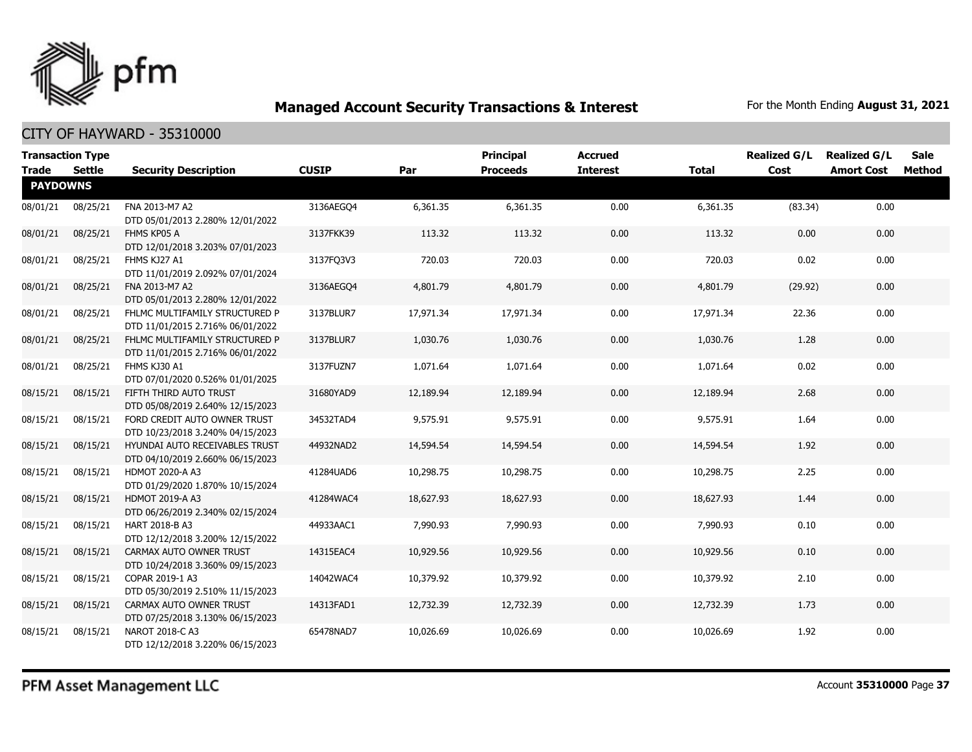

| <b>Trade</b>    | <b>Transaction Type</b><br><b>Settle</b> | <b>Security Description</b>                                        | <b>CUSIP</b> | Par       | Principal<br><b>Proceeds</b> | <b>Accrued</b><br><b>Interest</b> | <b>Total</b> | <b>Realized G/L</b><br>Cost | <b>Realized G/L</b><br><b>Amort Cost</b> | <b>Sale</b><br>Method |
|-----------------|------------------------------------------|--------------------------------------------------------------------|--------------|-----------|------------------------------|-----------------------------------|--------------|-----------------------------|------------------------------------------|-----------------------|
| <b>PAYDOWNS</b> |                                          |                                                                    |              |           |                              |                                   |              |                             |                                          |                       |
| 08/01/21        | 08/25/21                                 | FNA 2013-M7 A2<br>DTD 05/01/2013 2.280% 12/01/2022                 | 3136AEGO4    | 6,361.35  | 6,361.35                     | 0.00                              | 6,361.35     | (83.34)                     | 0.00                                     |                       |
| 08/01/21        | 08/25/21                                 | FHMS KP05 A<br>DTD 12/01/2018 3.203% 07/01/2023                    | 3137FKK39    | 113.32    | 113.32                       | 0.00                              | 113.32       | 0.00                        | 0.00                                     |                       |
| 08/01/21        | 08/25/21                                 | FHMS KJ27 A1<br>DTD 11/01/2019 2.092% 07/01/2024                   | 3137FQ3V3    | 720.03    | 720.03                       | 0.00                              | 720.03       | 0.02                        | 0.00                                     |                       |
| 08/01/21        | 08/25/21                                 | FNA 2013-M7 A2<br>DTD 05/01/2013 2.280% 12/01/2022                 | 3136AEGQ4    | 4,801.79  | 4,801.79                     | 0.00                              | 4,801.79     | (29.92)                     | 0.00                                     |                       |
| 08/01/21        | 08/25/21                                 | FHLMC MULTIFAMILY STRUCTURED P<br>DTD 11/01/2015 2.716% 06/01/2022 | 3137BLUR7    | 17,971.34 | 17,971.34                    | 0.00                              | 17,971.34    | 22.36                       | 0.00                                     |                       |
| 08/01/21        | 08/25/21                                 | FHLMC MULTIFAMILY STRUCTURED P<br>DTD 11/01/2015 2.716% 06/01/2022 | 3137BLUR7    | 1,030.76  | 1,030.76                     | 0.00                              | 1,030.76     | 1.28                        | 0.00                                     |                       |
| 08/01/21        | 08/25/21                                 | FHMS KJ30 A1<br>DTD 07/01/2020 0.526% 01/01/2025                   | 3137FUZN7    | 1,071.64  | 1,071.64                     | 0.00                              | 1,071.64     | 0.02                        | 0.00                                     |                       |
| 08/15/21        | 08/15/21                                 | FIFTH THIRD AUTO TRUST<br>DTD 05/08/2019 2.640% 12/15/2023         | 31680YAD9    | 12,189.94 | 12,189.94                    | 0.00                              | 12,189.94    | 2.68                        | 0.00                                     |                       |
| 08/15/21        | 08/15/21                                 | FORD CREDIT AUTO OWNER TRUST<br>DTD 10/23/2018 3.240% 04/15/2023   | 34532TAD4    | 9,575.91  | 9,575.91                     | 0.00                              | 9,575.91     | 1.64                        | 0.00                                     |                       |
| 08/15/21        | 08/15/21                                 | HYUNDAI AUTO RECEIVABLES TRUST<br>DTD 04/10/2019 2.660% 06/15/2023 | 44932NAD2    | 14,594.54 | 14,594.54                    | 0.00                              | 14,594.54    | 1.92                        | 0.00                                     |                       |
| 08/15/21        | 08/15/21                                 | <b>HDMOT 2020-A A3</b><br>DTD 01/29/2020 1.870% 10/15/2024         | 41284UAD6    | 10,298.75 | 10,298.75                    | 0.00                              | 10,298.75    | 2.25                        | 0.00                                     |                       |
| 08/15/21        | 08/15/21                                 | <b>HDMOT 2019-A A3</b><br>DTD 06/26/2019 2.340% 02/15/2024         | 41284WAC4    | 18,627.93 | 18,627.93                    | 0.00                              | 18,627.93    | 1.44                        | 0.00                                     |                       |
| 08/15/21        | 08/15/21                                 | <b>HART 2018-B A3</b><br>DTD 12/12/2018 3.200% 12/15/2022          | 44933AAC1    | 7,990.93  | 7,990.93                     | 0.00                              | 7,990.93     | 0.10                        | 0.00                                     |                       |
| 08/15/21        | 08/15/21                                 | CARMAX AUTO OWNER TRUST<br>DTD 10/24/2018 3.360% 09/15/2023        | 14315EAC4    | 10,929.56 | 10,929.56                    | 0.00                              | 10,929.56    | 0.10                        | 0.00                                     |                       |
| 08/15/21        | 08/15/21                                 | COPAR 2019-1 A3<br>DTD 05/30/2019 2.510% 11/15/2023                | 14042WAC4    | 10,379.92 | 10,379.92                    | 0.00                              | 10,379.92    | 2.10                        | 0.00                                     |                       |
| 08/15/21        | 08/15/21                                 | CARMAX AUTO OWNER TRUST<br>DTD 07/25/2018 3.130% 06/15/2023        | 14313FAD1    | 12,732.39 | 12,732.39                    | 0.00                              | 12,732.39    | 1.73                        | 0.00                                     |                       |
| 08/15/21        | 08/15/21                                 | NAROT 2018-C A3<br>DTD 12/12/2018 3.220% 06/15/2023                | 65478NAD7    | 10,026.69 | 10,026.69                    | 0.00                              | 10,026.69    | 1.92                        | 0.00                                     |                       |